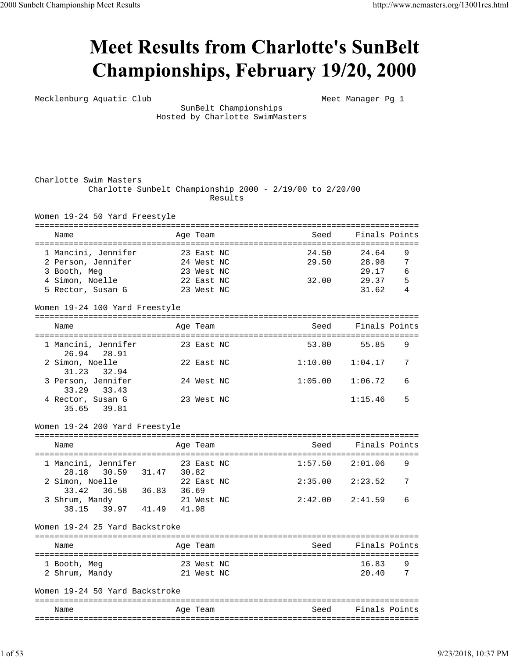## **Meet Results from Charlotte's SunBelt** Championships, February 19/20, 2000

Mecklenburg Aquatic Club Meet Manager Pg 1

 SunBelt Championships Hosted by Charlotte SwimMasters

| Charlotte Swim Masters                                       |       |            |         |         |               |               |
|--------------------------------------------------------------|-------|------------|---------|---------|---------------|---------------|
| Charlotte Sunbelt Championship $2000 - 2/19/00$ to $2/20/00$ |       |            |         |         |               |               |
|                                                              |       |            | Results |         |               |               |
|                                                              |       |            |         |         |               |               |
| Women 19-24 50 Yard Freestyle                                |       |            |         |         |               |               |
|                                                              |       |            |         | Seed    | Finals Points |               |
| Name                                                         |       | Age Team   |         |         |               |               |
| 1 Mancini, Jennifer                                          |       | 23 East NC |         | 24.50   | 24.64         | 9             |
| 2 Person, Jennifer                                           |       | 24 West NC |         | 29.50   | 28.98         | 7             |
| 3 Booth, Meg                                                 |       | 23 West NC |         |         | 29.17         | 6             |
| 4 Simon, Noelle                                              |       | 22 East NC |         | 32.00   | 29.37         | 5             |
| 5 Rector, Susan G                                            |       | 23 West NC |         |         | 31.62         | 4             |
|                                                              |       |            |         |         |               |               |
| Women 19-24 100 Yard Freestyle                               |       |            |         |         |               |               |
|                                                              |       |            |         |         |               |               |
| Name                                                         |       | Age Team   |         | Seed    | Finals Points |               |
|                                                              |       |            |         |         |               |               |
| 1 Mancini, Jennifer                                          |       | 23 East NC |         | 53.80   | 55.85         | 9             |
| 26.94<br>28.91                                               |       |            |         |         |               |               |
| 2 Simon, Noelle                                              |       | 22 East NC |         | 1:10.00 | 1:04.17       | 7             |
| 32.94<br>31.23                                               |       |            |         |         |               |               |
| 3 Person, Jennifer                                           |       | 24 West NC |         | 1:05.00 | 1:06.72       | 6             |
| 33.29 33.43                                                  |       |            |         |         |               |               |
| 4 Rector, Susan G                                            |       | 23 West NC |         |         | 1:15.46       | 5             |
| 35.65<br>39.81                                               |       |            |         |         |               |               |
|                                                              |       |            |         |         |               |               |
| Women 19-24 200 Yard Freestyle                               |       |            |         |         |               |               |
|                                                              |       |            |         |         |               |               |
| Name                                                         |       | Age Team   |         | Seed    | Finals Points |               |
|                                                              |       |            |         |         |               |               |
| 1 Mancini, Jennifer                                          |       | 23 East NC |         | 1:57.50 | 2:01.06       | 9             |
| 28.18<br>30.59<br>31.47                                      | 30.82 |            |         |         |               |               |
| 2 Simon, Noelle                                              |       | 22 East NC |         | 2:35.00 | 2:23.52       | 7             |
| 36.58 36.83<br>33.42                                         | 36.69 |            |         |         |               |               |
| 3 Shrum, Mandy                                               |       | 21 West NC |         | 2:42.00 | 2:41.59       | 6             |
| 39.97 41.49<br>38.15                                         | 41.98 |            |         |         |               |               |
|                                                              |       |            |         |         |               |               |
| Women 19-24 25 Yard Backstroke                               |       |            |         |         |               |               |
|                                                              |       |            |         |         |               |               |
| Name                                                         |       | Age Team   |         | Seed    |               | Finals Points |
|                                                              |       | 23 West NC |         |         | 16.83         | 9             |
| 1 Booth, Meg                                                 |       |            |         |         | 20.40         | 7             |
| 2 Shrum, Mandy                                               |       | 21 West NC |         |         |               |               |
| Women 19-24 50 Yard Backstroke                               |       |            |         |         |               |               |
|                                                              |       |            |         |         |               |               |
| Name                                                         |       | Age Team   |         | Seed    | Finals Points |               |
|                                                              |       |            |         |         |               |               |
|                                                              |       |            |         |         |               |               |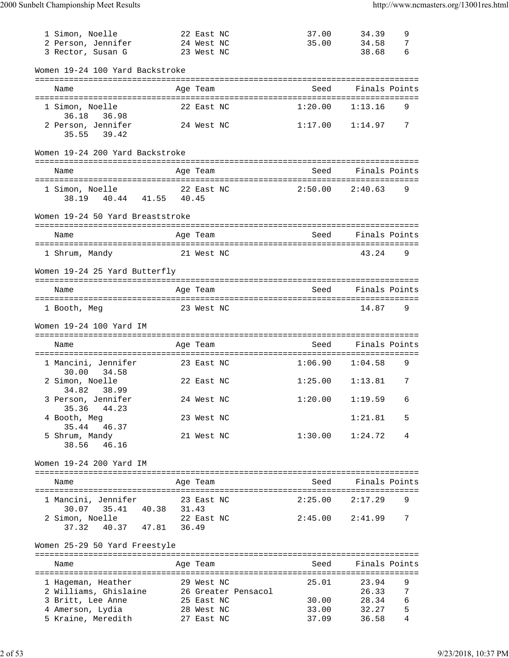| 1 Simon, Noelle<br>2 Person, Jennifer<br>3 Rector, Susan G | 24 West NC | 22 East NC<br>23 West NC | 37.00<br>35.00      | 34.39<br>34.58<br>38.68 | 9<br>7<br>6 |
|------------------------------------------------------------|------------|--------------------------|---------------------|-------------------------|-------------|
| Women 19-24 100 Yard Backstroke                            |            |                          |                     |                         |             |
| Name                                                       |            | Age Team                 | Seed                | Finals Points           |             |
| 1 Simon, Noelle                                            |            | 22 East NC               | 1:20.00             | 1:13.16                 | 9           |
| 36.18<br>36.98<br>2 Person, Jennifer<br>35.55 39.42        |            | 24 West NC               | 1:17.00             | 1:14.97                 | 7           |
| Women 19-24 200 Yard Backstroke                            |            |                          |                     |                         |             |
| Name                                                       |            | Age Team                 | Seed                | Finals Points           |             |
| 1 Simon, Noelle<br>40.44 41.55 40.45<br>38.19              | 22 East NC |                          | $2:50.00$ $2:40.63$ |                         | 9           |
| Women 19-24 50 Yard Breaststroke                           |            |                          |                     |                         |             |
| Name                                                       |            | Age Team                 | Seed                | Finals Points           |             |
| 1 Shrum, Mandy                                             | 21 West NC |                          |                     | 43.24                   | 9           |
| Women 19-24 25 Yard Butterfly                              |            |                          |                     |                         |             |
| Name                                                       |            | Age Team                 | Seed                | Finals Points           |             |
| 1 Booth, Meg                                               |            | 23 West NC               |                     | 14.87                   | 9           |
| Women 19-24 100 Yard IM                                    |            |                          |                     |                         |             |
| Name                                                       |            | Age Team                 | Seed                | Finals Points           |             |
| 1 Mancini, Jennifer<br>30.00<br>34.58                      | 23 East NC |                          | 1:06.90             | 1:04.58                 | 9           |
| 2 Simon, Noelle<br>34.82 38.99                             |            | 22 East NC               | 1:25.00             | 1:13.81                 | 7           |
| 3 Person, Jennifer<br>35.36<br>44.23                       |            | 24 West NC               |                     | $1:20.00$ $1:19.59$ 6   |             |
| 4 Booth, Meg<br>35.44<br>46.37                             |            | 23 West NC               |                     | 1:21.81                 | 5           |
| 5 Shrum, Mandy<br>46.16<br>38.56                           |            | 21 West NC               | 1:30.00             | 1:24.72                 | 4           |
| Women 19-24 200 Yard IM                                    |            |                          |                     |                         |             |
| Name                                                       |            | Age Team                 | Seed                | Finals Points           |             |
| 1 Mancini, Jennifer<br>30.07 35.41 40.38                   | 31.43      | 23 East NC               | 2:25.00             | 2:17.29                 | 9           |
| 2 Simon, Noelle<br>40.37  47.81  36.49<br>37.32            |            | 22 East NC               | 2:45.00             | 2:41.99                 | 7           |
| Women 25-29 50 Yard Freestyle                              |            |                          |                     |                         |             |
| Name                                                       |            | Age Team                 | Seed                | Finals Points           |             |
| 1 Hageman, Heather                                         | 29 West NC |                          | 25.01               | 23.94                   | 9           |
| 2 Williams, Ghislaine 26 Greater Pensacol                  |            |                          |                     | 26.33                   | 7           |
| 3 Britt, Lee Anne<br>4 Amerson, Lydia                      |            | 25 East NC<br>28 West NC | 30.00<br>33.00      | 28.34<br>32.27          | 6<br>5      |
| 5 Kraine, Meredith                                         | 27 East NC |                          | 37.09               | 36.58                   | 4           |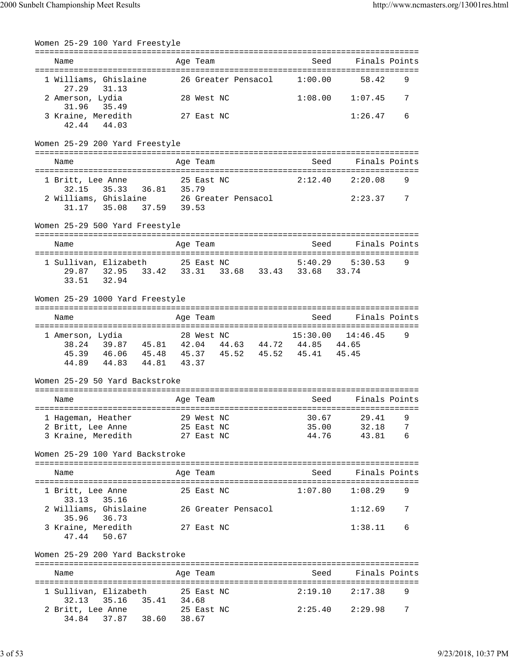| Women 25-29 100 Yard Freestyle                                                                     |                                                                                                         |         |                       |   |
|----------------------------------------------------------------------------------------------------|---------------------------------------------------------------------------------------------------------|---------|-----------------------|---|
| Name                                                                                               | Age Team                                                                                                | Seed    | Finals Points         |   |
| 1 Williams, Ghislaine<br>27.29 31.13                                                               | 26 Greater Pensacol                                                                                     | 1:00.00 | 58.42                 | 9 |
| 2 Amerson, Lydia<br>31.96<br>35.49                                                                 | 28 West NC                                                                                              |         | $1:08.00$ $1:07.45$   | 7 |
| 3 Kraine, Meredith<br>42.44<br>44.03                                                               | 27 East NC                                                                                              |         | 1:26.47               | 6 |
| Women 25-29 200 Yard Freestyle                                                                     |                                                                                                         |         |                       |   |
| Name                                                                                               | Age Team                                                                                                | Seed    | Finals Points         |   |
| 1 Britt, Lee Anne<br>100, Lee Affre 25 Ea.<br>32.15 35.33 36.81 35.79                              | 25 East NC                                                                                              | 2:12.40 | 2:20.08               | 9 |
| 2 Williams, Ghislaine<br>31.17 35.08 37.59 39.53                                                   |                                                                                                         |         | 2:23.37               | 7 |
| Women 25-29 500 Yard Freestyle                                                                     |                                                                                                         |         |                       |   |
| Name                                                                                               | Age Team                                                                                                |         | Seed Finals Points    |   |
| 1 Sullivan, Elizabeth                                                                              | 5:40.29<br>25 East NC                                                                                   |         | 5:30.53               | 9 |
| 32.94<br>33.51                                                                                     | 29.87 32.95 33.42 33.31 33.68 33.43 33.68 33.74                                                         |         |                       |   |
| Women 25-29 1000 Yard Freestyle                                                                    |                                                                                                         |         |                       |   |
| Name                                                                                               | Age Team                                                                                                | Seed    | Finals Points         |   |
| 1 Amerson, Lydia<br>45.39<br>46.06 45.48<br>44.83 44.81<br>44.89<br>Women 25-29 50 Yard Backstroke | 28 West NC<br>38.24 39.87 45.81 42.04 44.63 44.72 44.85 44.65<br>45.37 45.52 45.52 45.41 45.45<br>43.37 |         | $15:30.00$ $14:46.45$ | 9 |
| Name                                                                                               | Age Team                                                                                                | Seed    | Finals Points         |   |
| 1 Hageman, Heather                                                                                 | 29 West NC                                                                                              | 30.67   | 29.41                 | 9 |
| 2 Britt, Lee Anne                                                                                  | 25 East NC                                                                                              | 35.00   | 32.18                 | 7 |
| 3 Kraine, Meredith                                                                                 | 27 East NC                                                                                              | 44.76   | 43.81                 | 6 |
| Women 25-29 100 Yard Backstroke                                                                    |                                                                                                         |         |                       |   |
| Name                                                                                               | Age Team                                                                                                | Seed    | Finals Points         |   |
| 1 Britt, Lee Anne<br>33.13<br>35.16                                                                | 25 East NC                                                                                              | 1:07.80 | 1:08.29               | 9 |
| 2 Williams, Ghislaine<br>35.96<br>36.73                                                            | 26 Greater Pensacol                                                                                     |         | 1:12.69               | 7 |
| 3 Kraine, Meredith<br>47.44<br>50.67                                                               | 27 East NC                                                                                              |         | 1:38.11               | 6 |
| Women 25-29 200 Yard Backstroke                                                                    |                                                                                                         |         |                       |   |
| Name                                                                                               | Age Team                                                                                                | Seed    | Finals Points         |   |
| 1 Sullivan, Elizabeth<br>32.13<br>35.16<br>35.41                                                   | 25 East NC<br>34.68                                                                                     | 2:19.10 | 2:17.38               | 9 |
| 2 Britt, Lee Anne<br>34.84 37.87 38.60 38.67                                                       | 25 East NC                                                                                              | 2:25.40 | 2:29.98               | 7 |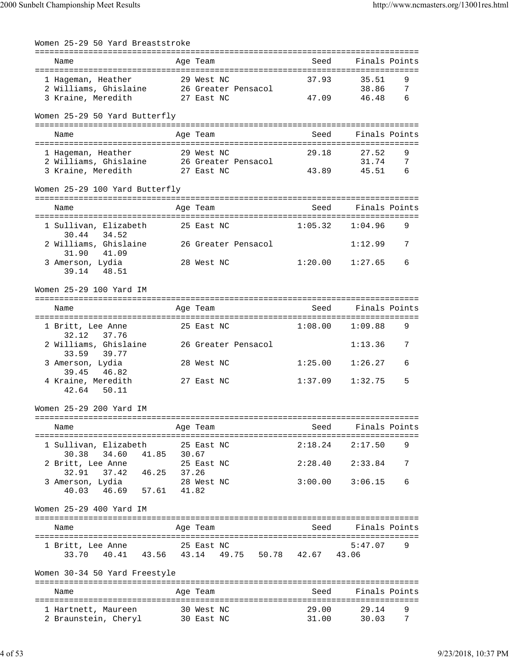| Women 25-29 50 Yard Breaststroke                                                                    |       |                          |                     |                |                         |             |
|-----------------------------------------------------------------------------------------------------|-------|--------------------------|---------------------|----------------|-------------------------|-------------|
| Name                                                                                                |       | Age Team                 |                     | Seed           | Finals Points           |             |
| 1 Hageman, Heather<br>2 Williams, Ghislaine<br>3 Kraine, Meredith                                   |       | 29 West NC<br>27 East NC | 26 Greater Pensacol | 37.93<br>47.09 | 35.51<br>38.86<br>46.48 | 9<br>7<br>6 |
| Women 25-29 50 Yard Butterfly                                                                       |       |                          |                     |                |                         |             |
| Name                                                                                                |       | Age Team                 |                     | Seed           | Finals Points           |             |
| 1 Hageman, Heather<br>2 Williams, Ghislaine 26 Greater Pensacol<br>3 Kraine, Meredith<br>27 East NC |       | 29 West NC               |                     | 29.18<br>43.89 | 27.52<br>31.74<br>45.51 | 9<br>7<br>6 |
| Women 25-29 100 Yard Butterfly                                                                      |       |                          |                     |                |                         |             |
| Name                                                                                                |       | Age Team                 |                     | Seed           | Finals Points           |             |
| 1 Sullivan, Elizabeth 25 East NC                                                                    |       |                          |                     | 1:05.32        | 1:04.96                 | 9           |
| 30.44<br>34.52<br>2 Williams, Ghislaine 26 Greater Pensacol<br>31.90 41.09                          |       |                          |                     |                | 1:12.99                 | 7           |
| 3 Amerson, Lydia<br>39.14 48.51                                                                     |       | 28 West NC               |                     | 1:20.00        | 1:27.65                 | 6           |
| Women 25-29 100 Yard IM                                                                             |       |                          |                     |                |                         |             |
| Name                                                                                                |       | Age Team                 |                     | Seed           | Finals Points           |             |
| 1 Britt, Lee Anne<br>32.12<br>37.76                                                                 |       | 25 East NC               |                     | 1:08.00        | 1:09.88                 | 9           |
| 2 Williams, Ghislaine<br>33.59<br>39.77                                                             |       |                          | 26 Greater Pensacol |                | 1:13.36                 | 7           |
| 3 Amerson, Lydia<br>39.45 46.82                                                                     |       | 28 West NC               |                     | 1:25.00        | 1:26.27                 | 6           |
| 4 Kraine, Meredith<br>42.64<br>50.11                                                                |       | 27 East NC               |                     | 1:37.09        | 1:32.75                 | 5           |
| Women 25-29 200 Yard IM                                                                             |       |                          |                     |                |                         |             |
| Name                                                                                                |       | Age Team                 |                     | Seed           | Finals Points           |             |
| 1 Sullivan, Elizabeth                                                                               |       | 25 East NC               |                     | 2:18.24        | 2:17.50                 | 9           |
| 30.38<br>34.60<br>41.85<br>2 Britt, Lee Anne                                                        | 30.67 | 25 East NC               |                     | 2:28.40        | 2:33.84                 | 7           |
| 37.42 46.25 37.26<br>32.91<br>3 Amerson, Lydia<br>40.03  46.69  57.61                               | 41.82 | 28 West NC               |                     | 3:00.00        | 3:06.15                 | 6           |
| Women 25-29 400 Yard IM                                                                             |       |                          |                     |                |                         |             |
| Name                                                                                                |       | Age Team                 |                     | Seed           | Finals Points           |             |
| 1 Britt, Lee Anne<br>40.41 43.56 43.14 49.75 50.78 42.67 43.06<br>33.70                             |       | 25 East NC               |                     |                | 5:47.07                 | 9           |
| Women 30-34 50 Yard Freestyle                                                                       |       |                          |                     |                |                         |             |
| Name                                                                                                |       | Age Team                 |                     | Seed           | Finals Points           |             |
| 1 Hartnett, Maureen<br>2 Braunstein, Cheryl                                                         |       | 30 West NC<br>30 East NC |                     | 29.00<br>31.00 | 29.14<br>30.03          | 9<br>7      |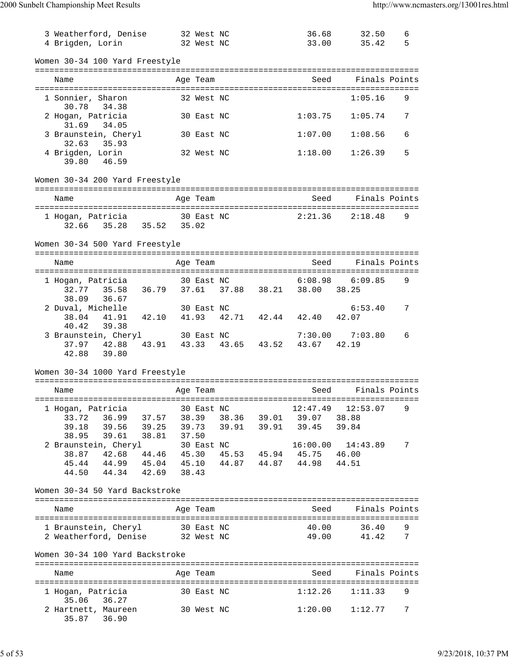| 3 Weatherford, Denise<br>4 Brigden, Lorin                                                                                                                       | 32 West NC<br>32 West NC |  | 36.68<br>33.00                     | 32.50<br>35.42              | 6<br>5 |
|-----------------------------------------------------------------------------------------------------------------------------------------------------------------|--------------------------|--|------------------------------------|-----------------------------|--------|
|                                                                                                                                                                 |                          |  |                                    |                             |        |
| Women 30-34 100 Yard Freestyle                                                                                                                                  |                          |  |                                    |                             |        |
| Name                                                                                                                                                            | Age Team                 |  | Seed                               | Finals Points               |        |
| 1 Sonnier, Sharon<br>30.78<br>34.38                                                                                                                             | 32 West NC               |  |                                    | 1:05.16                     | 9      |
| 2 Hogan, Patricia<br>31.69<br>34.05                                                                                                                             | 30 East NC               |  | 1:03.75                            | 1:05.74                     | 7      |
| 3 Braunstein, Cheryl<br>32.63<br>35.93                                                                                                                          | 30 East NC               |  | 1:07.00                            | 1:08.56                     | 6      |
| 4 Brigden, Lorin<br>39.80 46.59                                                                                                                                 | 32 West NC               |  | 1:18.00                            | 1:26.39                     | 5      |
| Women 30-34 200 Yard Freestyle                                                                                                                                  |                          |  |                                    |                             |        |
| Name                                                                                                                                                            | Age Team                 |  | Seed                               | Finals Points               |        |
| 30 East NC<br>1 Hogan, Patricia<br>32.66 35.28 35.52 35.02                                                                                                      |                          |  | 2:21.36                            | 2:18.48                     | 9      |
| Women 30-34 500 Yard Freestyle                                                                                                                                  |                          |  |                                    |                             |        |
| Name                                                                                                                                                            | Age Team                 |  | Seed                               | Finals Points               |        |
| 1 Hogan, Patricia 61 30 East NC                                                                                                                                 |                          |  |                                    | $6:08.98$ $6:09.85$         | 9      |
| 32.77   35.58   36.79   37.61   37.88   38.21   38.00   38.25<br>38.09<br>36.67                                                                                 |                          |  |                                    |                             |        |
| 2 Duval, Michelle<br>41.91  42.10  41.93  42.71  42.44  42.40  42.07<br>38.04                                                                                   | 30 East NC               |  |                                    | 6:53.40                     | 7      |
| 40.42<br>39.38<br>3 Braunstein, Cheryl<br>42.88<br>43.91 43.33<br>37.97<br>42.88<br>39.80                                                                       | 30 East NC               |  | 7:30.00<br>43.65 43.52 43.67 42.19 | 7:03.80                     | 6      |
| Women 30-34 1000 Yard Freestyle                                                                                                                                 |                          |  |                                    |                             |        |
| Name                                                                                                                                                            | Age Team                 |  | Seed                               | Finals Points               |        |
| 1 Hogan, Patricia<br>33.72 36.99 37.57<br>39.18 39.56 39.25 39.73 39.91 39.91 39.45 39.84<br>38.95 39.61 38.81 37.50                                            | 30 East NC               |  | 38.39 38.36 39.01 39.07 38.88      | $12:47.49$ $12:53.07$       | 9      |
| 2 Braunstein, Cheryl<br>38.87 42.68 44.46 45.30 45.53 45.94 45.75 46.00<br>45.44  44.99  45.04  45.10  44.87  44.87  44.98  44.51<br>44.50  44.34  42.69  38.43 | 30 East NC               |  | 16:00.00                           | 14:43.89                    | 7      |
| Women 30-34 50 Yard Backstroke                                                                                                                                  |                          |  |                                    |                             |        |
| Name                                                                                                                                                            | Age Team                 |  | Seed                               | Finals Points               |        |
| 1 Braunstein, Cheryl 30 East NC<br>2 Weatherford, Denise 32 West NC                                                                                             |                          |  |                                    | 40.00 36.40<br>49.00  41.42 | 9<br>7 |
| Women 30-34 100 Yard Backstroke                                                                                                                                 |                          |  |                                    |                             |        |
| Name                                                                                                                                                            | Age Team                 |  | Seed                               | Finals Points               |        |
| 1 Hogan, Patricia                                                                                                                                               | 30 East NC               |  | 1:12.26                            | 1:11.33                     | 9      |
| 35.06<br>36.27<br>2 Hartnett, Maureen<br>35.87 36.90                                                                                                            | 30 West NC               |  | 1:20.00                            | 1:12.77                     | 7      |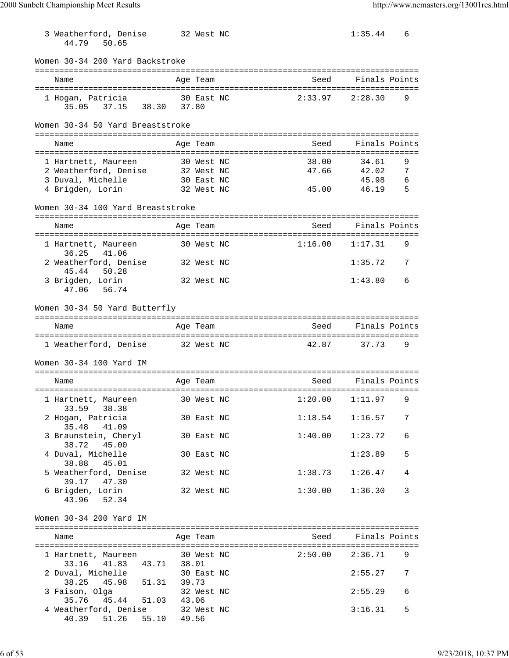| 3 Weatherford, Denise<br>44.79<br>50.65                        | 32 West NC |         | 1:35.44             | 6             |
|----------------------------------------------------------------|------------|---------|---------------------|---------------|
| Women 30-34 200 Yard Backstroke                                |            |         |                     |               |
| Name                                                           | Age Team   |         | Seed                | Finals Points |
| 30 East NC<br>1 Hogan, Patricia<br>35.05 37.15 38.30 37.80     |            |         | 2:33.97<br>2:28.30  | 9             |
| Women 30-34 50 Yard Breaststroke                               |            |         |                     |               |
| Name                                                           | Age Team   |         | Seed                | Finals Points |
| 1 Hartnett, Maureen                                            | 30 West NC |         | 38.00<br>34.61      | 9             |
| 2 Weatherford, Denise 32 West NC                               |            |         | 47.66<br>42.02      | 7             |
| 3 Duval, Michelle<br>30 East NC                                |            |         |                     | 6<br>45.98    |
| 4 Brigden, Lorin 32 West NC                                    |            |         | 45.00 46.19         | 5             |
| Women 30-34 100 Yard Breaststroke                              |            |         |                     |               |
|                                                                |            |         |                     |               |
| Name                                                           | Age Team   |         | Seed                | Finals Points |
|                                                                |            |         |                     |               |
| 1 Hartnett, Maureen<br>36.25<br>41.06                          | 30 West NC |         | $1:16.00$ $1:17.31$ | 9             |
| 2 Weatherford, Denise<br>45.44<br>50.28                        | 32 West NC |         |                     | 1:35.72<br>7  |
| 3 Brigden, Lorin<br>47.06 56.74                                | 32 West NC |         | 1:43.80             | 6             |
| Women 30-34 50 Yard Butterfly                                  |            |         |                     |               |
| Name                                                           | Age Team   |         | Seed                | Finals Points |
| 1 Weatherford, Denise 32 West NC                               |            |         | 42.87<br>37.73      | 9             |
| Women 30-34 100 Yard IM                                        |            |         |                     |               |
|                                                                |            |         |                     |               |
| Name                                                           | Age Team   |         | Seed                | Finals Points |
|                                                                |            |         |                     |               |
| 1 Hartnett, Maureen 30 West NC 1:20.00 1:11.97<br>33.59 38.38  |            |         |                     | 9             |
| 2 Hogan, Patricia<br>41.09<br>35.48                            | 30 East NC |         | $1:18.54$ $1:16.57$ | 7             |
| 3 Braunstein, Cheryl<br>45.00<br>38.72                         | 30 East NC |         | 1:40.00<br>1:23.72  | 6             |
| 4 Duval, Michelle<br>38.88<br>45.01                            | 30 East NC |         | 1:23.89             | 5             |
| 5 Weatherford, Denise<br>39.17 47.30                           | 32 West NC |         | 1:38.73<br>1:26.47  | 4             |
| 6 Brigden, Lorin<br>43.96 52.34                                | 32 West NC |         | 1:30.00<br>1:36.30  | 3             |
|                                                                |            |         |                     |               |
| Women 30-34 200 Yard IM                                        |            |         |                     |               |
| Name                                                           | Age Team   |         | Seed Finals Points  |               |
|                                                                |            |         |                     |               |
| 1 Hartnett, Maureen 30 West NC<br>41.83  43.71  38.01<br>33.16 |            | 2:50.00 | 2:36.71             | 9             |
| 2 Duval, Michelle<br>38.25 45.98 51.31 39.73                   | 30 East NC |         |                     | 2:55.27<br>7  |
| 3 Faison, Olga                                                 | 32 West NC |         |                     | 2:55.29<br>6  |
| 35.76 45.44 51.03 43.06                                        |            |         |                     |               |
| 4 Weatherford, Denise                                          | 32 West NC |         | 3:16.31             | 5             |
| 40.39<br>51.26<br>55.10 49.56                                  |            |         |                     |               |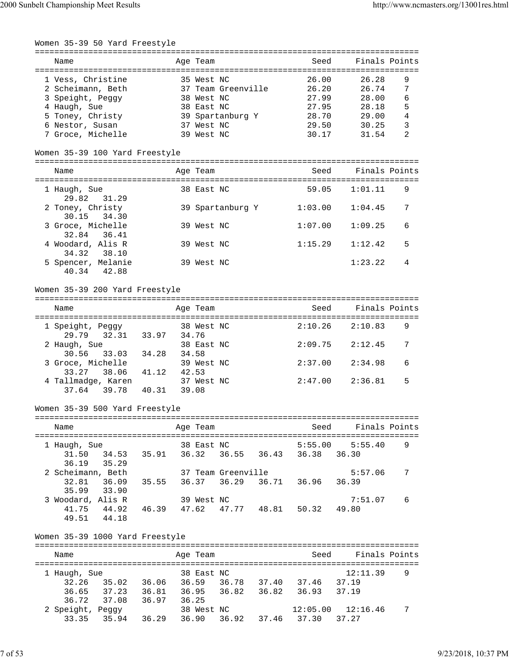| Women 35-39 50 Yard Freestyle                                                      |                                                 |            |                    |         |                       |                |
|------------------------------------------------------------------------------------|-------------------------------------------------|------------|--------------------|---------|-----------------------|----------------|
| Name                                                                               |                                                 | Age Team   |                    | Seed    |                       | Finals Points  |
| 1 Vess, Christine                                                                  |                                                 | 35 West NC |                    | 26.00   | 26.28                 | 9              |
| 2 Scheimann, Beth                                                                  |                                                 |            | 37 Team Greenville | 26.20   | 26.74                 | 7              |
| 3 Speight, Peggy                                                                   |                                                 | 38 West NC |                    | 27.99   | 28.00                 | 6              |
| 4 Haugh, Sue                                                                       |                                                 | 38 East NC |                    | 27.95   | 28.18                 | 5              |
| 5 Toney, Christy                                                                   |                                                 |            | 39 Spartanburg Y   | 28.70   | 29.00                 | 4              |
|                                                                                    |                                                 | 37 West NC |                    | 29.50   | 30.25                 | 3              |
| 6 Nestor, Susan                                                                    |                                                 |            |                    |         |                       |                |
| 7 Groce, Michelle                                                                  |                                                 | 39 West NC |                    | 30.17   | 31.54                 | $\overline{2}$ |
| Women 35-39 100 Yard Freestyle                                                     |                                                 |            |                    |         |                       |                |
| Name                                                                               |                                                 | Age Team   |                    | Seed    | Finals Points         |                |
| 1 Haugh, Sue                                                                       |                                                 | 38 East NC |                    | 59.05   | 1:01.11               | 9              |
| 31.29<br>29.82                                                                     |                                                 |            |                    |         |                       |                |
| 2 Toney, Christy<br>30.15<br>34.30                                                 |                                                 |            | 39 Spartanburg Y   | 1:03.00 | 1:04.45               | 7              |
| 3 Groce, Michelle                                                                  |                                                 | 39 West NC |                    | 1:07.00 | 1:09.25               | 6              |
| 32.84 36.41                                                                        |                                                 |            |                    |         |                       |                |
| 4 Woodard, Alis R<br>34.32<br>38.10                                                |                                                 | 39 West NC |                    | 1:15.29 | 1:12.42               | 5              |
| 5 Spencer, Melanie                                                                 |                                                 | 39 West NC |                    |         | 1:23.22               | 4              |
| 40.34 42.88                                                                        |                                                 |            |                    |         |                       |                |
| Women 35-39 200 Yard Freestyle                                                     |                                                 |            |                    |         |                       |                |
|                                                                                    |                                                 |            |                    |         |                       |                |
| Name                                                                               |                                                 | Age Team   |                    | Seed    | Finals Points         |                |
| 1 Speight, Peggy                                                                   |                                                 | 38 West NC |                    | 2:10.26 | 2:10.83               | 9              |
| 29.79                                                                              | 32.31 33.97 34.76                               |            |                    |         |                       |                |
| 2 Haugh, Sue                                                                       |                                                 | 38 East NC |                    | 2:09.75 | 2:12.45               | 7              |
| 30.56<br>33.03 34.28                                                               |                                                 |            |                    |         |                       |                |
|                                                                                    |                                                 | 34.58      |                    |         | 2:34.98               |                |
| 3 Groce, Michelle                                                                  |                                                 | 39 West NC |                    | 2:37.00 |                       | 6              |
| 33.27 38.06                                                                        | 41.12                                           | 42.53      |                    |         |                       |                |
| 4 Tallmadge, Karen                                                                 |                                                 | 37 West NC |                    | 2:47.00 | 2:36.81               | 5              |
| 37.64 39.78 40.31 39.08                                                            |                                                 |            |                    |         |                       |                |
| Women 35-39 500 Yard Freestyle                                                     |                                                 |            |                    |         |                       |                |
|                                                                                    |                                                 |            |                    |         |                       |                |
| Name                                                                               |                                                 | Age Team   |                    | Seed    |                       | Finals Points  |
|                                                                                    |                                                 |            |                    |         |                       |                |
| 1 Haugh, Sue                                                                       |                                                 |            | 38 East NC         |         | $5:55.00$ $5:55.40$   | 9              |
| 31.50  34.53  35.91  36.32  36.55  36.43  36.38  36.30                             |                                                 |            |                    |         |                       |                |
| 35.29<br>36.19                                                                     |                                                 |            |                    |         |                       |                |
| 2 Scheimann, Beth                                                                  |                                                 |            | 37 Team Greenville |         | 5:57.06               | 7              |
| 32.81                                                                              | 36.09  35.55  36.37  36.29  36.71  36.96        |            |                    |         | 36.39                 |                |
| 35.99 33.90                                                                        |                                                 |            |                    |         |                       |                |
|                                                                                    |                                                 |            |                    |         | 7:51.07               | 6              |
| 3 Woodard, Alis R 39 West NC 7:<br>41.75 44.92 46.39 47.62 47.77 48.81 50.32 49.80 |                                                 |            |                    |         |                       |                |
| 49.51 44.18                                                                        |                                                 |            |                    |         |                       |                |
| Women 35-39 1000 Yard Freestyle                                                    |                                                 |            |                    |         |                       |                |
|                                                                                    |                                                 |            |                    |         |                       |                |
| Name                                                                               |                                                 | Age Team   |                    |         | Seed Finals Points    |                |
| 1 Haugh, Sue                                                                       |                                                 | 38 East NC |                    |         | 12:11.39              | 9              |
| 32.26                                                                              | 35.02  36.06  36.59  36.78  37.40  37.46  37.19 |            |                    |         |                       |                |
|                                                                                    |                                                 |            |                    |         |                       |                |
| 36.65 37.23 36.81 36.95 36.82 36.82 36.93 37.19                                    |                                                 |            |                    |         |                       |                |
| 36.72                                                                              | 37.08 36.97 36.25                               |            |                    |         |                       |                |
| 2 Speight, Peggy                                                                   |                                                 |            | 38 West NC         |         | $12:05.00$ $12:16.46$ | 7              |
| 33.35                                                                              | 35.94 36.29 36.90 36.92 37.46 37.30 37.27       |            |                    |         |                       |                |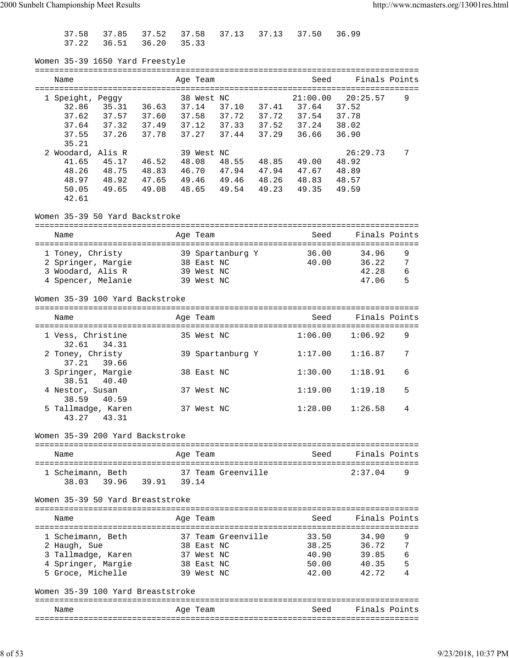| 37.58<br>37.22              | 37.85<br>36.51                    | 37.52<br>36.20 |       | 37.58<br>35.33 | 37.13              | 37.13            | 37.50          | 36.99              |               |
|-----------------------------|-----------------------------------|----------------|-------|----------------|--------------------|------------------|----------------|--------------------|---------------|
|                             | Women 35-39 1650 Yard Freestyle   |                |       |                |                    |                  |                |                    |               |
| Name                        |                                   |                |       | Age Team       |                    |                  | Seed           |                    | Finals Points |
| 1 Speight, Peggy            |                                   |                |       | 38 West NC     |                    |                  | 21:00.00       | 20:25.57           | 9             |
| 32.86                       | 35.31                             | 36.63          |       | 37.14          | 37.10              | 37.41            | 37.64          | 37.52              |               |
| 37.62                       | 37.57                             | 37.60          |       | 37.58          | 37.72              | 37.72            | 37.54          | 37.78              |               |
| 37.64                       | 37.32                             | 37.49          |       | 37.12          | 37.33              | 37.52            | 37.24          | 38.02              |               |
| 37.55<br>35.21              | 37.26                             | 37.78          |       | 37.27          | 37.44              | 37.29            | 36.66          | 36.90              |               |
| 2 Woodard, Alis R           |                                   |                |       | 39 West NC     |                    |                  |                | 26:29.73           | 7             |
| 41.65<br>48.26              | 45.17<br>48.75                    | 46.52<br>48.83 |       | 48.08<br>46.70 | 48.55<br>47.94     | 48.85<br>47.94   | 49.00<br>47.67 | 48.92<br>48.89     |               |
| 48.97                       | 48.92                             | 47.65          | 49.46 |                | 49.46              | 48.26            | 48.83          | 48.57              |               |
| 50.05                       | 49.65                             | 49.08          |       | 48.65          | 49.54              | 49.23            | 49.35          | 49.59              |               |
| 42.61                       |                                   |                |       |                |                    |                  |                |                    |               |
|                             | Women 35-39 50 Yard Backstroke    |                |       |                |                    |                  |                |                    |               |
| Name                        |                                   |                |       | Age Team       |                    |                  | Seed           |                    | Finals Points |
| 1 Toney, Christy            |                                   |                |       |                | 39 Spartanburg Y   |                  | 36.00          | 34.96              | 9             |
|                             | 2 Springer, Margie 38 East NC     |                |       |                |                    |                  | 40.00          | 36.22              | 7             |
| 3 Woodard, Alis R           |                                   |                |       | 39 West NC     |                    |                  |                | 42.28              | 6             |
| 4 Spencer, Melanie          |                                   |                |       | 39 West NC     |                    |                  |                | 47.06              | 5             |
|                             | Women 35-39 100 Yard Backstroke   |                |       |                |                    |                  |                |                    |               |
| Name                        |                                   |                |       |                |                    |                  | Seed           |                    | Finals Points |
|                             |                                   |                |       | Age Team       |                    |                  |                |                    |               |
| 1 Vess, Christine<br>32.61  | 34.31                             |                |       | 35 West NC     |                    |                  | 1:06.00        | 1:06.92            | 9             |
| 2 Toney, Christy<br>37.21   | 39.66                             |                |       |                |                    | 39 Spartanburg Y | 1:17.00        | 1:16.87            | 7             |
| 3 Springer, Margie<br>38.51 | 40.40                             |                |       | 38 East NC     |                    |                  | 1:30.00        | 1:18.91            | 6             |
| 4 Nestor, Susan             | 38.59 40.59                       |                |       | 37 West NC     |                    |                  | 1:19.00        | 1:19.18            | 5             |
| 5 Tallmadge, Karen<br>43.27 | 43.31                             |                |       | 37 West NC     |                    |                  | 1:28.00        | 1:26.58            | 4             |
|                             | Women 35-39 200 Yard Backstroke   |                |       |                |                    |                  |                |                    |               |
| Name                        |                                   |                |       |                |                    |                  |                | Seed Finals Points |               |
|                             |                                   |                |       | Age Team       |                    |                  |                |                    |               |
| 1 Scheimann, Beth<br>38.03  | 39.96                             | 39.91 39.14    |       |                | 37 Team Greenville |                  |                | 2:37.04            | 9             |
|                             | Women 35-39 50 Yard Breaststroke  |                |       |                |                    |                  |                |                    |               |
|                             |                                   |                |       |                |                    |                  |                |                    |               |
| Name                        |                                   |                |       | Age Team       |                    |                  | Seed           |                    | Finals Points |
| 1 Scheimann, Beth           |                                   |                |       |                | 37 Team Greenville |                  | 33.50          | 34.90              | 9             |
| 2 Haugh, Sue                |                                   |                |       | 38 East NC     |                    |                  | 38.25          | 36.72              | 7             |
| 3 Tallmadge, Karen          |                                   |                |       | 37 West NC     |                    |                  | 40.90          | 39.85              | 6             |
| 4 Springer, Margie          |                                   |                |       | 38 East NC     |                    |                  | 50.00          | 40.35              | 5             |
| 5 Groce, Michelle           |                                   |                |       | 39 West NC     |                    |                  | 42.00          | 42.72              | 4             |
|                             | Women 35-39 100 Yard Breaststroke |                |       |                |                    |                  |                |                    |               |
| Name                        |                                   |                |       | Age Team       |                    |                  | Seed           |                    | Finals Points |
|                             |                                   |                |       |                |                    |                  |                |                    |               |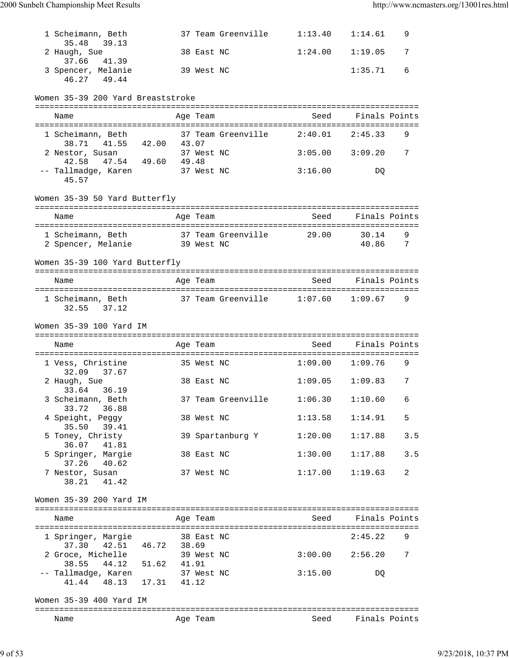| 1 Scheimann, Beth<br>35.48<br>39.13               |            |            | 37 Team Greenville         | 1:13.40             | 1:14.61        | 9      |
|---------------------------------------------------|------------|------------|----------------------------|---------------------|----------------|--------|
| 2 Haugh, Sue<br>37.66<br>41.39                    |            | 38 East NC |                            | 1:24.00             | 1:19.05        | 7      |
| 3 Spencer, Melanie<br>46.27<br>49.44              |            | 39 West NC |                            |                     | 1:35.71        | 6      |
| Women 35-39 200 Yard Breaststroke                 |            |            |                            |                     |                |        |
| Name                                              |            | Age Team   |                            | Seed                | Finals Points  |        |
| 1 Scheimann, Beth<br>38.71 41.55 42.00 43.07      |            |            | 37 Team Greenville 2:40.01 |                     | 2:45.33        | 9      |
| 2 Nestor, Susan<br>47.54 49.60 49.48<br>42.58     |            | 37 West NC |                            | 3:05.00             | 3:09.20        | 7      |
| -- Tallmadge, Karen 37 West NC<br>45.57           |            |            |                            | 3:16.00             | DO.            |        |
| Women 35-39 50 Yard Butterfly                     |            |            |                            |                     |                |        |
| Name                                              |            | Age Team   |                            | Seed                | Finals Points  |        |
| 1 Scheimann, Beth<br>2 Spencer, Melanie           | 39 West NC |            | 37 Team Greenville 29.00   |                     | 30.14<br>40.86 | 9<br>7 |
| Women 35-39 100 Yard Butterfly                    |            |            |                            |                     |                |        |
| Name                                              |            | Age Team   |                            | Seed                | Finals Points  |        |
| 1 Scheimann, Beth<br>37.12<br>32.55               |            |            | 37 Team Greenville 1:07.60 |                     | 1:09.67        | 9      |
| Women 35-39 100 Yard IM                           |            |            |                            |                     |                |        |
| Name                                              |            | Age Team   |                            | Seed                | Finals Points  |        |
| 1 Vess, Christine<br>32.09<br>37.67               | 35 West NC |            |                            | $1:09.00$ $1:09.76$ |                | 9      |
| 2 Haugh, Sue<br>33.64 36.19                       |            | 38 East NC |                            | 1:09.05             | 1:09.83        | 7      |
| 3 Scheimann, Beth<br>33.72<br>36.88               |            |            |                            |                     |                |        |
| 4 Speight, Peggy<br>35.50<br>39.41                |            | 38 West NC |                            | 1:13.58             | 1:14.91        | 5      |
| 5 Toney, Christy<br>36.07<br>41.81                |            |            | 39 Spartanburg Y           | 1:20.00             | 1:17.88        | 3.5    |
| 5 Springer, Margie<br>37.26<br>40.62              |            | 38 East NC |                            | 1:30.00             | 1:17.88        | 3.5    |
| 7 Nestor, Susan<br>38.21<br>41.42                 |            | 37 West NC |                            | 1:17.00             | 1:19.63        | 2      |
| Women 35-39 200 Yard IM                           |            |            |                            |                     |                |        |
| Name                                              |            | Age Team   |                            | Seed                | Finals Points  |        |
| 1 Springer, Margie                                |            | 38 East NC |                            |                     | 2:45.22        | 9      |
| 37.30<br>42.51  46.72  38.69<br>2 Groce, Michelle |            | 39 West NC |                            | 3:00.00             | 2:56.20        | 7      |
| 38.55<br>44.12 51.62<br>-- Tallmadge, Karen       | 41.91      | 37 West NC |                            | 3:15.00             | DQ             |        |
| 48.13 17.31<br>41.44                              | 41.12      |            |                            |                     |                |        |
| Women 35-39 400 Yard IM                           |            |            |                            |                     |                |        |
| Name                                              |            | Age Team   |                            | Seed                | Finals Points  |        |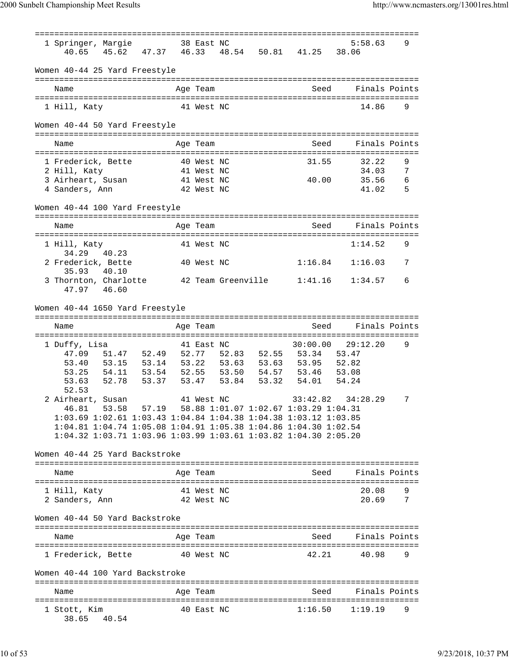=============================================================================== 1 Springer, Margie 38 East NC 40.65 45.62 47.37 46.33 48.54 50.81 41.25 38.06 Women 40-44 25 Yard Freestyle =============================================================================== Name Age Team Seed Finals Points =============================================================================== 1 Hill, Katy 41 West NC 14.86 9 Women 40-44 50 Yard Freestyle =============================================================================== Age Team Seed Finals Points =============================================================================== 1 Frederick, Bette 40 West NC 31.55 32.22 9 2 Hill, Katy 41 West NC 34.03 7 3 Airheart, Susan 41 West NC 40.00 35.56 6 4 Sanders, Ann 42 West NC 41.02 5 Women 40-44 100 Yard Freestyle =============================================================================== Name Age Team Seed Finals Points =============================================================================== 1 Hill, Katy 41 West NC 1:14.52 9 34.29 40.23 2 Frederick, Bette 40 West NC 1:16.84 1:16.03 7 35.93 40.10<br>3 Thornton, Charlotte 42 Team Greenville 1:41.16 1:34.57 6 47.97 46.60 Women 40-44 1650 Yard Freestyle =============================================================================== Name and Age Team Seed Finals Points =============================================================================== 1 Duffy, Lisa 41 East NC 30:00.00 29:12.20 9 47.09 51.47 52.49 52.77 52.83 52.55 53.34 53.47 53.40 53.15 53.14 53.22 53.63 53.63 53.95 52.82 53.25 54.11 53.54 52.55 53.50 54.57 53.46 53.08 53.63 52.78 53.37 53.47 53.84 53.32 54.01 54.24 52.53<br>2 Airheart, Susan 41 West NC 33:42.82 34:28.29 7 46.81 53.58 57.19 58.88 1:01.07 1:02.67 1:03.29 1:04.31 1:03.69 1:02.61 1:03.43 1:04.84 1:04.38 1:04.38 1:03.12 1:03.85 1:04.81 1:04.74 1:05.08 1:04.91 1:05.38 1:04.86 1:04.30 1:02.54 1:04.32 1:03.71 1:03.96 1:03.99 1:03.61 1:03.82 1:04.30 2:05.20 Women 40-44 25 Yard Backstroke =============================================================================== Name Age Team Seed Finals Points Age Team Seed Finals Points =============================================================================== 1 Hill, Katy 61 West NC 2 Sanders, Ann 12 West NC Women 40-44 50 Yard Backstroke =============================================================================== Name Age Team Seed Finals Points =============================================================================== 1 Frederick, Bette 40 West NC 42.21 40.98 9 Women 40-44 100 Yard Backstroke =============================================================================== Name and Age Team Seed Finals Points =============================================================================== 1 Stott, Kim 40 East NC 1:16.50 1:19.19 9 38.65 40.54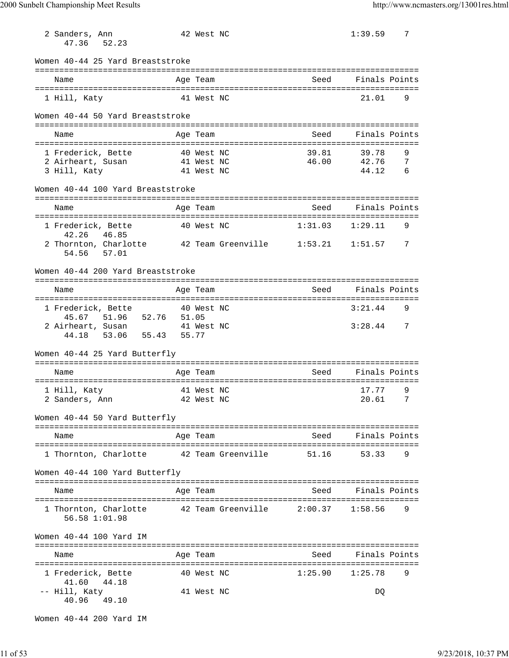| 2 Sanders, Ann<br>47.36           | 52.23 |                                                      | 42 West NC |                                                      | 1:39.59            | 7       |
|-----------------------------------|-------|------------------------------------------------------|------------|------------------------------------------------------|--------------------|---------|
|                                   |       | Women 40-44 25 Yard Breaststroke                     |            |                                                      |                    |         |
| Name                              |       |                                                      | Age Team   | Seed                                                 | Finals Points      |         |
| 1 Hill, Katy                      |       |                                                      | 41 West NC |                                                      | 21.01              | 9       |
|                                   |       | Women 40-44 50 Yard Breaststroke                     |            |                                                      |                    |         |
| Name                              |       |                                                      | Age Team   | Seed                                                 | Finals Points      |         |
|                                   |       |                                                      |            |                                                      |                    |         |
| 1 Frederick, Bette                |       |                                                      | 40 West NC | 39.81                                                | 39.78              | 9       |
| 2 Airheart, Susan                 |       |                                                      | 41 West NC | 46.00                                                | 42.76              | 7       |
| 3 Hill, Katy                      |       |                                                      | 41 West NC |                                                      | 44.12              | 6       |
|                                   |       | Women 40-44 100 Yard Breaststroke                    |            |                                                      |                    |         |
| Name                              |       |                                                      | Age Team   | Seed                                                 | Finals Points      |         |
|                                   |       |                                                      |            |                                                      |                    |         |
| 1 Frederick, Bette<br>42.26 46.85 |       |                                                      | 40 West NC | 1:31.03                                              | 1:29.11            | 9       |
| 54.56 57.01                       |       |                                                      |            | 2 Thornton, Charlotte 42 Team Greenville 1:53.21     | 1:51.57            | 7       |
|                                   |       | Women 40-44 200 Yard Breaststroke                    |            |                                                      |                    |         |
| Name                              |       |                                                      | Age Team   | Seed                                                 | Finals Points      |         |
|                                   |       |                                                      |            |                                                      |                    |         |
|                                   |       | 1 Frederick, Bette 40 West NC                        |            |                                                      | 3:21.44            | 9       |
| 45.67                             | 51.96 | 52.76 51.05                                          |            |                                                      |                    |         |
|                                   |       | 2 Airheart, Susan 41 West<br>44.18 53.06 55.43 55.77 | 41 West NC |                                                      | 3:28.44            | 7       |
| Women 40-44 25 Yard Butterfly     |       |                                                      |            |                                                      |                    |         |
|                                   |       |                                                      |            |                                                      |                    |         |
| Name                              |       |                                                      | Age Team   | Seed                                                 | Finals Points      |         |
| 1 Hill, Katy                      |       |                                                      | 41 West NC |                                                      | 17.77              | 9       |
| 2 Sanders, Ann                    |       | 42 West NC                                           |            |                                                      |                    | 20.61 7 |
| Women 40-44 50 Yard Butterfly     |       |                                                      |            |                                                      |                    |         |
| Name                              |       |                                                      | Age Team   |                                                      | Seed Finals Points |         |
|                                   |       |                                                      |            |                                                      |                    |         |
|                                   |       |                                                      |            | 1 Thornton, Charlotte 42 Team Greenville 51.16 53.33 |                    | 9       |
| Women 40-44 100 Yard Butterfly    |       |                                                      |            |                                                      |                    |         |
| Name                              |       |                                                      | Age Team   | Seed                                                 | Finals Points      |         |
| 56.58 1:01.98                     |       |                                                      |            | 1 Thornton, Charlotte 42 Team Greenville 2:00.37     | 1:58.56            | 9       |
| Women 40-44 100 Yard IM           |       |                                                      |            |                                                      |                    |         |
| Name                              |       |                                                      | Age Team   |                                                      | Seed Finals Points |         |
|                                   |       |                                                      |            |                                                      |                    |         |
| 1 Frederick, Bette<br>41.60       | 44.18 |                                                      | 40 West NC | 1:25.90                                              | 1:25.78            | 9       |
| -- Hill, Katy<br>40.96            | 49.10 |                                                      | 41 West NC |                                                      | DQ                 |         |

Women 40-44 200 Yard IM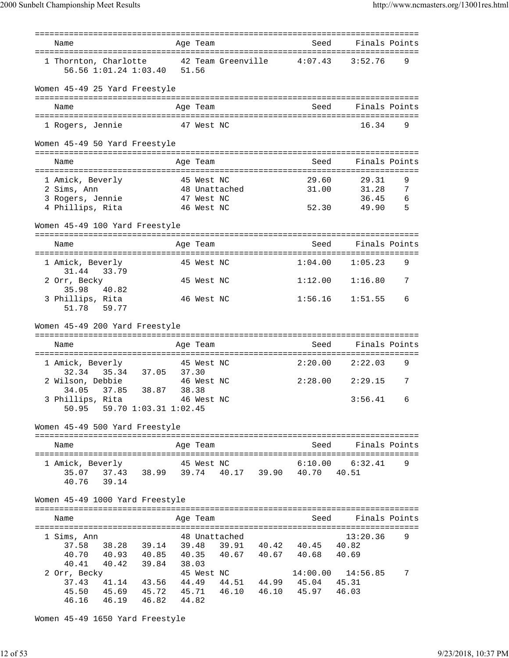| Name                                                 |       | Age Team   |                    | Seed                       | Finals Points |               |
|------------------------------------------------------|-------|------------|--------------------|----------------------------|---------------|---------------|
| 1 Thornton, Charlotte<br>56.56 1:01.24 1:03.40 51.56 |       |            | 42 Team Greenville | 4:07.43                    | 3:52.76       | 9             |
| Women 45-49 25 Yard Freestyle                        |       |            |                    |                            |               |               |
| Name                                                 |       | Age Team   |                    | Seed                       | Finals Points |               |
| 1 Rogers, Jennie                                     |       | 47 West NC |                    |                            | 16.34         | 9             |
| Women 45-49 50 Yard Freestyle                        |       |            |                    |                            |               |               |
|                                                      |       |            |                    | -------------------------- |               |               |
| Name                                                 |       | Age Team   |                    | Seed                       |               | Finals Points |
|                                                      |       | 45 West NC |                    | 29.60                      | 29.31         | 9             |
| 1 Amick, Beverly<br>2 Sims, Ann                      |       |            | 48 Unattached      | 31.00                      | 31.28         | 7             |
| 3 Rogers, Jennie                                     |       | 47 West NC |                    |                            | 36.45         | 6             |
| 4 Phillips, Rita                                     |       | 46 West NC |                    | 52.30                      | 49.90         | 5             |
| Women 45-49 100 Yard Freestyle                       |       |            |                    |                            |               |               |
|                                                      |       |            |                    | Seed                       | Finals Points |               |
| Name                                                 |       | Age Team   |                    |                            |               |               |
| 1 Amick, Beverly<br>31.44<br>33.79                   |       | 45 West NC |                    | 1:04.00                    | 1:05.23       | 9             |
| 2 Orr, Becky<br>35.98<br>40.82                       |       | 45 West NC |                    | 1:12.00                    | 1:16.80       | 7             |
| 3 Phillips, Rita<br>51.78 59.77                      |       | 46 West NC |                    | 1:56.16                    | 1:51.55       | 6             |
|                                                      |       |            |                    |                            |               |               |
| Women 45-49 200 Yard Freestyle                       |       |            |                    |                            |               |               |
| Name                                                 |       | Age Team   |                    | Seed                       | Finals Points |               |
| 1 Amick, Beverly                                     |       | 45 West NC |                    | 2:20.00                    | 2:22.03       | 9             |
| 35.34 37.05 37.30<br>32.34<br>2 Wilson, Debbie       |       | 46 West NC |                    | 2:28.00                    | 2:29.15       | 7             |
| 37.85<br>38.87<br>34.05<br>3 Phillips, Rita          | 38.38 | 46 West NC |                    |                            | 3:56.41       | 6             |
| 59.70 1:03.31 1:02.45<br>50.95                       |       |            |                    |                            |               |               |
| Women 45-49 500 Yard Freestyle                       |       |            |                    |                            |               |               |
|                                                      |       |            |                    |                            |               |               |
| Name                                                 |       | Age Team   |                    | Seed                       |               | Finals Points |
| 1 Amick, Beverly                                     |       | 45 West NC |                    | 6:10.00                    | 6:32.41       | 9             |
| 35.07 37.43 38.99 39.74 40.17 39.90 40.70            |       |            |                    |                            | 40.51         |               |
| 39.14<br>40.76                                       |       |            |                    |                            |               |               |
| Women 45-49 1000 Yard Freestyle                      |       |            |                    |                            |               |               |
|                                                      |       |            |                    |                            |               |               |
| Name                                                 |       | Age Team   |                    | Seed                       | Finals Points |               |
| 1 Sims, Ann                                          |       |            | 48 Unattached      |                            | 13:20.36      | 9             |
| 38.28 39.14 39.48<br>37.58                           |       |            | 39.91              | 40.42 40.45 40.82          |               |               |
| 40.70<br>40.93 40.85                                 |       |            | 40.35 40.67        | 40.67 40.68                | 40.69         |               |
| 40.42<br>40.41<br>39.84                              | 38.03 |            |                    |                            |               |               |
| 2 Orr, Becky                                         |       | 45 West NC |                    | 14:00.00                   | 14:56.85      | 7             |
| 41.14 43.56 44.49 44.51 44.99 45.04<br>37.43         |       |            |                    |                            | 45.31         |               |
| 45.50<br>45.69  45.72  45.71                         |       |            |                    | 46.10  46.10  45.97        | 46.03         |               |
| 46.16<br>46.19 46.82                                 | 44.82 |            |                    |                            |               |               |

Women 45-49 1650 Yard Freestyle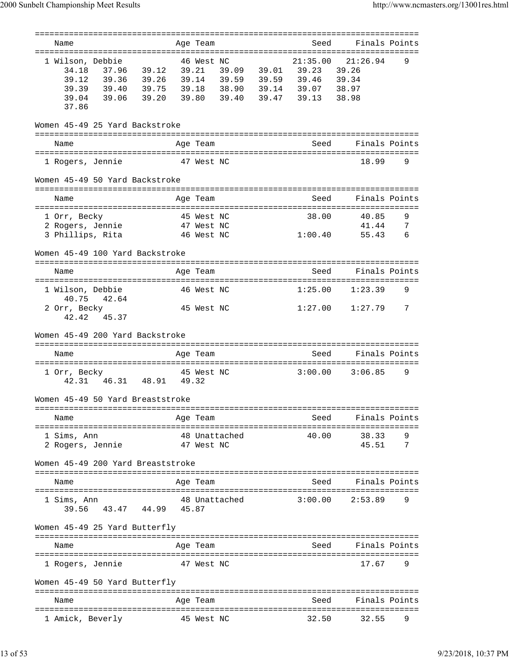| Name                                 |       |             |       | Age Team                 |                   |             | Seed                               |                                     | Finals Points |
|--------------------------------------|-------|-------------|-------|--------------------------|-------------------|-------------|------------------------------------|-------------------------------------|---------------|
| 1 Wilson, Debbie                     |       |             |       | 46 West NC               |                   |             | 21:35.00                           | 21:26.94                            | 9             |
| 34.18                                | 37.96 | 39.12       |       | 39.21                    | 39.09             | 39.01       | 39.23                              | 39.26                               |               |
| 39.12                                | 39.36 | 39.26       |       | 39.14                    | 39.59             | 39.59       | 39.46                              | 39.34                               |               |
| 39.39                                | 39.40 | 39.75       | 39.18 |                          | 38.90             | 39.14 39.07 |                                    | 38.97                               |               |
| 39.04                                | 39.06 | 39.20       |       | 39.80                    | 39.40             |             | 39.47 39.13                        | 38.98                               |               |
| 37.86                                |       |             |       |                          |                   |             |                                    |                                     |               |
|                                      |       |             |       |                          |                   |             |                                    |                                     |               |
| Women 45-49 25 Yard Backstroke       |       |             |       |                          |                   |             |                                    |                                     |               |
| Name                                 |       |             |       | Age Team                 |                   |             | Seed                               |                                     | Finals Points |
| ================<br>1 Rogers, Jennie |       |             |       | 47 West NC               |                   |             |                                    | ==========================<br>18.99 | 9             |
|                                      |       |             |       |                          |                   |             |                                    |                                     |               |
| Women 45-49 50 Yard Backstroke       |       |             |       |                          |                   |             |                                    |                                     |               |
| Name                                 |       |             |       | Age Team                 |                   |             | Seed                               |                                     | Finals Points |
|                                      |       |             |       |                          |                   |             |                                    |                                     |               |
| 1 Orr, Becky                         |       |             |       | 45 West NC               |                   |             | 38.00                              | 40.85<br>41.44                      | 9<br>7        |
| 2 Rogers, Jennie                     |       |             |       | 47 West NC<br>46 West NC |                   |             | 1:00.40                            |                                     | 6             |
| 3 Phillips, Rita                     |       |             |       |                          |                   |             |                                    | 55.43                               |               |
| Women 45-49 100 Yard Backstroke      |       |             |       |                          |                   |             |                                    |                                     |               |
|                                      |       |             |       | ========                 |                   |             |                                    |                                     |               |
| Name                                 |       |             |       | Age Team<br>===========  |                   |             | Seed                               | ==============================      | Finals Points |
| 1 Wilson, Debbie                     |       |             |       | 46 West NC               |                   |             | 1:25.00                            | 1:23.39                             | 9             |
| 40.75                                | 42.64 |             |       |                          |                   |             |                                    |                                     |               |
| 2 Orr, Becky                         |       |             |       | 45 West NC               |                   |             | 1:27.00                            | 1:27.79                             | 7             |
| 42.42                                | 45.37 |             |       |                          |                   |             |                                    |                                     |               |
| Women 45-49 200 Yard Backstroke      |       |             |       |                          |                   |             |                                    |                                     |               |
| Name                                 |       |             |       | Age Team                 |                   |             | Seed                               | ===============================     | Finals Points |
|                                      |       |             |       |                          |                   |             |                                    |                                     |               |
| 1 Orr, Becky                         |       |             |       | 45 West NC               |                   |             | 3:00.00                            | 3:06.85                             | 9             |
| 42.31                                |       | 46.31 48.91 | 49.32 |                          |                   |             |                                    |                                     |               |
| Women 45-49 50 Yard Breaststroke     |       |             |       |                          |                   |             |                                    |                                     |               |
| Name                                 |       |             |       | Age Team                 |                   |             | Seed                               |                                     | Finals Points |
|                                      |       |             |       |                          |                   |             | ================================== |                                     |               |
| 1 Sims, Ann                          |       |             |       |                          | 48 Unattached     |             | 40.00                              | 38.33                               | 9             |
| 2 Rogers, Jennie                     |       |             |       | 47 West NC               |                   |             |                                    | 45.51                               | 7             |
| Women 45-49 200 Yard Breaststroke    |       |             |       |                          |                   |             |                                    |                                     |               |
|                                      |       |             |       |                          |                   |             |                                    |                                     |               |
| Name                                 |       |             |       | Age Team                 |                   |             | Seed                               |                                     | Finals Points |
| 1 Sims, Ann                          |       |             |       |                          | 48 Unattached     |             | 3:00.00                            | 2:53.89                             | 9             |
| 39.56                                |       | 43.47 44.99 | 45.87 |                          |                   |             |                                    |                                     |               |
|                                      |       |             |       |                          |                   |             |                                    |                                     |               |
| Women 45-49 25 Yard Butterfly        |       |             |       |                          | ================= |             |                                    |                                     |               |
| Name                                 |       |             |       | Age Team                 |                   |             | ===============<br>Seed            |                                     | Finals Points |
|                                      |       |             |       |                          |                   |             |                                    |                                     |               |
| 1 Rogers, Jennie                     |       |             |       | 47 West NC               |                   |             |                                    | 17.67                               | 9             |
| Women 45-49 50 Yard Butterfly        |       |             |       |                          |                   |             |                                    |                                     |               |
|                                      |       |             |       |                          |                   |             |                                    |                                     |               |
| Name                                 |       |             |       | Age Team                 |                   |             | Seed                               |                                     | Finals Points |
|                                      |       |             |       |                          |                   |             | 32.50                              | 32.55                               | 9             |
| 1 Amick, Beverly                     |       |             |       | 45 West NC               |                   |             |                                    |                                     |               |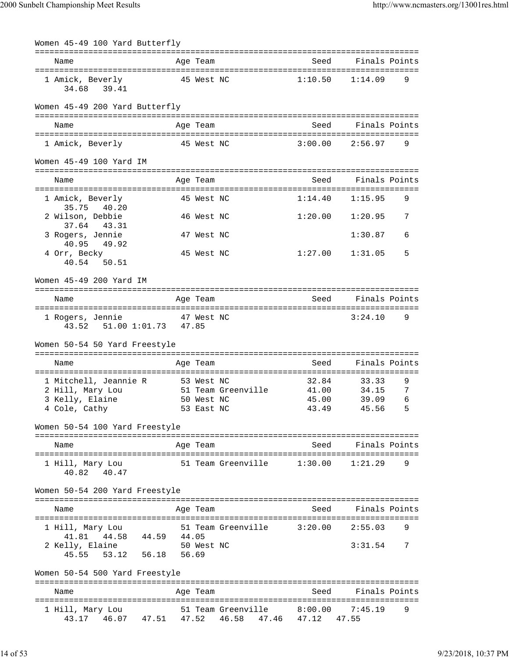| Women 45-49 100 Yard Butterfly                                           |            |            |                                               |                |                    |               |
|--------------------------------------------------------------------------|------------|------------|-----------------------------------------------|----------------|--------------------|---------------|
| Name                                                                     |            | Age Team   |                                               | Seed           |                    | Finals Points |
| 1 Amick, Beverly<br>34.68 39.41                                          |            | 45 West NC |                                               | 1:10.50        | 1:14.09            | 9             |
| Women 45-49 200 Yard Butterfly                                           |            |            |                                               |                |                    |               |
| Name                                                                     |            | Age Team   |                                               | Seed           | Finals Points      |               |
| 1 Amick, Beverly                                                         | 45 West NC |            |                                               | 3:00.00        | 2:56.97            | 9             |
| Women 45-49 100 Yard IM                                                  |            |            |                                               |                |                    |               |
| Name                                                                     |            | Age Team   |                                               | Seed           |                    | Finals Points |
| 1 Amick, Beverly                                                         |            | 45 West NC |                                               | 1:14.40        | 1:15.95            | 9             |
| 35.75<br>40.20<br>2 Wilson, Debbie                                       |            | 46 West NC |                                               | 1:20.00        | 1:20.95            | 7             |
| 37.64 43.31<br>3 Rogers, Jennie                                          |            | 47 West NC |                                               |                | 1:30.87            | 6             |
| 40.95<br>49.92<br>4 Orr, Becky<br>40.54 50.51                            |            | 45 West NC |                                               | 1:27.00        | 1:31.05            | 5             |
| Women 45-49 200 Yard IM                                                  |            |            |                                               |                |                    |               |
| Name                                                                     |            | Age Team   |                                               | Seed           |                    | Finals Points |
| 1 Rogers, Jennie<br>43.52 51.00 1:01.73 47.85                            | 47 West NC |            |                                               |                | 3:24.10            | 9             |
| Women 50-54 50 Yard Freestyle                                            |            |            |                                               |                |                    |               |
| Name                                                                     |            | Age Team   |                                               | Seed           |                    | Finals Points |
| 1 Mitchell, Jeannie R                                                    | 53 West NC |            |                                               | 32.84          | 33.33              | 9             |
| 2 Hill, Mary Lou<br>3 Kelly, Elaine                                      |            | 50 West NC | 51 Team Greenville                            | 41.00<br>45.00 | 34.15<br>39.09     | 7<br>6        |
| 4 Cole, Cathy                                                            |            | 53 East NC |                                               | 43.49          | 45.56              | 5             |
| Women 50-54 100 Yard Freestyle                                           |            |            |                                               |                |                    |               |
| Name                                                                     |            | Age Team   |                                               | Seed           |                    | Finals Points |
| 1 Hill, Mary Lou<br>40.82 40.47                                          |            |            | 51 Team Greenville 1:30.00                    |                | 1:21.29            | 9             |
| Women 50-54 200 Yard Freestyle                                           |            |            |                                               |                |                    |               |
| Name                                                                     |            | Age Team   |                                               |                | Seed Finals Points |               |
| 1 Hill, Mary Lou                                                         |            |            | 51 Team Greenville 3:20.00 2:55.03            |                |                    | 9             |
| 41.81  44.58  44.59  44.05<br>2 Kelly, Elaine<br>45.55 53.12 56.18 56.69 |            | 50 West NC |                                               |                | 3:31.54            | 7             |
| Women 50-54 500 Yard Freestyle                                           |            |            |                                               |                |                    |               |
| Name                                                                     |            | Age Team   |                                               | Seed           |                    | Finals Points |
| 1 Hill, Mary Lou<br>43.17 46.07 47.51 47.52                              |            |            | 51 Team Greenville<br>46.58 47.46 47.12 47.55 | 8:00.00        | 7:45.19            | 9             |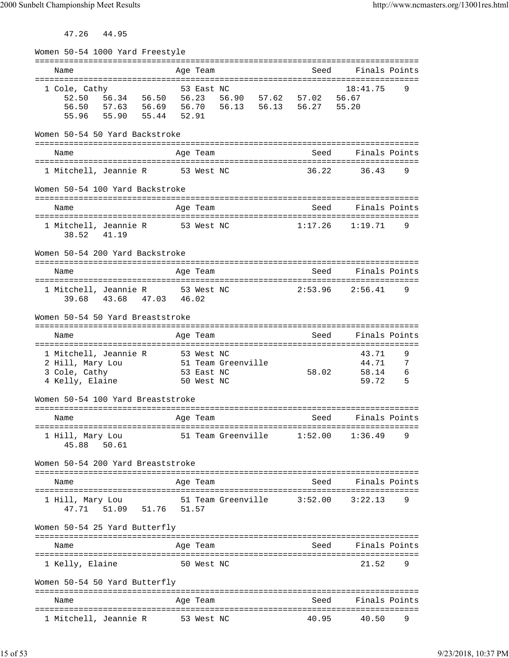47.26 44.95

| Women 50-54 1000 Yard Freestyle                    |            |                            |                   |               |               |
|----------------------------------------------------|------------|----------------------------|-------------------|---------------|---------------|
| Name                                               | Age Team   |                            | Seed              | Finals Points |               |
|                                                    |            |                            |                   |               |               |
| 1 Cole, Cathy                                      | 53 East NC |                            |                   | 18:41.75      | 9             |
| 56.34 56.50 56.23 56.90 57.62 57.02 56.67<br>52.50 |            |                            |                   |               |               |
| 57.63 56.69 56.70<br>56.50                         |            | 56.13                      | 56.13 56.27 55.20 |               |               |
| 55.90 55.44 52.91<br>55.96                         |            |                            |                   |               |               |
| Women 50-54 50 Yard Backstroke                     |            |                            |                   |               |               |
| Name                                               | Age Team   |                            | Seed              | Finals Points |               |
| 1 Mitchell, Jeannie R 53 West NC                   |            |                            | 36.22             | 36.43         | 9             |
|                                                    |            |                            |                   |               |               |
| Women 50-54 100 Yard Backstroke                    |            |                            |                   |               |               |
| Name                                               | Age Team   |                            | Seed              | Finals Points |               |
|                                                    |            |                            |                   |               |               |
| 1 Mitchell, Jeannie R 53 West NC                   |            |                            | 1:17.26           | 1:19.71       | 9             |
| 38.52<br>41.19                                     |            |                            |                   |               |               |
| Women 50-54 200 Yard Backstroke                    |            |                            |                   |               |               |
|                                                    |            |                            |                   |               |               |
| Name                                               | Age Team   |                            | Seed              | Finals Points |               |
| 1 Mitchell, Jeannie R                              | 53 West NC |                            | 2:53.96           | 2:56.41       | 9             |
| 43.68 47.03 46.02<br>39.68                         |            |                            |                   |               |               |
|                                                    |            |                            |                   |               |               |
| Women 50-54 50 Yard Breaststroke                   |            |                            |                   |               |               |
|                                                    |            |                            |                   | Finals Points |               |
| Name                                               | Age Team   |                            | Seed              |               |               |
| 1 Mitchell, Jeannie R                              | 53 West NC |                            |                   | 43.71         | 9             |
| 51 Team Greenville<br>2 Hill, Mary Lou             |            |                            |                   | 44.71         | 7             |
| 3 Cole, Cathy                                      | 53 East NC |                            | 58.02             | 58.14         | 6             |
| 4 Kelly, Elaine                                    | 50 West NC |                            |                   | 59.72         | 5             |
| Women 50-54 100 Yard Breaststroke                  |            |                            |                   |               |               |
|                                                    |            |                            |                   |               |               |
| Name                                               | Age Team   |                            | Seed              |               | Finals Points |
| 1 Hill, Mary Lou                                   |            | 51 Team Greenville 1:52.00 |                   | 1:36.49       | 9             |
| 45.88 50.61                                        |            |                            |                   |               |               |
|                                                    |            |                            |                   |               |               |
| Women 50-54 200 Yard Breaststroke                  |            |                            |                   |               |               |
| Name                                               | Age Team   |                            | Seed              | Finals Points |               |
| 1 Hill, Mary Lou                                   |            | 51 Team Greenville 3:52.00 |                   | 3:22.13       | 9             |
| 47.71 51.09 51.76 51.57                            |            |                            |                   |               |               |
|                                                    |            |                            |                   |               |               |
| Women 50-54 25 Yard Butterfly                      |            |                            |                   |               |               |
| Name                                               | Age Team   |                            | Seed              | Finals Points |               |
|                                                    |            |                            |                   |               |               |
| 1 Kelly, Elaine                                    | 50 West NC |                            |                   | 21.52         | 9             |
| Women 50-54 50 Yard Butterfly                      |            |                            |                   |               |               |
| Name                                               | Age Team   |                            | Seed              |               | Finals Points |
|                                                    |            |                            |                   |               |               |
| 1 Mitchell, Jeannie R 53 West NC                   |            |                            | 40.95             | 40.50         | 9             |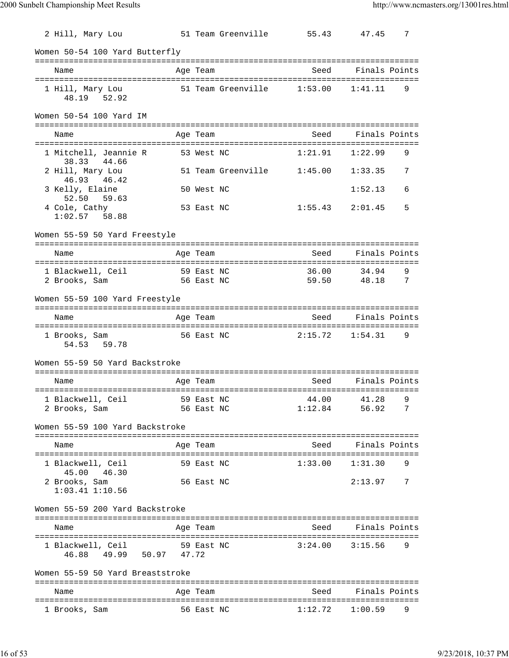| 2 Hill, Mary Lou                        |            |            | 51 Team Greenville | 55.43                      | 47.45               | 7 |
|-----------------------------------------|------------|------------|--------------------|----------------------------|---------------------|---|
| Women 50-54 100 Yard Butterfly          |            |            |                    |                            |                     |   |
| Name                                    |            | Age Team   |                    | Seed                       | Finals Points       |   |
| 1 Hill, Mary Lou                        |            |            |                    | 51 Team Greenville 1:53.00 | 1:41.11             | 9 |
| 48.19 52.92                             |            |            |                    |                            |                     |   |
| Women 50-54 100 Yard IM                 |            |            |                    |                            |                     |   |
| Name                                    |            | Age Team   |                    |                            | Seed Finals Points  |   |
| 1 Mitchell, Jeannie R<br>38.33<br>44.66 | 53 West NC |            |                    | 1:21.91                    | 1:22.99             | 9 |
| 2 Hill, Mary Lou<br>46.93 46.42         |            |            |                    | 51 Team Greenville 1:45.00 | 1:33.35             | 7 |
| 3 Kelly, Elaine<br>52.50 59.63          |            | 50 West NC |                    |                            | 1:52.13             | 6 |
| 4 Cole, Cathy<br>$1:02.57$ 58.88        |            | 53 East NC |                    | 1:55.43                    | 2:01.45             | 5 |
| Women 55-59 50 Yard Freestyle           |            |            |                    |                            |                     |   |
| Name                                    |            | Age Team   |                    | Seed                       | Finals Points       |   |
| 1 Blackwell, Ceil                       | 59 East NC |            |                    | 36.00                      | 34.94               | 9 |
| 2 Brooks, Sam                           | 56 East NC |            |                    |                            | 59.50 48.18         | 7 |
| Women 55-59 100 Yard Freestyle          |            |            |                    |                            |                     |   |
| Name                                    |            | Age Team   |                    | Seed                       | Finals Points       |   |
| 1 Brooks, Sam<br>54.53<br>59.78         | 56 East NC |            |                    |                            | $2:15.72$ $1:54.31$ | 9 |
| Women 55-59 50 Yard Backstroke          |            |            |                    |                            |                     |   |
| Name                                    |            | Age Team   |                    | Seed                       | Finals Points       |   |
| 1 Blackwell, Ceil                       |            | 59 East NC |                    | 44.00                      | 41.28               | 9 |
| 2 Brooks, Sam                           |            | 56 East NC |                    | 1:12.84                    | 56.92               | 7 |
| Women 55-59 100 Yard Backstroke         |            |            |                    |                            |                     |   |
| Name                                    |            | Age Team   |                    | Seed                       | Finals Points       |   |
| 1 Blackwell, Ceil<br>45.00 46.30        |            | 59 East NC |                    | 1:33.00                    | 1:31.30             | 9 |
| 2 Brooks, Sam<br>$1:03.41$ $1:10.56$    |            | 56 East NC |                    |                            | 2:13.97             | 7 |
| Women 55-59 200 Yard Backstroke         |            |            |                    |                            |                     |   |
| Name                                    |            | Age Team   |                    | Seed                       | Finals Points       |   |
| 1 Blackwell, Ceil                       |            | 59 East NC |                    | 3:24.00                    | 3:15.56             | 9 |
| 49.99 50.97 47.72<br>46.88              |            |            |                    |                            |                     |   |
| Women 55-59 50 Yard Breaststroke        |            |            |                    |                            |                     |   |
| Name                                    |            | Age Team   |                    | Seed                       | Finals Points       |   |
| 1 Brooks, Sam                           |            | 56 East NC |                    | 1:12.72                    | 1:00.59             | 9 |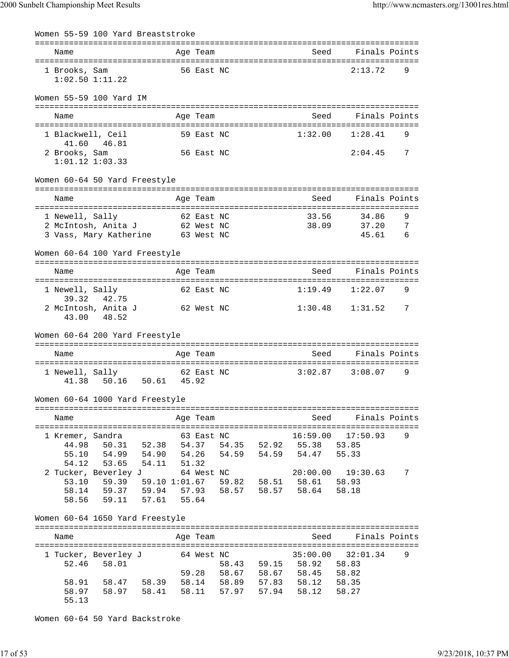|                 |                | Women 55-59 100 Yard Breaststroke                               |            |       |             |            |                                                |                   |               |
|-----------------|----------------|-----------------------------------------------------------------|------------|-------|-------------|------------|------------------------------------------------|-------------------|---------------|
| Name            |                |                                                                 |            |       | Age Team    |            | ======================================<br>Seed | Finals Points     |               |
| 1 Brooks, Sam   |                | $1:02.50$ $1:11.22$                                             |            |       | 56 East NC  |            |                                                | 2:13.72           | 9             |
|                 |                | Women 55-59 100 Yard IM                                         |            |       |             |            |                                                |                   |               |
| Name            |                |                                                                 |            |       | Age Team    |            | Seed                                           |                   | Finals Points |
|                 | 41.60          | 1 Blackwell, Ceil<br>46.81                                      |            |       | 59 East NC  |            | 1:32.00                                        | 1:28.41           | 9             |
| 2 Brooks, Sam   |                | $1:01.12$ $1:03.33$                                             |            |       | 56 East NC  |            |                                                | 2:04.45           | 7             |
|                 |                | Women 60-64 50 Yard Freestyle                                   |            |       |             |            |                                                |                   |               |
| Name            |                |                                                                 |            |       | Age Team    |            | Seed                                           |                   | Finals Points |
| 1 Newell, Sally |                |                                                                 |            |       | 62 East NC  |            | 33.56                                          | 34.86             | 9             |
|                 |                | 2 McIntosh, Anita J                                             |            |       | 62 West NC  |            | 38.09                                          | 37.20             | 7             |
|                 |                | 3 Vass, Mary Katherine 63 West NC                               |            |       |             |            |                                                | 45.61             | 6             |
|                 |                | Women 60-64 100 Yard Freestyle<br>============================= |            |       | =========== |            |                                                |                   |               |
| Name            |                |                                                                 |            |       | Age Team    |            | Seed                                           |                   | Finals Points |
| 1 Newell, Sally |                | 39.32 42.75                                                     |            |       | 62 East NC  |            | 1:19.49                                        | 1:22.07           | 9             |
|                 | 43.00          | 2 McIntosh, Anita J<br>48.52                                    | 62 West NC |       |             |            | 1:30.48                                        | 1:31.52           | 7             |
|                 |                | Women 60-64 200 Yard Freestyle                                  |            |       |             |            |                                                |                   |               |
| Name            |                |                                                                 |            |       | Age Team    |            | Seed                                           | Finals Points     |               |
|                 |                |                                                                 |            |       |             |            |                                                |                   |               |
| 1 Newell, Sally | 41.38          | 50.16 50.61 45.92                                               | 62 East NC |       |             |            | 3:02.87                                        | 3:08.07           | 9             |
|                 |                | Women 60-64 1000 Yard Freestyle                                 |            |       |             |            |                                                |                   |               |
| Name            |                |                                                                 |            |       | Age Team    |            | Seed                                           |                   | Finals Points |
|                 |                | 1 Kremer, Sandra                                                |            |       | 63 East NC  |            | 16:59.00                                       | 17:50.93          | 9             |
|                 | 44.98          |                                                                 |            |       |             |            | 50.31 52.38 54.37 54.35 52.92 55.38 53.85      |                   |               |
|                 | 55.10          | 54.99 54.90                                                     |            |       | 54.26       |            | 54.59 54.59 54.47                              | 55.33             |               |
|                 | 54.12          | 53.65 54.11                                                     |            | 51.32 |             |            |                                                |                   |               |
|                 | 53.10          | 2 Tucker, Beverley J                                            |            |       | 64 West NC  |            | 59.39 59.10 1:01.67 59.82 58.51 58.61 58.93    | 20:00.00 19:30.63 | 7             |
|                 |                | 58.14 59.37 59.94                                               |            |       |             |            | 57.93 58.57 58.57 58.64 58.18                  |                   |               |
|                 | 58.56          | 59.11 57.61                                                     |            | 55.64 |             |            |                                                |                   |               |
|                 |                | Women 60-64 1650 Yard Freestyle                                 |            |       |             |            |                                                |                   |               |
| Name            |                |                                                                 |            |       | Age Team    |            | Seed                                           |                   | Finals Points |
|                 |                | 1 Tucker, Beverley J                                            |            |       |             | 64 West NC | 35:00.00                                       | 32:01.34          | 9             |
|                 | 52.46          | 58.01                                                           |            |       |             |            | 58.43 59.15 58.92                              | 58.83             |               |
|                 |                |                                                                 |            |       | 59.28       |            | 58.67 58.67 58.45 58.82                        |                   |               |
|                 | 58.91          |                                                                 |            |       |             |            | 58.47 58.39 58.14 58.89 57.83 58.12 58.35      |                   |               |
|                 | 58.97<br>55.13 | 58.97    58.41    58.11                                         |            |       |             |            | 57.97 57.94 58.12                              | 58.27             |               |

Women 60-64 50 Yard Backstroke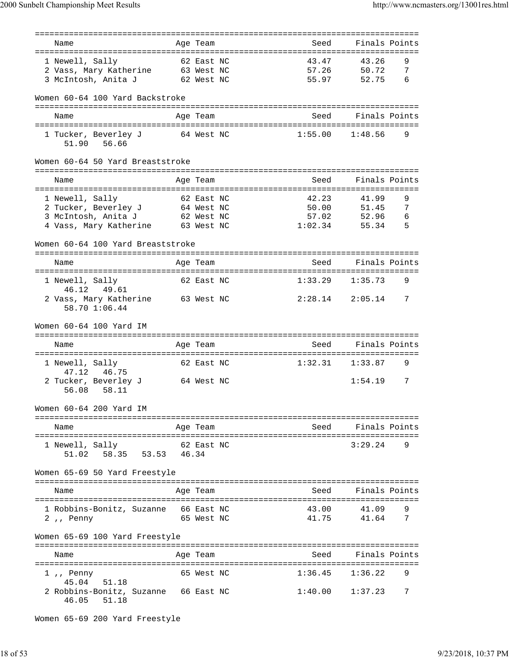|                                                        | ============             |                         | ---------------------------------       |                |               |
|--------------------------------------------------------|--------------------------|-------------------------|-----------------------------------------|----------------|---------------|
| Name<br>==================================             | Age Team                 | :====================== | Seed                                    | =========      | Finals Points |
| 1 Newell, Sally                                        | 62 East NC               |                         | 43.47                                   | 43.26          | 9             |
| 2 Vass, Mary Katherine                                 | 63 West NC               |                         | 57.26                                   | 50.72          | 7             |
| 3 McIntosh, Anita J                                    | 62 West NC               |                         | 55.97                                   | 52.75          | 6             |
| Women 60-64 100 Yard Backstroke                        |                          |                         |                                         |                |               |
|                                                        |                          |                         |                                         |                |               |
| Name                                                   | Age Team                 |                         | Seed                                    |                | Finals Points |
| 1 Tucker, Beverley J<br>51.90<br>56.66                 | 64 West NC               |                         | 1:55.00                                 | 1:48.56        | 9             |
| Women 60-64 50 Yard Breaststroke                       |                          |                         |                                         |                |               |
| Name                                                   | Age Team                 |                         | Seed                                    |                | Finals Points |
| 1 Newell, Sally                                        | 62 East NC               |                         | :=============================<br>42.23 | 41.99          | 9             |
| 2 Tucker, Beverley J                                   | 64 West NC               |                         | 50.00                                   | 51.45          | 7             |
| 3 McIntosh, Anita J                                    | 62 West NC               |                         | 57.02                                   | 52.96          | 6             |
| 4 Vass, Mary Katherine 63 West NC                      |                          |                         | 1:02.34                                 | 55.34          | 5             |
| Women 60-64 100 Yard Breaststroke                      |                          |                         |                                         |                |               |
| Name                                                   | Age Team                 |                         | Seed                                    | Finals Points  |               |
| 1 Newell, Sally<br>46.12<br>49.61                      | 62 East NC               |                         | 1:33.29                                 | 1:35.73        | 9             |
| 2 Vass, Mary Katherine 63 West NC<br>58.70 1:06.44     |                          |                         | 2:28.14                                 | 2:05.14        | 7             |
| Women 60-64 100 Yard IM                                |                          |                         |                                         |                |               |
| Name                                                   | Age Team                 |                         | Seed                                    | Finals Points  |               |
| 1 Newell, Sally                                        | 62 East NC               |                         | 1:32.31                                 | 1:33.87        | 9             |
| 47.12 46.75                                            |                          |                         |                                         |                |               |
| 2 Tucker, Beverley J<br>56.08<br>58.11                 | 64 West NC               |                         |                                         | 1:54.19        | 7             |
| Women 60-64 200 Yard IM                                |                          |                         |                                         |                |               |
|                                                        |                          |                         |                                         |                |               |
| Name                                                   | Age Team                 |                         | Seed                                    | Finals Points  |               |
| 1 Newell, Sally                                        | 62 East NC               |                         |                                         | 3:29.24        | 9             |
| 58.35 53.53 46.34<br>51.02                             |                          |                         |                                         |                |               |
| Women 65-69 50 Yard Freestyle                          |                          |                         |                                         |                |               |
| Name                                                   | Age Team                 |                         | Seed                                    | Finals Points  |               |
|                                                        |                          |                         |                                         |                |               |
| 1 Robbins-Bonitz, Suzanne<br>2,, Penny                 | 66 East NC<br>65 West NC |                         | 43.00<br>41.75                          | 41.09<br>41.64 | 9<br>7        |
| Women 65-69 100 Yard Freestyle                         | =========                |                         |                                         |                |               |
| Name                                                   | Age Team                 |                         | Seed                                    | Finals Points  |               |
| . _ _ _ _ _ _ _ _ _ _ _ _ _ _ _<br>1,, Penny           | 65 West NC               |                         | 1:36.45                                 | 1:36.22        | 9             |
| 51.18<br>45.04                                         |                          |                         |                                         |                |               |
| 2 Robbins-Bonitz, Suzanne 66 East NC<br>51.18<br>46.05 |                          |                         | 1:40.00                                 | 1:37.23        | 7             |

```
Women 65-69 200 Yard Freestyle
```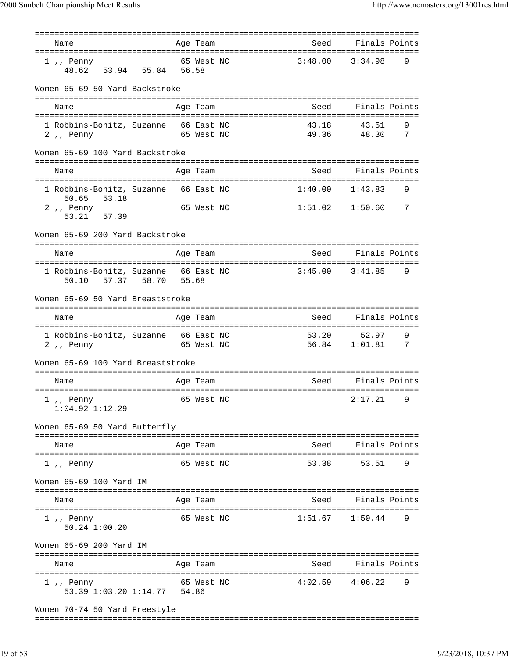=============================================================================== Name and Age Team Seed Finals Points =============================================================================== 1 ,, Penny 65 West NC 3:48.00 3:34.98 9 48.62 53.94 55.84 56.58 Women 65-69 50 Yard Backstroke =============================================================================== Name Age Team Seed Finals Points Age Team Seed Finals Points =============================================================================== 1 Robbins-Bonitz, Suzanne 66 East NC 2 ,, Penny 65 West NC 49.36 48.30 7 Women 65-69 100 Yard Backstroke =============================================================================== Name Age Team Seed Finals Points =============================================================================== 1 Robbins-Bonitz, Suzanne 66 East NC 1:40.00 1:43.83 9 50.65 53.18 2 ,, Penny 65 West NC 1:51.02 1:50.60 7 53.21 57.39 Women 65-69 200 Yard Backstroke =============================================================================== Name and Age Team Seed Finals Points =============================================================================== 1 Robbins-Bonitz, Suzanne 66 East NC 3:45.00 3:41.85 9 50.10 57.37 58.70 55.68 Women 65-69 50 Yard Breaststroke =============================================================================== Name Age Team Seed Finals Points =============================================================================== 1 Robbins-Bonitz, Suzanne 66 East NC 2,, Penny 65 West NC 56.84 1:01.81 Women 65-69 100 Yard Breaststroke =============================================================================== Name Age Team Seed Finals Points =============================================================================== 1 ,, Penny 65 West NC 2:17.21 9 1:04.92 1:12.29 Women 65-69 50 Yard Butterfly =============================================================================== Name Age Team Seed Finals Points =============================================================================== 1,, Penny 65 West NC 53.38 53.51 Women 65-69 100 Yard IM =============================================================================== Name Age Team Seed Finals Points =============================================================================== 1,, Penny 65 West NC 1:51.67 1:50.44 50.24 1:00.20 Women 65-69 200 Yard IM =============================================================================== Name **Age Team** Age Team Seed Finals Points =============================================================================== 1 ,, Penny 65 West NC 4:02.59 4:06.22 9 53.39 1:03.20 1:14.77 54.86 Women 70-74 50 Yard Freestyle

===============================================================================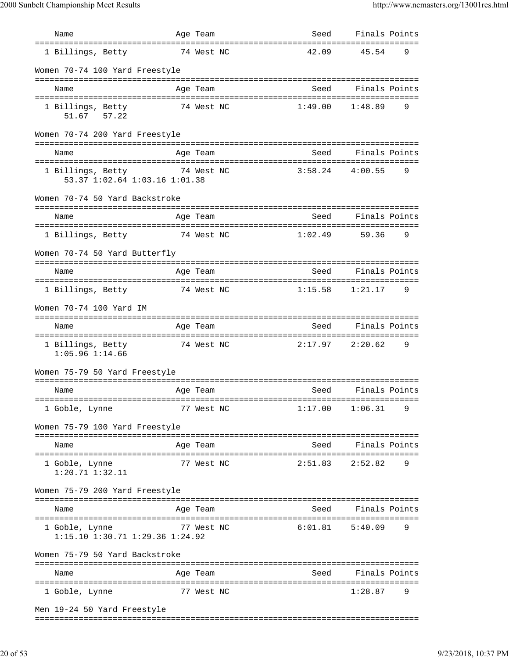| Name                                                     |            | Age Team                 | Seed                                            | Finals Points |   |
|----------------------------------------------------------|------------|--------------------------|-------------------------------------------------|---------------|---|
| ===================================<br>1 Billings, Betty |            | 74 West NC               | ======================================<br>42.09 | 45.54         | 9 |
| Women 70-74 100 Yard Freestyle                           |            |                          |                                                 |               |   |
| Name                                                     |            | Age Team                 | Seed                                            | Finals Points |   |
| 1 Billings, Betty<br>51.67<br>57.22                      |            | 74 West NC               | 1:49.00                                         | 1:48.89       | 9 |
| Women 70-74 200 Yard Freestyle                           |            |                          |                                                 |               |   |
| Name                                                     |            | Age Team                 | Seed                                            | Finals Points |   |
| 1 Billings, Betty<br>53.37 1:02.64 1:03.16 1:01.38       | 74 West NC |                          | 3:58.24                                         | 4:00.55       | 9 |
| Women 70-74 50 Yard Backstroke                           |            |                          |                                                 |               |   |
| Name                                                     |            | Age Team                 | Seed                                            | Finals Points |   |
| 1 Billings, Betty 54 West NC                             |            |                          | 1:02.49                                         | 59.36         | 9 |
| Women 70-74 50 Yard Butterfly                            |            |                          |                                                 |               |   |
| Name                                                     |            | Age Team                 | Seed                                            | Finals Points |   |
| 1 Billings, Betty                                        | 74 West NC |                          | 1:15.58                                         | 1:21.17       | 9 |
| Women 70-74 100 Yard IM                                  |            |                          |                                                 |               |   |
| Name                                                     |            | Age Team                 | Seed                                            | Finals Points |   |
| 1 Billings, Betty<br>$1:05.96$ $1:14.66$                 | 74 West NC |                          | 2:17.97                                         | 2:20.62       | 9 |
| Women 75-79 50 Yard Freestyle                            |            |                          |                                                 |               |   |
| Name                                                     |            | Age Team                 | Seed                                            | Finals Points |   |
| 1 Goble, Lynne                                           |            | 77 West NC               | 1:17.00                                         | 1:06.31       | 9 |
| Women 75-79 100 Yard Freestyle                           |            |                          |                                                 |               |   |
| ===========================<br>Name                      |            | ============<br>Age Team | --------------------------------<br>Seed        | Finals Points |   |
| 1 Goble, Lynne<br>$1:20.71$ $1:32.11$                    |            | 77 West NC               | 2:51.83                                         | 2:52.82       | 9 |
| Women 75-79 200 Yard Freestyle                           |            |                          |                                                 |               |   |
| Name                                                     |            | Age Team                 | Seed                                            | Finals Points |   |
| 1 Goble, Lynne<br>1:15.10 1:30.71 1:29.36 1:24.92        |            | 77 West NC               | 6:01.81                                         | 5:40.09       | 9 |
| Women 75-79 50 Yard Backstroke                           |            |                          |                                                 |               |   |
| Name                                                     |            | Age Team                 | Seed                                            | Finals Points |   |
| 1 Goble, Lynne                                           |            | 77 West NC               |                                                 | 1:28.87       | 9 |
| Men 19-24 50 Yard Freestyle                              |            |                          |                                                 |               |   |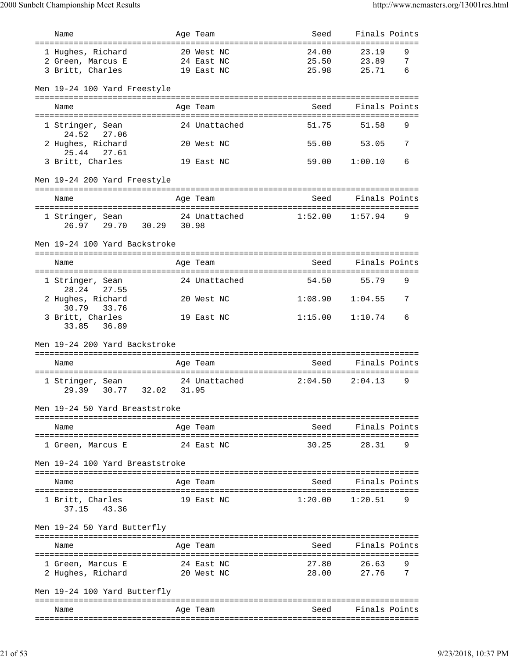| 24.00<br>23.19<br>9<br>1 Hughes, Richard<br>20 West NC<br>25.50<br>23.89<br>7<br>2 Green, Marcus E<br>24 East NC<br>3 Britt, Charles<br>25.98<br>6<br>19 East NC<br>25.71<br>Men 19-24 100 Yard Freestyle<br>Seed<br>Finals Points<br>Name<br>Age Team<br>51.75<br>9<br>24 Unattached<br>51.58<br>1 Stringer, Sean<br>24.52<br>27.06<br>2 Hughes, Richard<br>55.00<br>20 West NC<br>53.05<br>7<br>25.44 27.61<br>3 Britt, Charles<br>59.00<br>19 East NC<br>1:00.10<br>6<br>Men 19-24 200 Yard Freestyle<br>Finals Points<br>Seed<br>Age Team<br>Name<br>9<br>24 Unattached<br>1:52.00<br>1:57.94<br>1 Stringer, Sean<br>26.97 29.70 30.29 30.98<br>Men 19-24 100 Yard Backstroke<br>Finals Points<br>Name<br>Seed<br>Age Team<br>9<br>24 Unattached<br>54.50<br>55.79<br>1 Stringer, Sean<br>28.24<br>27.55<br>2 Hughes, Richard<br>20 West NC<br>1:08.90<br>1:04.55<br>7<br>30.79 33.76<br>3 Britt, Charles<br>19 East NC<br>1:15.00<br>1:10.74<br>6<br>33.85 36.89<br>Men 19-24 200 Yard Backstroke<br>Finals Points<br>Age Team<br>Seed<br>Name<br>9<br>24 Unattached<br>2:04.50<br>2:04.13<br>1 Stringer, Sean<br>29.39<br>30.77 32.02<br>31.95<br>Men 19-24 50 Yard Breaststroke<br>=========<br>:============================<br>Finals Points<br>Name<br>Age Team<br>Seed<br>30.25<br>28.31<br>9<br>1 Green, Marcus E<br>24 East NC<br>Men 19-24 100 Yard Breaststroke<br>Finals Points<br>Seed<br>Age Team<br>Name<br>1 Britt, Charles<br>1:20.00<br>19 East NC<br>1:20.51<br>9<br>37.15 43.36<br>Men 19-24 50 Yard Butterfly<br>=================================<br>Finals Points<br>Name<br>Age Team<br>Seed<br>24 East NC<br>27.80<br>26.63<br>9<br>l Green, Marcus E<br>7<br>2 Hughes, Richard<br>20 West NC<br>28.00<br>27.76<br>Men 19-24 100 Yard Butterfly | Name | Age Team | Seed | Finals Points |  |
|------------------------------------------------------------------------------------------------------------------------------------------------------------------------------------------------------------------------------------------------------------------------------------------------------------------------------------------------------------------------------------------------------------------------------------------------------------------------------------------------------------------------------------------------------------------------------------------------------------------------------------------------------------------------------------------------------------------------------------------------------------------------------------------------------------------------------------------------------------------------------------------------------------------------------------------------------------------------------------------------------------------------------------------------------------------------------------------------------------------------------------------------------------------------------------------------------------------------------------------------------------------------------------------------------------------------------------------------------------------------------------------------------------------------------------------------------------------------------------------------------------------------------------------------------------------------------------------------------------------------------------------------------------------------------------------------------------------------------------------------------------------------------|------|----------|------|---------------|--|
|                                                                                                                                                                                                                                                                                                                                                                                                                                                                                                                                                                                                                                                                                                                                                                                                                                                                                                                                                                                                                                                                                                                                                                                                                                                                                                                                                                                                                                                                                                                                                                                                                                                                                                                                                                              |      |          |      |               |  |
|                                                                                                                                                                                                                                                                                                                                                                                                                                                                                                                                                                                                                                                                                                                                                                                                                                                                                                                                                                                                                                                                                                                                                                                                                                                                                                                                                                                                                                                                                                                                                                                                                                                                                                                                                                              |      |          |      |               |  |
|                                                                                                                                                                                                                                                                                                                                                                                                                                                                                                                                                                                                                                                                                                                                                                                                                                                                                                                                                                                                                                                                                                                                                                                                                                                                                                                                                                                                                                                                                                                                                                                                                                                                                                                                                                              |      |          |      |               |  |
|                                                                                                                                                                                                                                                                                                                                                                                                                                                                                                                                                                                                                                                                                                                                                                                                                                                                                                                                                                                                                                                                                                                                                                                                                                                                                                                                                                                                                                                                                                                                                                                                                                                                                                                                                                              |      |          |      |               |  |
|                                                                                                                                                                                                                                                                                                                                                                                                                                                                                                                                                                                                                                                                                                                                                                                                                                                                                                                                                                                                                                                                                                                                                                                                                                                                                                                                                                                                                                                                                                                                                                                                                                                                                                                                                                              |      |          |      |               |  |
|                                                                                                                                                                                                                                                                                                                                                                                                                                                                                                                                                                                                                                                                                                                                                                                                                                                                                                                                                                                                                                                                                                                                                                                                                                                                                                                                                                                                                                                                                                                                                                                                                                                                                                                                                                              |      |          |      |               |  |
|                                                                                                                                                                                                                                                                                                                                                                                                                                                                                                                                                                                                                                                                                                                                                                                                                                                                                                                                                                                                                                                                                                                                                                                                                                                                                                                                                                                                                                                                                                                                                                                                                                                                                                                                                                              |      |          |      |               |  |
|                                                                                                                                                                                                                                                                                                                                                                                                                                                                                                                                                                                                                                                                                                                                                                                                                                                                                                                                                                                                                                                                                                                                                                                                                                                                                                                                                                                                                                                                                                                                                                                                                                                                                                                                                                              |      |          |      |               |  |
|                                                                                                                                                                                                                                                                                                                                                                                                                                                                                                                                                                                                                                                                                                                                                                                                                                                                                                                                                                                                                                                                                                                                                                                                                                                                                                                                                                                                                                                                                                                                                                                                                                                                                                                                                                              |      |          |      |               |  |
|                                                                                                                                                                                                                                                                                                                                                                                                                                                                                                                                                                                                                                                                                                                                                                                                                                                                                                                                                                                                                                                                                                                                                                                                                                                                                                                                                                                                                                                                                                                                                                                                                                                                                                                                                                              |      |          |      |               |  |
|                                                                                                                                                                                                                                                                                                                                                                                                                                                                                                                                                                                                                                                                                                                                                                                                                                                                                                                                                                                                                                                                                                                                                                                                                                                                                                                                                                                                                                                                                                                                                                                                                                                                                                                                                                              |      |          |      |               |  |
|                                                                                                                                                                                                                                                                                                                                                                                                                                                                                                                                                                                                                                                                                                                                                                                                                                                                                                                                                                                                                                                                                                                                                                                                                                                                                                                                                                                                                                                                                                                                                                                                                                                                                                                                                                              |      |          |      |               |  |
|                                                                                                                                                                                                                                                                                                                                                                                                                                                                                                                                                                                                                                                                                                                                                                                                                                                                                                                                                                                                                                                                                                                                                                                                                                                                                                                                                                                                                                                                                                                                                                                                                                                                                                                                                                              |      |          |      |               |  |
|                                                                                                                                                                                                                                                                                                                                                                                                                                                                                                                                                                                                                                                                                                                                                                                                                                                                                                                                                                                                                                                                                                                                                                                                                                                                                                                                                                                                                                                                                                                                                                                                                                                                                                                                                                              |      |          |      |               |  |
|                                                                                                                                                                                                                                                                                                                                                                                                                                                                                                                                                                                                                                                                                                                                                                                                                                                                                                                                                                                                                                                                                                                                                                                                                                                                                                                                                                                                                                                                                                                                                                                                                                                                                                                                                                              |      |          |      |               |  |
|                                                                                                                                                                                                                                                                                                                                                                                                                                                                                                                                                                                                                                                                                                                                                                                                                                                                                                                                                                                                                                                                                                                                                                                                                                                                                                                                                                                                                                                                                                                                                                                                                                                                                                                                                                              |      |          |      |               |  |
|                                                                                                                                                                                                                                                                                                                                                                                                                                                                                                                                                                                                                                                                                                                                                                                                                                                                                                                                                                                                                                                                                                                                                                                                                                                                                                                                                                                                                                                                                                                                                                                                                                                                                                                                                                              |      |          |      |               |  |
|                                                                                                                                                                                                                                                                                                                                                                                                                                                                                                                                                                                                                                                                                                                                                                                                                                                                                                                                                                                                                                                                                                                                                                                                                                                                                                                                                                                                                                                                                                                                                                                                                                                                                                                                                                              |      |          |      |               |  |
|                                                                                                                                                                                                                                                                                                                                                                                                                                                                                                                                                                                                                                                                                                                                                                                                                                                                                                                                                                                                                                                                                                                                                                                                                                                                                                                                                                                                                                                                                                                                                                                                                                                                                                                                                                              |      |          |      |               |  |
|                                                                                                                                                                                                                                                                                                                                                                                                                                                                                                                                                                                                                                                                                                                                                                                                                                                                                                                                                                                                                                                                                                                                                                                                                                                                                                                                                                                                                                                                                                                                                                                                                                                                                                                                                                              |      |          |      |               |  |
|                                                                                                                                                                                                                                                                                                                                                                                                                                                                                                                                                                                                                                                                                                                                                                                                                                                                                                                                                                                                                                                                                                                                                                                                                                                                                                                                                                                                                                                                                                                                                                                                                                                                                                                                                                              |      |          |      |               |  |
|                                                                                                                                                                                                                                                                                                                                                                                                                                                                                                                                                                                                                                                                                                                                                                                                                                                                                                                                                                                                                                                                                                                                                                                                                                                                                                                                                                                                                                                                                                                                                                                                                                                                                                                                                                              |      |          |      |               |  |
|                                                                                                                                                                                                                                                                                                                                                                                                                                                                                                                                                                                                                                                                                                                                                                                                                                                                                                                                                                                                                                                                                                                                                                                                                                                                                                                                                                                                                                                                                                                                                                                                                                                                                                                                                                              |      |          |      |               |  |
|                                                                                                                                                                                                                                                                                                                                                                                                                                                                                                                                                                                                                                                                                                                                                                                                                                                                                                                                                                                                                                                                                                                                                                                                                                                                                                                                                                                                                                                                                                                                                                                                                                                                                                                                                                              |      |          |      |               |  |
|                                                                                                                                                                                                                                                                                                                                                                                                                                                                                                                                                                                                                                                                                                                                                                                                                                                                                                                                                                                                                                                                                                                                                                                                                                                                                                                                                                                                                                                                                                                                                                                                                                                                                                                                                                              |      |          |      |               |  |
|                                                                                                                                                                                                                                                                                                                                                                                                                                                                                                                                                                                                                                                                                                                                                                                                                                                                                                                                                                                                                                                                                                                                                                                                                                                                                                                                                                                                                                                                                                                                                                                                                                                                                                                                                                              |      |          |      |               |  |
|                                                                                                                                                                                                                                                                                                                                                                                                                                                                                                                                                                                                                                                                                                                                                                                                                                                                                                                                                                                                                                                                                                                                                                                                                                                                                                                                                                                                                                                                                                                                                                                                                                                                                                                                                                              |      |          |      |               |  |
|                                                                                                                                                                                                                                                                                                                                                                                                                                                                                                                                                                                                                                                                                                                                                                                                                                                                                                                                                                                                                                                                                                                                                                                                                                                                                                                                                                                                                                                                                                                                                                                                                                                                                                                                                                              |      |          |      |               |  |
|                                                                                                                                                                                                                                                                                                                                                                                                                                                                                                                                                                                                                                                                                                                                                                                                                                                                                                                                                                                                                                                                                                                                                                                                                                                                                                                                                                                                                                                                                                                                                                                                                                                                                                                                                                              |      |          |      |               |  |
|                                                                                                                                                                                                                                                                                                                                                                                                                                                                                                                                                                                                                                                                                                                                                                                                                                                                                                                                                                                                                                                                                                                                                                                                                                                                                                                                                                                                                                                                                                                                                                                                                                                                                                                                                                              |      |          |      |               |  |
|                                                                                                                                                                                                                                                                                                                                                                                                                                                                                                                                                                                                                                                                                                                                                                                                                                                                                                                                                                                                                                                                                                                                                                                                                                                                                                                                                                                                                                                                                                                                                                                                                                                                                                                                                                              |      |          |      |               |  |
|                                                                                                                                                                                                                                                                                                                                                                                                                                                                                                                                                                                                                                                                                                                                                                                                                                                                                                                                                                                                                                                                                                                                                                                                                                                                                                                                                                                                                                                                                                                                                                                                                                                                                                                                                                              |      |          |      |               |  |
|                                                                                                                                                                                                                                                                                                                                                                                                                                                                                                                                                                                                                                                                                                                                                                                                                                                                                                                                                                                                                                                                                                                                                                                                                                                                                                                                                                                                                                                                                                                                                                                                                                                                                                                                                                              |      |          |      |               |  |
|                                                                                                                                                                                                                                                                                                                                                                                                                                                                                                                                                                                                                                                                                                                                                                                                                                                                                                                                                                                                                                                                                                                                                                                                                                                                                                                                                                                                                                                                                                                                                                                                                                                                                                                                                                              |      |          |      |               |  |
|                                                                                                                                                                                                                                                                                                                                                                                                                                                                                                                                                                                                                                                                                                                                                                                                                                                                                                                                                                                                                                                                                                                                                                                                                                                                                                                                                                                                                                                                                                                                                                                                                                                                                                                                                                              |      |          |      |               |  |
|                                                                                                                                                                                                                                                                                                                                                                                                                                                                                                                                                                                                                                                                                                                                                                                                                                                                                                                                                                                                                                                                                                                                                                                                                                                                                                                                                                                                                                                                                                                                                                                                                                                                                                                                                                              |      |          |      |               |  |
| Finals Points<br>Age Team<br>Seed<br>Name                                                                                                                                                                                                                                                                                                                                                                                                                                                                                                                                                                                                                                                                                                                                                                                                                                                                                                                                                                                                                                                                                                                                                                                                                                                                                                                                                                                                                                                                                                                                                                                                                                                                                                                                    |      |          |      |               |  |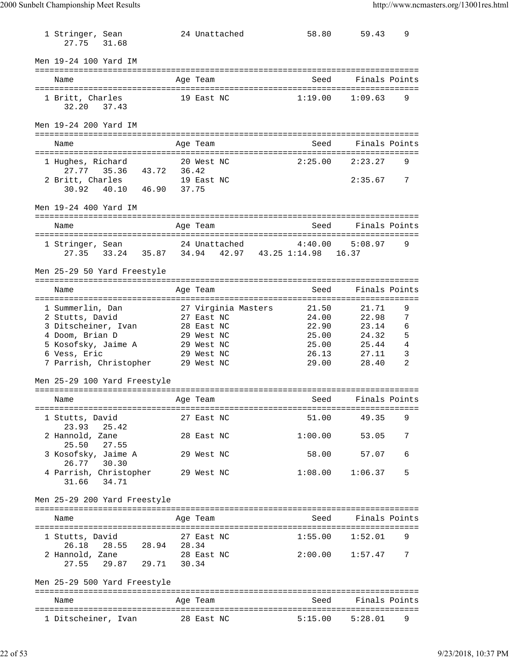| 1 Stringer, Sean<br>27.75 31.68    |                                                   |                     |                          | 24 Unattached | 58.80          | 59.43               | 9             |
|------------------------------------|---------------------------------------------------|---------------------|--------------------------|---------------|----------------|---------------------|---------------|
| Men 19-24 100 Yard IM              |                                                   |                     |                          |               |                |                     |               |
| Name                               |                                                   |                     | Age Team                 |               | Seed           | Finals Points       |               |
| 1 Britt, Charles<br>32.20          | 37.43                                             | 19 East NC          |                          |               | 1:19.00        | 1:09.63             | 9             |
| Men 19-24 200 Yard IM              |                                                   |                     |                          |               |                |                     |               |
| Name                               |                                                   |                     | Age Team                 |               | Seed           |                     | Finals Points |
| 1 Hughes, Richard                  |                                                   |                     | 20 West NC               |               | 2:25.00        | 2:23.27             | 9             |
|                                    | 27.77 35.36 43.72                                 | 36.42               |                          |               |                |                     |               |
| 2 Britt, Charles<br>30.92          | 40.10  46.90  37.75                               |                     | 19 East NC               |               |                | 2:35.67             | 7             |
|                                    |                                                   |                     |                          |               |                |                     |               |
| Men 19-24 400 Yard IM              |                                                   |                     |                          |               |                |                     |               |
| Name                               |                                                   |                     | Age Team                 |               | Seed           |                     | Finals Points |
| 1 Stringer, Sean                   |                                                   | 24 Unattached       |                          |               | 4:40.00        | 5:08.97             | 9             |
|                                    | 27.35 33.24 35.87 34.94 42.97 43.25 1:14.98 16.37 |                     |                          |               |                |                     |               |
|                                    | Men 25-29 50 Yard Freestyle                       |                     |                          |               |                |                     |               |
| Name                               |                                                   |                     | Age Team                 |               | Seed           | Finals Points       |               |
| 1 Summerlin, Dan                   |                                                   | 27 Virginia Masters |                          |               | 21.50          | 21.71               | 9             |
| 2 Stutts, David                    |                                                   |                     | 27 East NC               |               | 24.00          | 22.98               | 7             |
|                                    | 3 Ditscheiner, Ivan                               |                     | 28 East NC               |               | 22.90          | 23.14               | 6             |
| 4 Doom, Brian D                    |                                                   |                     | 29 West NC               |               | 25.00          | 24.32               | 5             |
| 6 Vess, Eric                       | 5 Kosofsky, Jaime A                               |                     | 29 West NC<br>29 West NC |               | 25.00<br>26.13 | 25.44<br>27.11      | 4<br>3        |
|                                    | 7 Parrish, Christopher 29 West NC                 |                     |                          |               | 29.00          | 28.40               | 2             |
|                                    | Men 25-29 100 Yard Freestyle                      |                     |                          |               |                |                     |               |
| Name                               | Age Team                                          |                     |                          |               |                | Seed Finals Points  |               |
| 1 Stutts, David                    |                                                   |                     | 27 East NC               |               | 51.00          | 49.35               | 9             |
| 23.93 25.42                        |                                                   |                     |                          |               |                |                     |               |
| 2 Hannold, Zane<br>25.50 27.55     |                                                   |                     | 28 East NC               |               | 1:00.00        | 53.05               | 7             |
| 3 Kosofsky, Jaime A<br>26.77 30.30 |                                                   |                     | 29 West NC               |               |                | 58.00 57.07         | 6             |
| 31.66 34.71                        | 4 Parrish, Christopher 29 West NC                 |                     |                          |               |                | $1:08.00$ $1:06.37$ | 5             |
|                                    | Men 25-29 200 Yard Freestyle                      |                     |                          |               |                |                     |               |
| Name                               |                                                   |                     | Age Team                 |               | Seed           |                     | Finals Points |
|                                    |                                                   |                     |                          |               |                |                     |               |
| 1 Stutts, David                    | 26.18 28.55 28.94 28.34                           |                     | 27 East NC               |               | 1:55.00        | 1:52.01             | 9             |
| 2 Hannold, Zane                    | 20 Bandary 20.55 29.87 29.71 30.34                |                     | 28 East NC               |               |                | $2:00.00$ $1:57.47$ | 7             |
|                                    | Men 25-29 500 Yard Freestyle                      |                     |                          |               |                |                     |               |
| Name                               |                                                   |                     | Age Team                 |               |                | Seed Finals Points  |               |
|                                    |                                                   |                     |                          |               |                | $5:15.00$ $5:28.01$ | 9             |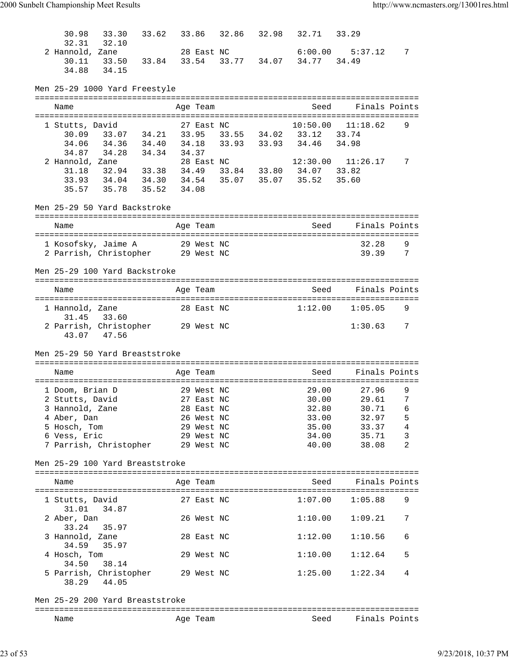| 30.98                        | 33.30 | 33.62                                                                                                                                | 33.86 |            | 32.86 | 32.98 | 32.71                   | 33.29                 |               |
|------------------------------|-------|--------------------------------------------------------------------------------------------------------------------------------------|-------|------------|-------|-------|-------------------------|-----------------------|---------------|
| 32.31                        | 32.10 |                                                                                                                                      |       |            |       |       |                         |                       |               |
| 2 Hannold, Zane              |       | 28 East NC                                                                                                                           |       |            |       |       |                         | $6:00.00$ $5:37.12$   | 7             |
| 30.11                        |       | 33.50 33.84 33.54                                                                                                                    |       |            |       |       | 33.77 34.07 34.77 34.49 |                       |               |
| 34.88                        | 34.15 |                                                                                                                                      |       |            |       |       |                         |                       |               |
|                              |       |                                                                                                                                      |       |            |       |       |                         |                       |               |
|                              |       | Men 25-29 1000 Yard Freestyle                                                                                                        |       |            |       |       |                         |                       |               |
|                              |       |                                                                                                                                      |       |            |       |       |                         |                       |               |
| Name                         |       |                                                                                                                                      |       | Age Team   |       |       | Seed                    |                       | Finals Points |
| 1 Stutts, David              |       |                                                                                                                                      |       | 27 East NC |       |       |                         | $10:50.00$ $11:18.62$ | 9             |
| 30.09                        |       |                                                                                                                                      |       |            |       |       |                         | 33.74                 |               |
| 34.06                        |       | $\begin{array}{cccccccc} 33.07 & 34.21 & 33.95 & 33.55 & 34.02 & 33.12 \\ 34.36 & 34.40 & 34.18 & 33.93 & 33.93 & 34.46 \end{array}$ |       |            |       |       |                         | 34.98                 |               |
| 34.87                        |       | 34.28 34.34 34.37                                                                                                                    |       |            |       |       |                         |                       |               |
| 2 Hannold, Zane              |       |                                                                                                                                      |       | 28 East NC |       |       |                         | $12:30.00$ $11:26.17$ | 7             |
| 31.18                        |       | 32.94 33.38 34.49 33.84 33.80 34.07 33.82                                                                                            |       |            |       |       |                         |                       |               |
|                              |       | 33.93 34.04 34.30 34.54 35.07 35.07 35.52 35.60                                                                                      |       |            |       |       |                         |                       |               |
| 35.57                        | 35.78 | 35.52                                                                                                                                | 34.08 |            |       |       |                         |                       |               |
|                              |       |                                                                                                                                      |       |            |       |       |                         |                       |               |
| Men 25-29 50 Yard Backstroke |       |                                                                                                                                      |       |            |       |       |                         |                       |               |
|                              |       |                                                                                                                                      |       |            |       |       |                         |                       |               |
| Name                         |       |                                                                                                                                      |       | Age Team   |       |       | Seed                    | Finals Points         |               |
|                              |       |                                                                                                                                      |       |            |       |       |                         |                       |               |
|                              |       | 1 Kosofsky, Jaime A 29 West NC<br>2 Parrish, Christopher 29 West NC                                                                  |       |            |       |       |                         | 32.28                 | 9             |
|                              |       |                                                                                                                                      |       |            |       |       |                         | 39.39                 | 7             |
|                              |       |                                                                                                                                      |       |            |       |       |                         |                       |               |
|                              |       | Men 25-29 100 Yard Backstroke                                                                                                        |       |            |       |       |                         |                       |               |
|                              |       |                                                                                                                                      |       |            |       |       |                         |                       |               |
| Name                         |       |                                                                                                                                      |       | Age Team   |       |       | Seed                    | Finals Points         |               |
|                              |       |                                                                                                                                      |       |            |       |       |                         |                       |               |
| 1 Hannold, Zane              |       |                                                                                                                                      |       | 28 East NC |       |       | 1:12.00                 | 1:05.05               | 9             |
| 31.45 33.60                  |       |                                                                                                                                      |       |            |       |       |                         |                       |               |
|                              |       | 2 Parrish, Christopher 29 West NC                                                                                                    |       |            |       |       |                         | 1:30.63               | 7             |
| 43.07                        | 47.56 |                                                                                                                                      |       |            |       |       |                         |                       |               |
|                              |       |                                                                                                                                      |       |            |       |       |                         |                       |               |
|                              |       | Men 25-29 50 Yard Breaststroke                                                                                                       |       |            |       |       |                         |                       |               |
|                              |       |                                                                                                                                      |       |            |       |       | Seed                    | Finals Points         |               |
| Name                         |       |                                                                                                                                      |       | Age Team   |       |       |                         |                       |               |
| 1 Doom, Brian D              |       |                                                                                                                                      |       | 29 West NC |       |       | 29.00                   | 27.96                 | 9             |
| 2 Stutts, David              |       |                                                                                                                                      |       | 27 East NC |       |       | 30.00                   | 29.61                 | 7             |
| 3 Hannold, Zane              |       |                                                                                                                                      |       | 28 East NC |       |       | 32.80                   | 30.71                 | 6             |
| 4 Aber, Dan                  |       |                                                                                                                                      |       | 26 West NC |       |       | 33.00                   | 32.97                 | 5             |
| 5 Hosch, Tom                 |       |                                                                                                                                      |       | 29 West NC |       |       | 35.00                   | 33.37                 | 4             |
| 6 Vess, Eric                 |       |                                                                                                                                      |       | 29 West NC |       |       | 34.00                   | 35.71                 | 3             |
| 7 Parrish, Christopher       |       |                                                                                                                                      |       | 29 West NC |       |       | 40.00                   | 38.08                 | 2             |
|                              |       |                                                                                                                                      |       |            |       |       |                         |                       |               |
|                              |       | Men 25-29 100 Yard Breaststroke                                                                                                      |       |            |       |       |                         |                       |               |
|                              |       |                                                                                                                                      |       |            |       |       |                         |                       |               |
| Name                         |       |                                                                                                                                      |       | Age Team   |       |       | Seed                    |                       | Finals Points |
|                              |       |                                                                                                                                      |       |            |       |       |                         |                       |               |
| 1 Stutts, David              |       |                                                                                                                                      |       | 27 East NC |       |       | 1:07.00                 | 1:05.88               | 9             |
| 31.01                        | 34.87 |                                                                                                                                      |       |            |       |       |                         |                       |               |
| 2 Aber, Dan                  |       |                                                                                                                                      |       | 26 West NC |       |       | 1:10.00                 | 1:09.21               | 7             |
| 33.24                        | 35.97 |                                                                                                                                      |       |            |       |       |                         |                       |               |
| 3 Hannold, Zane              |       |                                                                                                                                      |       | 28 East NC |       |       | 1:12.00                 | 1:10.56               | 6             |
| 34.59                        | 35.97 |                                                                                                                                      |       |            |       |       |                         |                       |               |
| 4 Hosch, Tom                 |       |                                                                                                                                      |       | 29 West NC |       |       | 1:10.00                 | 1:12.64               | 5             |
| 34.50                        | 38.14 |                                                                                                                                      |       |            |       |       |                         |                       |               |
| 5 Parrish, Christopher       |       |                                                                                                                                      |       | 29 West NC |       |       | 1:25.00                 | 1:22.34               | 4             |
| 38.29                        | 44.05 |                                                                                                                                      |       |            |       |       |                         |                       |               |
|                              |       |                                                                                                                                      |       |            |       |       |                         |                       |               |
|                              |       | Men 25-29 200 Yard Breaststroke                                                                                                      |       |            |       |       |                         |                       |               |
|                              |       |                                                                                                                                      |       |            |       |       |                         |                       |               |
|                              |       |                                                                                                                                      |       |            |       |       |                         |                       | Finals Points |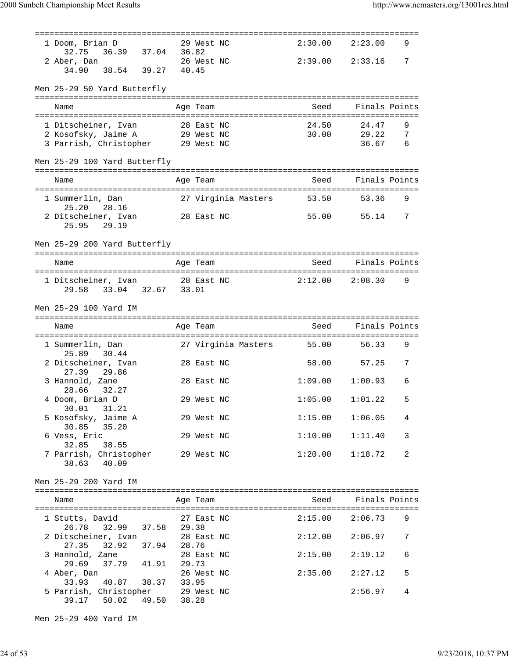| 1 Doom, Brian D<br>36.39 37.04 36.82<br>32.75           | 29 West NC |                     | 2:30.00 | 2:23.00       | 9 |
|---------------------------------------------------------|------------|---------------------|---------|---------------|---|
| 2 Aber, Dan<br>26 West NC<br>38.54 39.27 40.45<br>34.90 |            |                     | 2:39.00 | 2:33.16       | 7 |
| Men 25-29 50 Yard Butterfly                             |            |                     |         |               |   |
|                                                         |            |                     |         |               |   |
| Name                                                    | Age Team   |                     | Seed    | Finals Points |   |
|                                                         |            |                     |         |               |   |
| 1 Ditscheiner, Ivan                                     | 28 East NC |                     | 24.50   | 24.47         | 9 |
| 2 Kosofsky, Jaime A                                     | 29 West NC |                     | 30.00   | 29.22         | 7 |
| 3 Parrish, Christopher 29 West NC                       |            |                     |         | 36.67         | 6 |
| Men 25-29 100 Yard Butterfly                            |            |                     |         |               |   |
| Name                                                    | Age Team   |                     | Seed    | Finals Points |   |
|                                                         |            |                     |         |               |   |
| 1 Summerlin, Dan<br>25.20<br>28.16                      |            |                     |         | 53.36         | 9 |
| 2 Ditscheiner, Ivan<br>28 East NC                       |            |                     | 55.00   | 55.14         | 7 |
| 25.95<br>29.19                                          |            |                     |         |               |   |
| Men 25-29 200 Yard Butterfly                            |            |                     |         |               |   |
|                                                         |            |                     |         |               |   |
| Name                                                    | Age Team   |                     | Seed    | Finals Points |   |
| 1 Ditscheiner, Ivan 28 East NC                          |            |                     | 2:12.00 | 2:08.30       | 9 |
| 33.04 32.67 33.01<br>29.58                              |            |                     |         |               |   |
|                                                         |            |                     |         |               |   |
| Men 25-29 100 Yard IM                                   |            |                     |         |               |   |
|                                                         |            |                     |         |               |   |
| Name                                                    | Age Team   |                     | Seed    | Finals Points |   |
|                                                         |            |                     |         |               |   |
| 1 Summerlin, Dan                                        |            | 27 Virginia Masters | 55.00   | 56.33         | 9 |
| 30.44<br>25.89                                          |            |                     |         |               |   |
| 2 Ditscheiner, Ivan                                     | 28 East NC |                     | 58.00   | 57.25         | 7 |
| 27.39<br>29.86                                          |            |                     |         |               |   |
| 3 Hannold, Zane                                         | 28 East NC |                     | 1:09.00 | 1:00.93       | 6 |
| 28.66<br>32.27                                          |            |                     |         |               | 5 |
| 4 Doom, Brian D<br>31.21<br>30.01                       | 29 West NC |                     | 1:05.00 | 1:01.22       |   |
| 5 Kosofsky, Jaime A                                     | 29 West NC |                     | 1:15.00 | 1:06.05       | 4 |
| 35.20<br>30.85                                          |            |                     |         |               |   |
| 6 Vess, Eric                                            | 29 West NC |                     | 1:10.00 | 1:11.40       | 3 |
| 32.85<br>38.55                                          |            |                     |         |               |   |
| 7 Parrish, Christopher<br>40.09                         | 29 West NC |                     | 1:20.00 | 1:18.72       | 2 |
| 38.63                                                   |            |                     |         |               |   |
| Men 25-29 200 Yard IM                                   |            |                     |         |               |   |
|                                                         |            |                     |         |               |   |
| Name                                                    | Age Team   |                     | Seed    | Finals Points |   |
|                                                         |            |                     |         |               |   |
| 1 Stutts, David                                         | 27 East NC |                     | 2:15.00 | 2:06.73       | 9 |
| 26.78 32.99 37.58 29.38                                 |            |                     |         |               |   |
| 2 Ditscheiner, Ivan                                     | 28 East NC |                     | 2:12.00 | 2:06.97       | 7 |
| 32.92 37.94 28.76<br>27.35                              |            |                     |         |               |   |
| 3 Hannold, Zane                                         | 28 East NC |                     | 2:15.00 | 2:19.12       | 6 |
| 37.79  41.91  29.73<br>29.69                            |            |                     |         |               |   |
| 4 Aber, Dan<br>33.93                                    | 26 West NC |                     | 2:35.00 | 2:27.12       | 5 |
| 40.87 38.37 33.95                                       |            |                     |         | 2:56.97       | 4 |
| 5 Parrish, Christopher<br>49.50 38.28<br>39.17 50.02    | 29 West NC |                     |         |               |   |

Men 25-29 400 Yard IM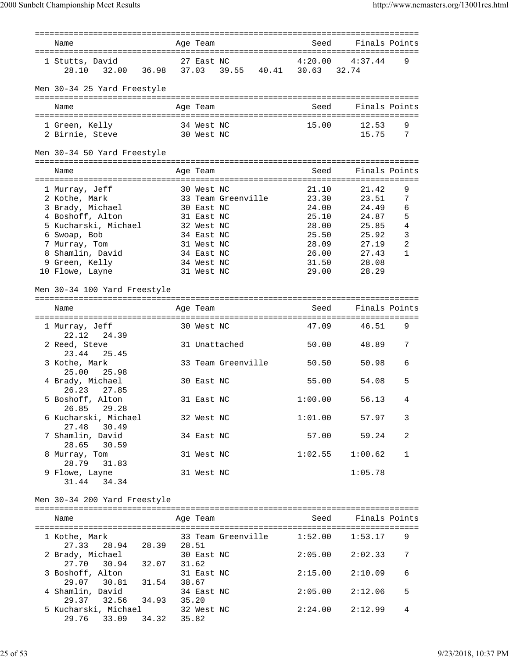| Name                               | Age Team   |                                     | Seed    | Finals Points      |                |
|------------------------------------|------------|-------------------------------------|---------|--------------------|----------------|
| 1 Stutts, David                    |            | 27 East NC                          | 4:20.00 | 4:37.44            | 9              |
| 28.10                              |            | 32.00 36.98 37.03 39.55 40.41 30.63 |         | 32.74              |                |
|                                    |            |                                     |         |                    |                |
| Men 30-34 25 Yard Freestyle        |            |                                     |         |                    |                |
|                                    |            |                                     |         |                    |                |
| Name                               | Age Team   |                                     | Seed    | Finals Points      |                |
| 1 Green, Kelly                     | 34 West NC |                                     | 15.00   | 12.53              | 9              |
| 2 Birnie, Steve 30 West NC         |            |                                     |         | 15.75              | 7              |
|                                    |            |                                     |         |                    |                |
| Men 30-34 50 Yard Freestyle        |            |                                     |         |                    |                |
|                                    |            |                                     |         |                    |                |
| Name                               | Age Team   |                                     | Seed    | Finals Points      |                |
|                                    |            |                                     | 21.10   | 21.42              | 9              |
| 1 Murray, Jeff<br>2 Kothe, Mark    | 30 West NC | 33 Team Greenville                  | 23.30   | 23.51              | 7              |
| 3 Brady, Michael<br>30 East NC     |            |                                     | 24.00   | 24.49              | 6              |
| 4 Boshoff, Alton                   | 31 East NC |                                     | 25.10   | 24.87              | 5              |
| 5 Kucharski, Michael               | 32 West NC |                                     | 28.00   | 25.85              | $\overline{4}$ |
| 6 Swoap, Bob                       | 34 East NC |                                     | 25.50   | 25.92              | $\mathbf{3}$   |
| 7 Murray, Tom                      | 31 West NC |                                     | 28.09   | 27.19              | 2              |
| 8 Shamlin, David                   | 34 East NC |                                     | 26.00   | 27.43              | $\mathbf{1}$   |
| 9 Green, Kelly                     | 34 West NC |                                     | 31.50   | 28.08              |                |
| 10 Flowe, Layne                    | 31 West NC |                                     | 29.00   | 28.29              |                |
|                                    |            |                                     |         |                    |                |
| Men 30-34 100 Yard Freestyle       |            |                                     |         |                    |                |
| Name                               | Age Team   |                                     | Seed    | Finals Points      |                |
|                                    |            |                                     |         |                    |                |
| 1 Murray, Jeff                     | 30 West NC |                                     | 47.09   | 46.51              | 9              |
| 22.12<br>24.39                     |            |                                     |         |                    |                |
| 2 Reed, Steve                      |            | 31 Unattached                       | 50.00   | 48.89              | 7              |
| 23.44<br>25.45                     |            |                                     |         |                    |                |
| 3 Kothe, Mark                      |            | 33 Team Greenville                  | 50.50   | 50.98              | 6              |
| 25.00<br>25.98                     |            |                                     |         |                    |                |
| 4 Brady, Michael                   | 30 East NC |                                     | 55.00   | 54.08              | 5              |
| 26.23<br>27.85                     |            |                                     |         |                    |                |
| 5 Boshoff, Alton                   | 31 East NC |                                     | 1:00.00 | 56.13              | 4              |
| 26.85<br>29.28                     |            |                                     |         |                    |                |
| 6 Kucharski, Michael               | 32 West NC |                                     | 1:01.00 | 57.97              | 3              |
| 27.48<br>30.49<br>7 Shamlin, David | 34 East NC |                                     | 57.00   | 59.24              | 2              |
| 28.65 30.59                        |            |                                     |         |                    |                |
| 8 Murray, Tom                      | 31 West NC |                                     | 1:02.55 | 1:00.62            | 1              |
| 28.79<br>31.83                     |            |                                     |         |                    |                |
| 9 Flowe, Layne                     | 31 West NC |                                     |         | 1:05.78            |                |
| 31.44 34.34                        |            |                                     |         |                    |                |
|                                    |            |                                     |         |                    |                |
| Men 30-34 200 Yard Freestyle       |            |                                     |         |                    |                |
|                                    |            |                                     |         |                    |                |
| Name                               |            | Age Team                            |         | Seed Finals Points |                |
| 1 Kothe, Mark                      |            | 33 Team Greenville 1:52.00          |         | 1:53.17            | 9              |
| 28.94 28.39 28.51<br>27.33         |            |                                     |         |                    |                |
| 2 Brady, Michael                   | 30 East NC |                                     | 2:05.00 | 2:02.33            | 7              |
| 27.70 30.94 32.07 31.62            |            |                                     |         |                    |                |
| 3 Boshoff, Alton                   | 31 East NC |                                     | 2:15.00 | 2:10.09            | 6              |
| 29.07 30.81 31.54 38.67            |            |                                     |         |                    |                |
| 4 Shamlin, David                   | 34 East NC |                                     | 2:05.00 | 2:12.06            | 5              |
| 32.56 34.93 35.20<br>29.37         |            |                                     |         |                    |                |
| 5 Kucharski, Michael               | 32 West NC |                                     | 2:24.00 | 2:12.99            | 4              |
| 29.76<br>33.09 34.32 35.82         |            |                                     |         |                    |                |
|                                    |            |                                     |         |                    |                |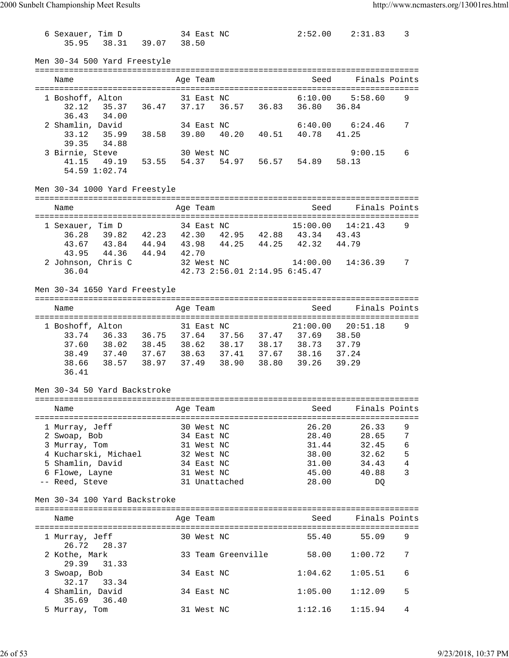| 6 Sexauer, Tim D<br>38.31 39.07 38.50<br>35.95                                                                                                                                                                                                             | 34 East NC |                                                                                  |               |                               | 2:52.00                                                      | 2:31.83                                                   | 3                          |
|------------------------------------------------------------------------------------------------------------------------------------------------------------------------------------------------------------------------------------------------------------|------------|----------------------------------------------------------------------------------|---------------|-------------------------------|--------------------------------------------------------------|-----------------------------------------------------------|----------------------------|
| Men 30-34 500 Yard Freestyle                                                                                                                                                                                                                               |            |                                                                                  |               |                               |                                                              |                                                           |                            |
| Name                                                                                                                                                                                                                                                       |            | Age Team                                                                         |               |                               | Seed                                                         | =================================<br>Finals Points        |                            |
| 1 Boshoff, Alton<br>35.37 36.47 37.17 36.57 36.83 36.80 36.84<br>32.12<br>36.43<br>34.00                                                                                                                                                                   |            | 31 East NC                                                                       |               |                               | 6:10.00                                                      | 5:58.60                                                   | 9                          |
| 2 Shamlin, David<br>33.12 35.99<br>39.35 34.88                                                                                                                                                                                                             |            | 34 East NC                                                                       |               |                               | 34 East NC 6:40.00 6:<br>38.58 39.80 40.20 40.51 40.78 41.25 | $6:40.00$ $6:24.46$                                       | 7                          |
| 3 Birnie, Steve<br>41.15 49.19 53.55 54.37<br>54.59 1:02.74                                                                                                                                                                                                |            | 30 West NC                                                                       |               |                               | 54.97    56.57    54.89                                      | 9:00.15<br>58.13                                          | 6                          |
| Men 30-34 1000 Yard Freestyle                                                                                                                                                                                                                              |            |                                                                                  |               |                               |                                                              |                                                           |                            |
| Name                                                                                                                                                                                                                                                       |            | Age Team                                                                         |               |                               | Seed                                                         | Finals Points                                             |                            |
| 1 Sexauer, Tim D<br>36.28 39.82 42.23 42.30 42.95 42.88 43.34 43.43<br>43.67 43.84 44.94 43.98 44.25 44.25 42.32 44.79<br>43.95<br>44.36 44.94 42.70<br>2 Johnson, Chris C<br>36.04                                                                        | 34 East NC | 32 West NC                                                                       |               | 42.73 2:56.01 2:14.95 6:45.47 | 15:00.00<br>14:00.00                                         | 14:21.43<br>14:36.39                                      | 9<br>7                     |
| Men 30-34 1650 Yard Freestyle                                                                                                                                                                                                                              |            |                                                                                  |               |                               |                                                              |                                                           |                            |
| Name                                                                                                                                                                                                                                                       |            | Age Team                                                                         |               |                               | Seed                                                         | Finals Points                                             |                            |
| 1 Boshoff, Alton 31 East NC 21:00.00 20:<br>33.74 36.33 36.75 37.64 37.56 37.47 37.69 38.50<br>37.60 38.02 38.45 38.62 38.17 38.17 38.73 37.79<br>38.49 37.40 37.67 38.63 37.41 37.67 38.16 37.24<br>38.57 38.97 37.49 38.90 38.80 39.26<br>38.66<br>36.41 |            |                                                                                  |               |                               |                                                              | $21:00.00$ $20:51.18$<br>39.29                            | 9                          |
| Men 30-34 50 Yard Backstroke                                                                                                                                                                                                                               |            |                                                                                  |               |                               |                                                              |                                                           |                            |
| Name                                                                                                                                                                                                                                                       |            | Age Team                                                                         |               |                               | Seed                                                         | Finals Points                                             |                            |
| 1 Murray, Jeff<br>2 Swoap, Bob<br>3 Murray, Tom<br>4 Kucharski, Michael<br>5 Shamlin, David<br>6 Flowe, Layne<br>-- Reed, Steve                                                                                                                            |            | 30 West NC<br>34 East NC<br>31 West NC<br>32 West NC<br>34 East NC<br>31 West NC | 31 Unattached |                               | 26.20<br>28.40<br>31.44<br>38.00<br>31.00<br>45.00<br>28.00  | 26.33<br>28.65<br>32.45<br>32.62<br>34.43<br>40.88<br>DQ. | 9<br>7<br>6<br>5<br>4<br>3 |
| Men 30-34 100 Yard Backstroke                                                                                                                                                                                                                              |            |                                                                                  |               |                               |                                                              |                                                           |                            |
| Name                                                                                                                                                                                                                                                       |            | Age Team                                                                         |               |                               | Seed                                                         | Finals Points                                             |                            |
| 1 Murray, Jeff<br>26.72<br>28.37<br>2 Kothe, Mark                                                                                                                                                                                                          |            | 30 West NC                                                                       |               |                               | 55.40<br>33 Team Greenville 58.00                            | 55.09<br>1:00.72                                          | 9<br>7                     |
| 29.39<br>31.33<br>3 Swoap, Bob                                                                                                                                                                                                                             |            | 34 East NC                                                                       |               |                               | 1:04.62                                                      | 1:05.51                                                   | 6                          |
| 32.17<br>33.34<br>4 Shamlin, David<br>35.69<br>36.40                                                                                                                                                                                                       |            | 34 East NC                                                                       |               |                               | 1:05.00                                                      | 1:12.09                                                   | 5                          |
| 5 Murray, Tom                                                                                                                                                                                                                                              |            | 31 West NC                                                                       |               |                               | 1:12.16                                                      | 1:15.94                                                   | 4                          |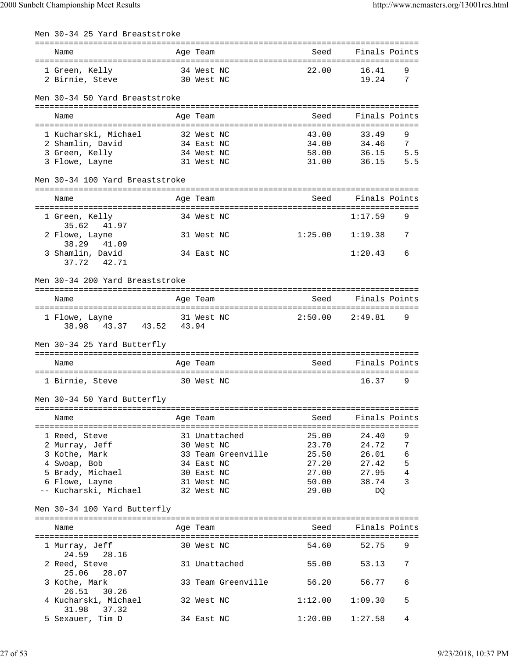| Men 30-34 25 Yard Breaststroke     |            |                          |                                  |                |                |               |
|------------------------------------|------------|--------------------------|----------------------------------|----------------|----------------|---------------|
| Name                               |            | Age Team                 | ================================ | Seed           |                | Finals Points |
|                                    |            |                          |                                  |                |                |               |
| 1 Green, Kelly                     |            | 34 West NC               |                                  | 22.00          | 16.41          | 9             |
| 2 Birnie, Steve                    |            | 30 West NC               |                                  |                | 19.24          | 7             |
| Men 30-34 50 Yard Breaststroke     |            |                          |                                  |                |                |               |
|                                    |            |                          |                                  |                |                |               |
| Name                               |            | Age Team                 |                                  | Seed           |                | Finals Points |
| 1 Kucharski, Michael               |            | 32 West NC               |                                  | 43.00          | 33.49          | 9             |
| 2 Shamlin, David                   |            | 34 East NC               |                                  | 34.00          | 34.46          | 7             |
| 3 Green, Kelly                     | 34 West NC |                          |                                  | 58.00          | 36.15          | 5.5           |
| 3 Flowe, Layne<br>31 West NC       |            |                          |                                  | 31.00          | 36.15          | 5.5           |
| Men 30-34 100 Yard Breaststroke    |            |                          |                                  |                |                |               |
| Name                               |            | Age Team                 |                                  | Seed           | Finals Points  |               |
| 1 Green, Kelly<br>35.62 41.97      |            | 34 West NC               |                                  |                | 1:17.59        | 9             |
| 2 Flowe, Layne                     |            | 31 West NC               |                                  | 1:25.00        | 1:19.38        | 7             |
| 38.29 41.09                        |            |                          |                                  |                |                |               |
| 3 Shamlin, David                   |            | 34 East NC               |                                  |                | 1:20.43        | 6             |
| 37.72<br>42.71                     |            |                          |                                  |                |                |               |
| Men 30-34 200 Yard Breaststroke    |            |                          |                                  |                |                |               |
|                                    |            |                          |                                  |                |                |               |
| Name                               |            | Age Team                 |                                  | Seed           | Finals Points  |               |
| 1 Flowe, Layne                     | 31 West NC |                          |                                  | 2:50.00        | 2:49.81        | 9             |
| 38.98 43.37 43.52 43.94            |            |                          |                                  |                |                |               |
| Men 30-34 25 Yard Butterfly        |            |                          |                                  |                |                |               |
| Name                               |            | Age Team                 |                                  | Seed           | Finals Points  |               |
| 1 Birnie, Steve                    |            | 30 West NC               |                                  |                | 16.37          | 9             |
|                                    |            |                          |                                  |                |                |               |
| Men 30-34 50 Yard Butterfly        |            |                          |                                  |                |                |               |
|                                    |            |                          |                                  |                |                |               |
| Name                               |            | Age Team                 |                                  | Seed           |                | Finals Points |
| 1 Reed, Steve                      |            |                          | 31 Unattached                    | 25.00          | 24.40          | 9             |
| 2 Murray, Jeff                     |            | 30 West NC               |                                  | 23.70          | 24.72          | 7             |
| 3 Kothe, Mark                      |            |                          | 33 Team Greenville               | 25.50          | 26.01          | 6             |
| 4 Swoap, Bob                       |            | 34 East NC               |                                  | 27.20          | 27.42          | 5             |
| 5 Brady, Michael<br>6 Flowe, Layne |            | 30 East NC<br>31 West NC |                                  | 27.00<br>50.00 | 27.95<br>38.74 | 4<br>3        |
| -- Kucharski, Michael              | 32 West NC |                          |                                  | 29.00          | DQ             |               |
|                                    |            |                          |                                  |                |                |               |
| Men 30-34 100 Yard Butterfly       |            |                          |                                  |                |                |               |
| Name                               |            | Age Team                 |                                  | Seed           |                | Finals Points |
| 1 Murray, Jeff                     |            | 30 West NC               |                                  | 54.60          | 52.75          | 9             |
| 24.59<br>28.16                     |            |                          |                                  |                |                |               |
| 2 Reed, Steve                      |            |                          | 31 Unattached                    | 55.00          | 53.13          | 7             |
| 25.06<br>28.07<br>3 Kothe, Mark    |            |                          | 33 Team Greenville               | 56.20          | 56.77          | 6             |
| 26.51<br>30.26                     |            |                          |                                  |                |                |               |
| 4 Kucharski, Michael               |            | 32 West NC               |                                  | 1:12.00        | 1:09.30        | 5             |
| 31.98<br>37.32<br>5 Sexauer, Tim D |            | 34 East NC               |                                  | 1:20.00        | 1:27.58        | 4             |
|                                    |            |                          |                                  |                |                |               |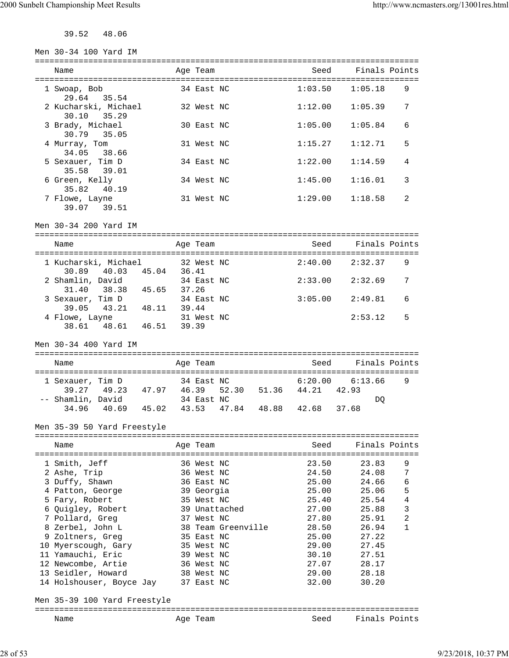39.52 48.06

| Men 30-34 100 Yard IM |  |  |
|-----------------------|--|--|

| Name                                | Age Team   | Seed                | Finals Points |   |
|-------------------------------------|------------|---------------------|---------------|---|
| 1 Swoap, Bob<br>29.64 35.54         | 34 East NC | $1:03.50$ $1:05.18$ |               | 9 |
| 2 Kucharski, Michael<br>30.10 35.29 | 32 West NC | $1:12.00$ $1:05.39$ |               | 7 |
| 3 Brady, Michael<br>30.79 35.05     | 30 East NC | 1:05.00             | 1:05.84       | 6 |
| 4 Murray, Tom<br>34.05 38.66        | 31 West NC | 1:15.27             | 1:12.71       | 5 |
| 5 Sexauer, Tim D<br>35.58 39.01     | 34 East NC | 1:22.00             | 1:14.59       | 4 |
| 6 Green, Kelly<br>35.82 40.19       | 34 West NC | 1:45.00             | 1:16.01       | 3 |
| 7 Flowe, Layne<br>39.07 39.51       | 31 West NC | 1:29.00             | 1:18.58       | 2 |
| Men 30-34 200 Yard IM               |            |                     |               |   |

| Name                 |             |       | Age Team   | Seed    | Finals Points |   |
|----------------------|-------------|-------|------------|---------|---------------|---|
| 1 Kucharski, Michael |             |       | 32 West NC | 2:40.00 | 2:32.37       | 9 |
| 30.89                | 40.03       | 45.04 | 36.41      |         |               |   |
| 2 Shamlin, David     |             |       | 34 East NC | 2:33.00 | 2:32.69       | 7 |
|                      | 31.40 38.38 | 45.65 | 37.26      |         |               |   |
| 3 Sexauer, Tim D     |             |       | 34 East NC | 3:05.00 | 2:49.81       | 6 |
|                      | 39.05 43.21 | 48.11 | 39.44      |         |               |   |
| 4 Flowe, Layne       |             |       | 31 West NC |         | 2:53.12       | 5 |
| 38.61                | 48.61       | 46.51 | 39.39      |         |               |   |

Men 30-34 400 Yard IM

| Name              |             |       | Age Team                  |       |       | Seed    | Finals Points |   |
|-------------------|-------------|-------|---------------------------|-------|-------|---------|---------------|---|
| 1 Sexauer, Tim D  |             |       | 34 East NC                |       |       | 6:20.00 | 6:13.66       | 9 |
| -- Shamlin, David | 39.27 49.23 | 47 97 | 46.39 52.30<br>34 East NC |       | 51.36 | 44.21   | 42.93<br>DO   |   |
| 34.96             | 40.69       | 45.02 | 43.53                     | 47.84 | 48.88 | 42.68   | 37.68         |   |

Men 35-39 50 Yard Freestyle

| Name                                | Age Team           | Seed  | Finals Points |   |
|-------------------------------------|--------------------|-------|---------------|---|
|                                     |                    |       |               |   |
| 1 Smith, Jeff                       | 36 West NC         | 23.50 | 23.83         | 9 |
| 2 Ashe, Trip                        | 36 West NC         | 24.50 | 24.08         | 7 |
| 3 Duffy, Shawn                      | 36 East NC         | 25.00 | 24.66         | 6 |
| 4 Patton, George                    | 39 Georgia         | 25.00 | 25.06         | 5 |
| 5 Fary, Robert                      | 35 West NC         | 25.40 | 25.54         | 4 |
| 6 Quigley, Robert                   | 39 Unattached      | 27.00 | 25.88         | 3 |
| 7 Pollard, Greg                     | 37 West NC         | 27.80 | 25.91         | 2 |
| 8 Zerbel, John L                    | 38 Team Greenville | 28.50 | 26.94         | 1 |
| 9 Zoltners, Greg                    | 35 East NC         | 25.00 | 27.22         |   |
| 10 Myerscough, Gary                 | 35 West NC         | 29.00 | 27.45         |   |
| 11 Yamauchi, Eric                   | 39 West NC         | 30.10 | 27.51         |   |
| 12 Newcombe, Artie                  | 36 West NC         | 27.07 | 28.17         |   |
| 13 Seidler, Howard                  | 38 West NC         | 29.00 | 28.18         |   |
| 14 Holshouser, Boyce Jay 37 East NC |                    | 32.00 | 30.20         |   |
| Men 35-39 100 Yard Freestyle        |                    |       |               |   |
| Name                                | Age Team           | Seed  | Finals Points |   |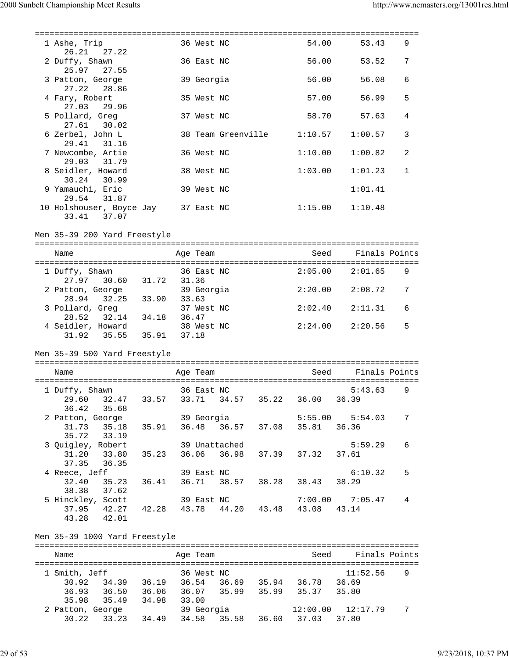| 1 Ashe, Trip                                                                                                       |            |            | 36 West NC    | 54.00                      | 53.43                           | 9               |
|--------------------------------------------------------------------------------------------------------------------|------------|------------|---------------|----------------------------|---------------------------------|-----------------|
| 26.21 27.22<br>2 Duffy, Shawn                                                                                      |            | 36 East NC |               | 56.00                      | 53.52                           | 7               |
| 25.97 27.55<br>3 Patton, George                                                                                    |            | 39 Georgia |               | 56.00                      | 56.08                           | 6               |
| 27.22 28.86<br>4 Fary, Robert                                                                                      |            | 35 West NC |               | 57.00                      | 56.99                           | 5               |
| 27.03 29.96<br>5 Pollard, Greg                                                                                     |            | 37 West NC |               | 58.70                      | 57.63                           | 4               |
| 27.61 30.02<br>6 Zerbel, John L                                                                                    |            |            |               | 38 Team Greenville 1:10.57 | 1:00.57                         | $\mathbf{3}$    |
| 29.41 31.16<br>7 Newcombe, Artie                                                                                   |            | 36 West NC |               | 1:10.00                    | 1:00.82                         | 2               |
| 29.03 31.79<br>8 Seidler, Howard<br>30.24 30.99                                                                    |            | 38 West NC |               | 1:03.00                    | 1:01.23                         | $\mathbf{1}$    |
| 9 Yamauchi, Eric<br>29.54 31.87                                                                                    |            | 39 West NC |               |                            | 1:01.41                         |                 |
| 10 Holshouser, Boyce Jay 37 East NC<br>33.41 37.07                                                                 |            |            |               |                            | $1:15.00$ $1:10.48$             |                 |
| Men 35-39 200 Yard Freestyle                                                                                       |            |            |               |                            |                                 |                 |
| Name                                                                                                               |            | Age Team   |               | Seed                       | Finals Points                   |                 |
| 1 Duffy, Shawn<br>27.97 30.60 31.72 31.36                                                                          |            |            |               |                            | 36 East NC 2:05.00 2:01.65      | 9               |
| 2 Patton, George<br>28.94 32.25 33.90 33.63                                                                        |            |            | 39 Georgia    |                            | $2:20.00$ $2:08.72$             | 7               |
| 3 Pollard, Greg<br>28.52 32.14 34.18 36.47                                                                         |            | 37 West NC |               |                            | $2:02.40$ $2:11.31$             | 6               |
| 4 Seidler, Howard<br>$31.92$ $35.55$ $35.91$ $37.18$                                                               |            | 38 West NC |               |                            | $2:24.00$ $2:20.56$             | 5               |
| Men 35-39 500 Yard Freestyle                                                                                       |            |            |               |                            |                                 |                 |
| Name                                                                                                               |            | Age Team   |               |                            | Seed Finals Points              |                 |
|                                                                                                                    |            |            |               |                            |                                 |                 |
| 1 Duffy, Shawn<br>29.60 32.47 33.57 33.71 34.57 35.22 36.00 36.39                                                  | 36 East NC |            |               |                            | 5:43.63                         | 9               |
| 35.68<br>36.42                                                                                                     |            |            |               |                            |                                 |                 |
| 2 Patton, George 39 Georgia 5:55.00 5:54.03 7<br>35.18 35.91 36.48 36.57 37.08 35.81 36.36<br>31.73<br>35.72 33.19 |            |            |               |                            |                                 |                 |
| 3 Quigley, Robert                                                                                                  |            |            | 39 Unattached |                            | 5:59.29                         | 6               |
| 31.20 33.80 35.23                                                                                                  |            |            |               | 36.06 36.98 37.39 37.32    | 37.61                           |                 |
| 37.35 36.35                                                                                                        |            |            |               |                            |                                 |                 |
| 4 Reece, Jeff                                                                                                      |            | 39 East NC |               |                            | 6:10.32                         | 5               |
| 32.40 35.23 36.41                                                                                                  |            |            |               | 36.71 38.57 38.28 38.43    | 38.29                           |                 |
| 38.38 37.62                                                                                                        |            |            |               |                            |                                 |                 |
| 5 Hinckley, Scott                                                                                                  |            |            |               |                            | $7:00.00$ $7:05.47$             | 4               |
| nckley, Scott 39 East NC 7:00.00 7:00<br>37.95 42.27 42.28 43.78 44.20 43.48 43.08 43.14                           |            |            |               |                            |                                 |                 |
| 43.28  42.01                                                                                                       |            |            |               |                            |                                 |                 |
| Men 35-39 1000 Yard Freestyle                                                                                      |            |            |               |                            |                                 |                 |
|                                                                                                                    |            |            |               |                            |                                 |                 |
| Name                                                                                                               |            |            |               |                            | Age Team and Seed Finals Points |                 |
|                                                                                                                    |            |            |               |                            |                                 |                 |
| 1 Smith, Jeff                                                                                                      | 36 West NC |            |               |                            | 11:52.56                        | 9               |
| 30.92  34.39  36.19  36.54  36.69  35.94  36.78  36.69                                                             |            |            |               |                            |                                 |                 |
| 36.93 36.50 36.06 36.07 35.99 35.99 35.37 35.80                                                                    |            |            |               |                            |                                 |                 |
| 35.98 35.49 34.98 33.00                                                                                            |            |            |               |                            |                                 |                 |
|                                                                                                                    |            |            |               |                            |                                 |                 |
| 2 Patton, George 39 Georgia 12:00.00 12:<br>30.22 33.23 34.49 34.58 35.58 36.60 37.03 37.80                        |            |            |               |                            | 39 Georgia (12:00.00 12:17.79   | $7\phantom{.0}$ |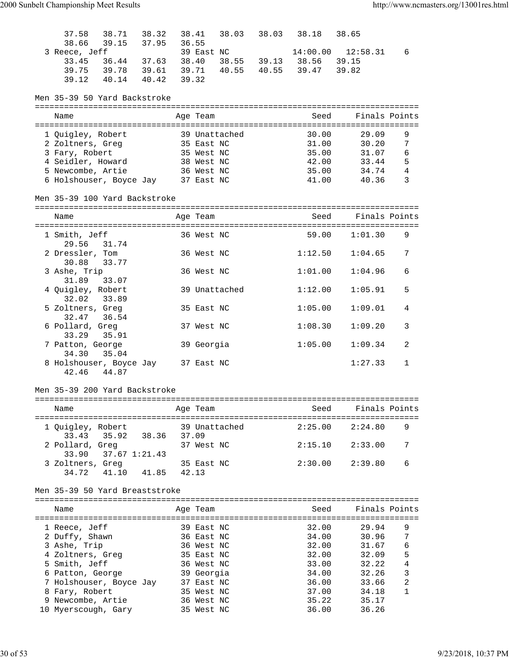| 37.58<br>38.71                                                    | 38.32 |       | 38.41                    |               |                         | 38.03 38.03 38.18 | 38.65                 |                     |
|-------------------------------------------------------------------|-------|-------|--------------------------|---------------|-------------------------|-------------------|-----------------------|---------------------|
| 38.66<br>39.15                                                    | 37.95 | 36.55 |                          |               |                         |                   |                       |                     |
| 3 Reece, Jeff                                                     |       |       |                          | 39 East NC    |                         |                   | $14:00.00$ $12:58.31$ | 6                   |
| 36.44 37.63 38.40 38.55 39.13 38.56<br>33.45                      |       |       |                          |               |                         |                   | 39.15                 |                     |
| 39.75 39.78 39.61 39.71 40.55 40.55 39.47<br>39.12<br>40.14 40.42 |       | 39.32 |                          |               |                         |                   | 39.82                 |                     |
|                                                                   |       |       |                          |               |                         |                   |                       |                     |
| Men 35-39 50 Yard Backstroke                                      |       |       |                          |               |                         |                   |                       |                     |
| Name                                                              |       |       | Age Team                 |               |                         | Seed              | Finals Points         |                     |
|                                                                   |       |       |                          |               |                         |                   |                       |                     |
| 1 Quigley, Robert                                                 |       |       |                          | 39 Unattached |                         | 30.00             | 29.09                 | 9                   |
| 2 Zoltners, Greg                                                  |       |       | 35 East NC               |               |                         |                   | 31.00 30.20           | 7                   |
| 3 Fary, Robert                                                    |       |       | 35 West NC               |               |                         | 35.00             | 31.07                 | $\epsilon$          |
| 4 Seidler, Howard                                                 |       |       | 38 West NC               |               |                         | 42.00             | 33.44<br>35.00 34.74  | 5                   |
| 5 Newcombe, Artie<br>6 Holshouser, Boyce Jay 37 East NC           |       |       | 36 West NC               |               |                         |                   | 41.00 40.36           | 4<br>3              |
|                                                                   |       |       |                          |               |                         |                   |                       |                     |
| Men 35-39 100 Yard Backstroke                                     |       |       |                          |               |                         |                   |                       |                     |
| Name                                                              |       |       | Age Team                 |               |                         | Seed              | Finals Points         |                     |
|                                                                   |       |       |                          |               |                         |                   |                       |                     |
| 1 Smith, Jeff<br>29.56<br>31.74                                   |       |       | 36 West NC               |               |                         | 59.00             | 1:01.30               | 9                   |
| 2 Dressler, Tom<br>30.88<br>33.77                                 |       |       | 36 West NC               |               |                         | 1:12.50           | 1:04.65               | 7                   |
| 3 Ashe, Trip                                                      |       |       | 36 West NC               |               |                         | 1:01.00           | 1:04.96               | 6                   |
| 31.89<br>33.07<br>4 Quigley, Robert                               |       |       |                          | 39 Unattached |                         | 1:12.00           | 1:05.91               | 5                   |
| 32.02<br>33.89<br>5 Zoltners, Greg                                |       |       | 35 East NC               |               |                         | 1:05.00           | 1:09.01               | 4                   |
| 32.47 36.54<br>6 Pollard, Greg                                    |       |       | 37 West NC               |               |                         | 1:08.30           | 1:09.20               | 3                   |
| 33.29<br>35.91                                                    |       |       |                          |               |                         |                   |                       |                     |
| 7 Patton, George<br>34.30<br>35.04                                |       |       | 39 Georgia               |               |                         | 1:05.00           | 1:09.34               | 2                   |
| 8 Holshouser, Boyce Jay 37 East NC<br>42.46<br>44.87              |       |       |                          |               |                         |                   | 1:27.33               | $\mathbf{1}$        |
| Men 35-39 200 Yard Backstroke                                     |       |       |                          |               |                         |                   |                       |                     |
| Name<br>=====================================                     |       |       | Age Team                 |               | ======================= | Seed              | Finals Points         |                     |
| 1 Quigley, Robert                                                 |       |       |                          | 39 Unattached |                         | 2:25.00           | 2:24.80               | 9                   |
| 35.92<br>33.43<br>2 Pollard, Greg                                 | 38.36 |       | 37.09<br>37 West NC      |               |                         | 2:15.10           | 2:33.00               | 7                   |
| 37.671:21.43<br>33.90                                             |       |       |                          |               |                         |                   |                       |                     |
| 3 Zoltners, Greg<br>34.72<br>41.10                                | 41.85 |       | 35 East NC<br>42.13      |               |                         | 2:30.00           | 2:39.80               | 6                   |
| Men 35-39 50 Yard Breaststroke                                    |       |       |                          |               |                         |                   |                       |                     |
| Name                                                              |       |       | Age Team                 |               |                         | Seed              | Finals Points         |                     |
|                                                                   |       |       |                          |               |                         |                   |                       |                     |
| 1 Reece, Jeff                                                     |       |       | 39 East NC               |               |                         | 32.00             | 29.94                 | 9                   |
| 2 Duffy, Shawn                                                    |       |       | 36 East NC               |               |                         | 34.00             | 30.96                 | 7                   |
| 3 Ashe, Trip                                                      |       |       | 36 West NC               |               |                         | 32.00             | 31.67                 | 6                   |
| 4 Zoltners, Greg                                                  |       |       | 35 East NC               |               |                         | 32.00             | 32.09                 | 5                   |
| 5 Smith, Jeff                                                     |       |       | 36 West NC               |               |                         | 33.00             | 32.22                 | 4                   |
| 6 Patton, George                                                  |       |       | 39 Georgia               |               |                         | 34.00             | 32.26                 | 3<br>$\overline{2}$ |
| 7 Holshouser, Boyce Jay                                           |       |       | 37 East NC               |               |                         | 36.00             | 33.66                 | $\mathbf{1}$        |
| 8 Fary, Robert<br>9 Newcombe, Artie                               |       |       | 35 West NC<br>36 West NC |               |                         | 37.00<br>35.22    | 34.18<br>35.17        |                     |
| 10 Myerscough, Gary                                               |       |       | 35 West NC               |               |                         | 36.00             | 36.26                 |                     |
|                                                                   |       |       |                          |               |                         |                   |                       |                     |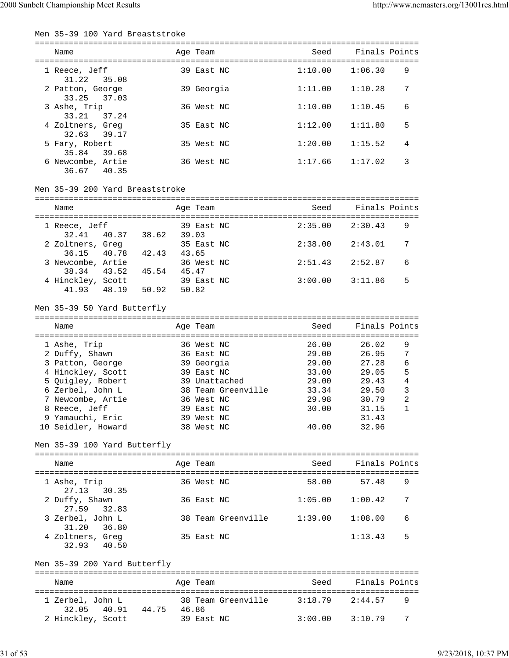| Men 35-39 100 Yard Breaststroke                    |       |                     |                    |                            |               |                |
|----------------------------------------------------|-------|---------------------|--------------------|----------------------------|---------------|----------------|
| Name                                               |       | Age Team            |                    | Seed                       | Finals Points |                |
| 1 Reece, Jeff<br>31.22<br>35.08                    |       | 39 East NC          |                    | 1:10.00                    | 1:06.30       | 9              |
| 2 Patton, George<br>33.25<br>37.03                 |       | 39 Georgia          |                    | 1:11.00                    | 1:10.28       | 7              |
| 3 Ashe, Trip<br>33.21<br>37.24                     |       | 36 West NC          |                    | 1:10.00                    | 1:10.45       | 6              |
| 4 Zoltners, Greg<br>32.63<br>39.17                 |       | 35 East NC          |                    | 1:12.00                    | 1:11.80       | 5              |
| 5 Fary, Robert<br>35.84<br>39.68                   |       | 35 West NC          |                    | 1:20.00                    | 1:15.52       | 4              |
| 6 Newcombe, Artie<br>36.67<br>40.35                |       | 36 West NC          |                    | 1:17.66                    | 1:17.02       | 3              |
| Men 35-39 200 Yard Breaststroke                    |       |                     |                    |                            |               |                |
| Name                                               |       | Age Team            |                    | Seed                       | Finals Points |                |
| 1 Reece, Jeff<br>32.41<br>40.37 38.62              | 39.03 | 39 East NC          |                    | 2:35.00                    | 2:30.43       | 9              |
| 2 Zoltners, Greg<br>36.15<br>42.43<br>40.78        | 43.65 | 35 East NC          |                    | 2:38.00                    | 2:43.01       | 7              |
| 3 Newcombe, Artie<br>45.54 45.47<br>38.34<br>43.52 |       | 36 West NC          |                    | 2:51.43                    | 2:52.87       | 6              |
| 4 Hinckley, Scott<br>48.19<br>50.92<br>41.93       |       | 39 East NC<br>50.82 |                    | 3:00.00                    | 3:11.86       | 5              |
| Men 35-39 50 Yard Butterfly                        |       |                     |                    |                            |               |                |
| Name                                               |       | Age Team            |                    | Seed                       | Finals Points |                |
| 1 Ashe, Trip                                       |       | 36 West NC          |                    | 26.00                      | 26.02         | 9              |
| 2 Duffy, Shawn                                     |       | 36 East NC          |                    | 29.00                      | 26.95         | 7              |
| 3 Patton, George                                   |       | 39 Georgia          |                    | 29.00                      | 27.28         | 6              |
| 4 Hinckley, Scott                                  |       | 39 East NC          |                    | 33.00                      | 29.05         | 5              |
| 5 Quigley, Robert                                  |       |                     | 39 Unattached      | 29.00                      | 29.43         | 4              |
| 6 Zerbel, John L                                   |       |                     | 38 Team Greenville | 33.34                      | 29.50         | 3              |
| 7 Newcombe, Artie                                  |       | 36 West NC          |                    | 29.98                      | 30.79         | $\overline{a}$ |
| 8 Reece, Jeff                                      |       | 39 East NC          |                    | 30.00                      | 31.15         | 1              |
| 9 Yamauchi, Eric                                   |       | 39 West NC          |                    |                            | 31.43         |                |
| 10 Seidler, Howard                                 |       | 38 West NC          |                    | 40.00                      | 32.96         |                |
| Men 35-39 100 Yard Butterfly                       |       |                     |                    |                            |               |                |
| Name                                               |       | Age Team            |                    | Seed                       | Finals Points |                |
| 1 Ashe, Trip<br>27.13 30.35                        |       | 36 West NC          |                    | 58.00                      | 57.48         | 9              |
| 2 Duffy, Shawn<br>27.59<br>32.83                   |       | 36 East NC          |                    | 1:05.00                    | 1:00.42       | 7              |
| 3 Zerbel, John L<br>31.20 36.80                    |       |                     |                    | 38 Team Greenville 1:39.00 | 1:08.00       | 6              |
| 4 Zoltners, Greg<br>32.93<br>40.50                 |       | 35 East NC          |                    |                            | 1:13.43       | 5              |
| Men 35-39 200 Yard Butterfly                       |       |                     |                    |                            |               |                |
| Name                                               |       | Age Team            |                    | Seed                       | Finals Points |                |
| 1 Zerbel, John L<br>32.05 40.91 44.75 46.86        |       |                     | 38 Team Greenville | 3:18.79                    | 2:44.57       | 9              |
| 2 Hinckley, Scott                                  |       | 39 East NC          |                    | $3:00.00$ $3:10.79$        |               | 7              |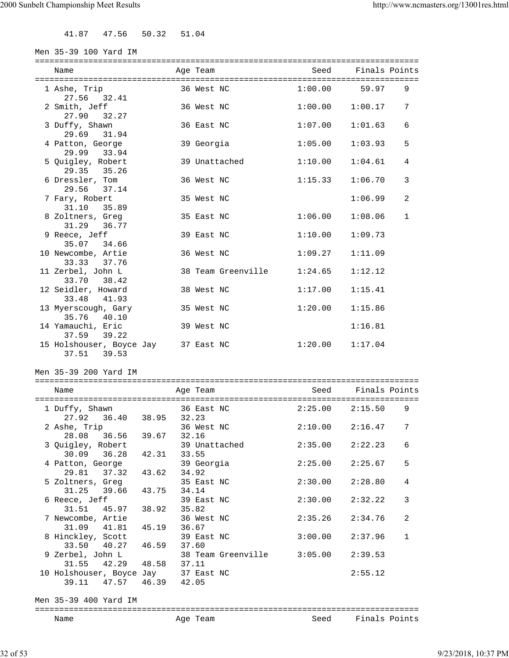41.87 47.56 50.32 51.04

Men 35-39 100 Yard IM

| Name                                                        |                   | Age Team            |                            | Seed       Finals Points |               |                 |
|-------------------------------------------------------------|-------------------|---------------------|----------------------------|--------------------------|---------------|-----------------|
| 1 Ashe, Trip<br>27.56 32.41                                 |                   |                     | 36 West NC                 | 1:00.00                  | 59.97         | 9               |
| 2 Smith, Jeff<br>27.90<br>32.27                             |                   | 36 West NC          |                            | $1:00.00$ $1:00.17$      |               | 7               |
| 3 Duffy, Shawn<br>29.69 31.94                               |                   | 36 East NC          |                            | 1:07.00                  | 1:01.63       | 6               |
| 4 Patton, George<br>29.99 33.94                             |                   | 39 Georgia          |                            | 1:05.00                  | 1:03.93       | 5               |
| 5 Quigley, Robert<br>29.35 35.26                            |                   |                     | 39 Unattached              | 1:10.00                  | 1:04.61       | 4               |
| 6 Dressler, Tom<br>29.56 37.14                              |                   | 36 West NC          |                            | 1:15.33                  | 1:06.70       | 3               |
| 7 Fary, Robert<br>31.10 35.89                               |                   | 35 West NC          |                            |                          | 1:06.99       | 2               |
| 8 Zoltners, Greg<br>31.29 36.77                             |                   | 35 East NC          |                            | 1:06.00                  | 1:08.06       | 1               |
| 9 Reece, Jeff<br>35.07 34.66                                |                   | 39 East NC          |                            | 1:10.00                  | 1:09.73       |                 |
| 10 Newcombe, Artie<br>33.33 37.76                           |                   | 36 West NC          |                            | 1:09.27                  | 1:11.09       |                 |
| 11 Zerbel, John L<br>33.70 38.42                            |                   |                     | 38 Team Greenville 1:24.65 |                          | 1:12.12       |                 |
| 12 Seidler, Howard<br>33.48<br>41.93                        |                   | 38 West NC          |                            | 1:17.00                  | 1:15.41       |                 |
| 13 Myerscough, Gary<br>35.76 40.10                          |                   | 35 West NC          |                            | 1:20.00                  | 1:15.86       |                 |
| 14 Yamauchi, Eric<br>37.59 39.22                            |                   | 39 West NC          |                            |                          | 1:16.81       |                 |
| 15 Holshouser, Boyce Jay 37 East NC<br>37.51 39.53          |                   |                     |                            | 1:20.00                  | 1:17.04       |                 |
| Men 35-39 200 Yard IM                                       |                   |                     |                            |                          |               |                 |
| Name                                                        |                   | Age Team            |                            | Seed                     | Finals Points |                 |
| 1 Duffy, Shawn                                              | 36 East NC        |                     |                            | 2:25.00                  | 2:15.50       | 9               |
| 27.92<br>2 Ashe, Trip                                       | 36.40 38.95 32.23 | 36 West NC          |                            | 2:10.00                  | 2:16.47       | $7\overline{ }$ |
| 36.56<br>28.08                                              | 39.67             | 32.16               |                            |                          |               |                 |
| 3 Quigley, Robert<br>30.09<br>36.28                         | 42.31             | 33.55               | 39 Unattached              | 2:35.00                  | 2:22.23       | 6               |
| 4 Patton, George<br>29.81<br>37.32                          | 43.62             | 39 Georgia<br>34.92 |                            | 2:25.00                  | 2:25.67       | 5               |
| 5 Zoltners, Greg<br>31.25<br>39.66                          | 43.75             | 35 East NC<br>34.14 |                            | 2:30.00                  | 2:28.80       | 4               |
| 6 Reece, Jeff<br>31.51<br>45.97                             | 38.92             | 39 East NC<br>35.82 |                            | 2:30.00                  | 2:32.22       | 3               |
| 7 Newcombe, Artie<br>31.09<br>41.81                         | 45.19             | 36 West NC<br>36.67 |                            | 2:35.26                  | 2:34.76       | 2               |
| 8 Hinckley, Scott<br>33.50<br>40.27                         | 46.59             | 39 East NC<br>37.60 |                            | 3:00.00                  | 2:37.96       | $\mathbf 1$     |
| 9 Zerbel, John L<br>31.55<br>42.29                          | 48.58             | 37.11               | 38 Team Greenville 3:05.00 |                          | 2:39.53       |                 |
| 10 Holshouser, Boyce Jay 37 East NC<br>47.57 46.39<br>39.11 |                   | 42.05               |                            |                          | 2:55.12       |                 |
| Men 35-39 400 Yard IM                                       |                   |                     |                            |                          |               |                 |
| Name                                                        |                   | Age Team            |                            | Seed                     | Finals Points |                 |
|                                                             |                   |                     |                            |                          |               |                 |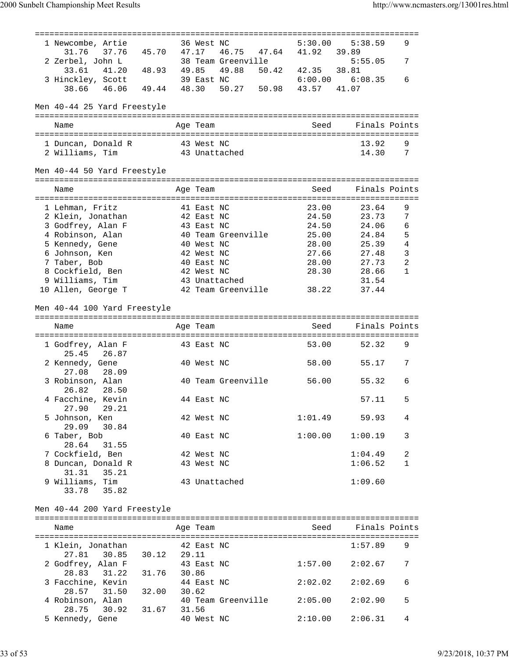| 1 Newcombe, Artie<br>37.76 45.70 47.17<br>31.76 | 36 West NC<br>46.75 47.64 41.92                                                   | 5:30.00 | 5:38.59<br>39.89   | 9              |
|-------------------------------------------------|-----------------------------------------------------------------------------------|---------|--------------------|----------------|
| 2 Zerbel, John L<br>33.61 41.20 48.93 49.85     | 38 Team Greenville<br>49.88 50.42 42.35                                           |         | 5:55.05<br>38.81   | 7              |
|                                                 |                                                                                   | 6:00.00 | 6:08.35            | 6              |
|                                                 | 3 Hinckley, Scott 39 East NC 6:00.00<br>38.66 46.06 49.44 48.30 50.27 50.98 43.57 |         | 41.07              |                |
| Men 40-44 25 Yard Freestyle                     |                                                                                   |         |                    |                |
| Name                                            | Age Team                                                                          | Seed    | Finals Points      |                |
|                                                 |                                                                                   |         |                    |                |
| 1 Duncan, Donald R<br>2 Williams, Tim           | 43 West NC<br>43 Unattached                                                       |         | 13.92<br>14.30     | 9<br>7         |
| Men 40-44 50 Yard Freestyle                     |                                                                                   |         |                    |                |
| Name                                            | Age Team                                                                          | Seed    | Finals Points      |                |
|                                                 |                                                                                   |         |                    |                |
| 1 Lehman, Fritz                                 | 41 East NC                                                                        | 23.00   | 23.64              | 9              |
| 2 Klein, Jonathan                               | 42 East NC                                                                        | 24.50   | 23.73              | 7              |
| 3 Godfrey, Alan F                               | 43 East NC                                                                        | 24.50   | 24.06              | 6              |
| 4 Robinson, Alan                                | 40 Team Greenville                                                                | 25.00   | 24.84              | 5              |
| 5 Kennedy, Gene                                 | 40 West NC                                                                        | 28.00   | 25.39              | $\overline{4}$ |
| 6 Johnson, Ken                                  | 42 West NC                                                                        | 27.66   | 27.48              | $\overline{3}$ |
| 7 Taber, Bob                                    | 40 East NC                                                                        | 28.00   | 27.73              | $\overline{2}$ |
| 8 Cockfield, Ben                                | 42 West NC                                                                        | 28.30   | 28.66              | $\mathbf{1}$   |
|                                                 |                                                                                   |         |                    |                |
| 9 Williams, Tim                                 | 43 Unattached<br>42 Team Greenville                                               | 38.22   | 31.54<br>37.44     |                |
| 10 Allen, George T                              |                                                                                   |         |                    |                |
| Men 40-44 100 Yard Freestyle                    |                                                                                   |         |                    |                |
| Name                                            | Age Team                                                                          | Seed    | Finals Points      |                |
| 1 Godfrey, Alan F                               | 43 East NC                                                                        | 53.00   | 52.32              | 9              |
| 25.45 26.87                                     |                                                                                   |         |                    |                |
| 2 Kennedy, Gene                                 | 40 West NC                                                                        | 58.00   | 55.17              | 7              |
| 27.08 28.09                                     |                                                                                   |         |                    |                |
| 3 Robinson, Alan                                | 40 Team Greenville                                                                | 56.00   | 55.32              | 6              |
| 26.82<br>28.50                                  |                                                                                   |         |                    |                |
| 4 Facchine, Kevin                               | 44 East NC                                                                        |         | 57.11              | 5              |
| 27.90 29.21                                     |                                                                                   |         |                    |                |
| 5 Johnson, Ken                                  | 42 West NC                                                                        |         | $1:01.49$ 59.93    | 4              |
| 29.09<br>30.84                                  |                                                                                   |         |                    |                |
| 6 Taber, Bob                                    | 40 East NC                                                                        | 1:00.00 | 1:00.19            | 3              |
| 31.55<br>28.64                                  |                                                                                   |         |                    |                |
| 7 Cockfield, Ben                                | 42 West NC                                                                        |         | 1:04.49            | 2              |
| 8 Duncan, Donald R                              | 43 West NC                                                                        |         | 1:06.52            | $\mathbf{1}$   |
| 31.31 35.21                                     |                                                                                   |         |                    |                |
| 9 Williams, Tim                                 | 43 Unattached                                                                     |         | 1:09.60            |                |
| 33.78 35.82                                     |                                                                                   |         |                    |                |
| Men 40-44 200 Yard Freestyle                    |                                                                                   |         |                    |                |
|                                                 |                                                                                   |         |                    |                |
| Name                                            | Age Team                                                                          |         | Seed Finals Points |                |
| 1 Klein, Jonathan                               | 42 East NC                                                                        |         | 1:57.89            | 9              |
| 27.81<br>30.85                                  | 30.12 29.11                                                                       |         |                    |                |
| 2 Godfrey, Alan F                               | 43 East NC                                                                        | 1:57.00 | 2:02.67            | 7              |
| 31.76<br>28.83 31.22                            | 30.86                                                                             |         |                    |                |
| 3 Facchine, Kevin                               | 44 East NC                                                                        | 2:02.02 | 2:02.69            | 6              |
| 28.57 31.50 32.00                               | 30.62                                                                             |         |                    |                |
| 4 Robinson, Alan                                | 40 Team Greenville                                                                | 2:05.00 | 2:02.90            | 5              |
| 28.75 30.92 31.67                               | 31.56                                                                             |         |                    |                |
| 5 Kennedy, Gene                                 | 40 West NC                                                                        | 2:10.00 | 2:06.31            | 4              |
|                                                 |                                                                                   |         |                    |                |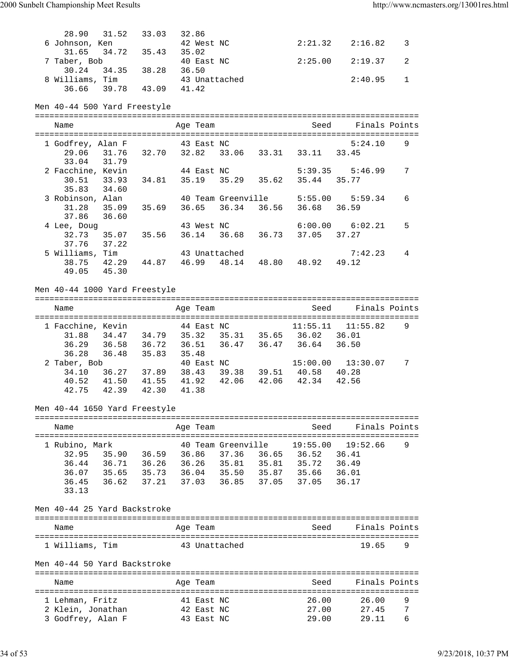| 28.90                                  |       | 31.52 33.03                                                                                 | 32.86 |                          |               |                    |                                                                                                                                        |                                                                                                        |                |
|----------------------------------------|-------|---------------------------------------------------------------------------------------------|-------|--------------------------|---------------|--------------------|----------------------------------------------------------------------------------------------------------------------------------------|--------------------------------------------------------------------------------------------------------|----------------|
|                                        |       | 6 Johnson, Ken<br>31.65 34.72 35.43 35.02<br>7 Taber, Bob 40 Eas<br>30.24 34.35 38.28 36.50 |       | 42 West NC               |               |                    |                                                                                                                                        | $2:21.32$ $2:16.82$                                                                                    | 3              |
|                                        |       |                                                                                             |       | 40 East NC               |               |                    | 2:25.00                                                                                                                                | 2:19.37                                                                                                | $\overline{c}$ |
|                                        |       |                                                                                             |       |                          |               |                    |                                                                                                                                        |                                                                                                        |                |
|                                        |       | 8 Williams, Tim 43 Unattached<br>36.66 39.78 43.09 41.42                                    |       |                          |               |                    |                                                                                                                                        | 2:40.95                                                                                                | 1              |
|                                        |       |                                                                                             |       |                          |               |                    |                                                                                                                                        |                                                                                                        |                |
| Men 40-44 500 Yard Freestyle           |       |                                                                                             |       |                          |               |                    |                                                                                                                                        |                                                                                                        |                |
|                                        |       |                                                                                             |       |                          |               |                    |                                                                                                                                        |                                                                                                        |                |
| Name                                   |       |                                                                                             |       | Age Team                 |               |                    |                                                                                                                                        | Seed Finals Points                                                                                     |                |
| 1 Godfrey, Alan F                      |       |                                                                                             |       | 43 East NC               |               |                    |                                                                                                                                        | 5:24.10                                                                                                | 9              |
|                                        |       |                                                                                             |       |                          |               |                    | 29.06 31.76 32.70 32.82 33.06 33.31 33.11 33.45                                                                                        |                                                                                                        |                |
| 33.04 31.79                            |       |                                                                                             |       |                          |               |                    |                                                                                                                                        |                                                                                                        |                |
|                                        |       | 2 Facchine, Kevin 44 East NC                                                                |       |                          |               |                    | 30.51 33.93 34.81 35.19 35.29 35.62 35.44 35.77                                                                                        | $5:39.35$ $5:46.99$                                                                                    | 7              |
| 35.83 34.60                            |       |                                                                                             |       |                          |               |                    |                                                                                                                                        |                                                                                                        |                |
|                                        |       |                                                                                             |       |                          |               |                    |                                                                                                                                        |                                                                                                        | 6              |
|                                        |       |                                                                                             |       |                          |               |                    |                                                                                                                                        | 3 Robinson, Alan 40 Team Greenville 5:55.00 5:59.34<br>31.28 35.09 35.69 36.65 36.34 36.56 36.68 36.59 |                |
| 37.86 36.60                            |       |                                                                                             |       |                          |               |                    |                                                                                                                                        |                                                                                                        |                |
|                                        |       |                                                                                             |       |                          |               |                    | 4 Lee, Doug 43 West NC 6:00.00 6:00<br>32.73 35.07 35.56 36.14 36.68 36.73 37.05 37.27                                                 | 43 West NC 6:00.00 6:02.21                                                                             | 5              |
|                                        |       |                                                                                             |       |                          |               |                    |                                                                                                                                        |                                                                                                        |                |
| 37.76 37.22                            |       | 43 Unattached                                                                               |       |                          |               |                    |                                                                                                                                        |                                                                                                        |                |
| 5 Williams, Tim                        |       |                                                                                             |       |                          |               |                    |                                                                                                                                        | 7:42.23                                                                                                | 4              |
|                                        |       |                                                                                             |       |                          |               |                    | 38.75 42.29 44.87 46.99 48.14 48.80 48.92 49.12                                                                                        |                                                                                                        |                |
| 49.05 45.30                            |       |                                                                                             |       |                          |               |                    |                                                                                                                                        |                                                                                                        |                |
|                                        |       | Men 40-44 1000 Yard Freestyle                                                               |       |                          |               |                    |                                                                                                                                        |                                                                                                        |                |
|                                        |       |                                                                                             |       |                          |               |                    |                                                                                                                                        |                                                                                                        |                |
| Name                                   |       |                                                                                             |       | Age Team                 |               |                    | Seed                                                                                                                                   | Finals Points                                                                                          |                |
|                                        |       |                                                                                             |       |                          |               |                    |                                                                                                                                        | 1 Facchine, Kevin 44 East NC 11:55.11 11:55.82                                                         | 9              |
|                                        |       |                                                                                             |       |                          |               |                    |                                                                                                                                        |                                                                                                        |                |
|                                        |       |                                                                                             |       |                          |               |                    |                                                                                                                                        |                                                                                                        |                |
|                                        |       |                                                                                             |       |                          |               |                    |                                                                                                                                        |                                                                                                        |                |
| 36.28                                  |       |                                                                                             |       |                          |               |                    | 36.29 36.58 36.72 36.51 36.47 36.47 36.64 36.50                                                                                        |                                                                                                        |                |
| 2 Taber, Bob                           |       | 36.48 35.83 35.48                                                                           |       |                          |               |                    |                                                                                                                                        | 15:00.00  13:30.07                                                                                     | 7              |
|                                        |       |                                                                                             |       |                          |               |                    |                                                                                                                                        |                                                                                                        |                |
|                                        |       |                                                                                             |       |                          |               |                    | ber, Bob 40 East NC 15:00.00 13:<br>34.10 36.27 37.89 38.43 39.38 39.51 40.58 40.28<br>40.52 41.50 41.55 41.92 42.06 42.06 42.34 42.56 |                                                                                                        |                |
| 42.75                                  |       | 42.39  42.30  41.38                                                                         |       |                          |               |                    |                                                                                                                                        |                                                                                                        |                |
|                                        |       |                                                                                             |       |                          |               |                    |                                                                                                                                        |                                                                                                        |                |
|                                        |       | Men 40-44 1650 Yard Freestyle                                                               |       |                          |               |                    |                                                                                                                                        |                                                                                                        |                |
| Name                                   |       |                                                                                             |       | Age Team                 |               |                    | Seed                                                                                                                                   | Finals Points                                                                                          |                |
|                                        |       |                                                                                             |       |                          |               |                    |                                                                                                                                        |                                                                                                        |                |
| 1 Rubino, Mark                         |       |                                                                                             |       |                          |               | 40 Team Greenville | 19:55.00                                                                                                                               | 19:52.66                                                                                               | 9              |
| 32.95                                  |       | 35.90 36.59 36.86 37.36 36.65 36.52                                                         |       |                          |               |                    |                                                                                                                                        | 36.41                                                                                                  |                |
| 36.44                                  |       |                                                                                             |       |                          |               |                    | 36.71 36.26 36.26 35.81 35.81 35.72 36.49                                                                                              |                                                                                                        |                |
| 36.07                                  |       | 35.65 35.73 36.04 35.50                                                                     |       |                          |               |                    | 35.87 35.66 36.01                                                                                                                      |                                                                                                        |                |
| 36.45<br>33.13                         | 36.62 | 37.21                                                                                       | 37.03 |                          | 36.85         | 37.05              | 37.05                                                                                                                                  | 36.17                                                                                                  |                |
|                                        |       |                                                                                             |       |                          |               |                    |                                                                                                                                        |                                                                                                        |                |
| Men 40-44 25 Yard Backstroke           |       |                                                                                             |       |                          |               |                    |                                                                                                                                        |                                                                                                        |                |
|                                        |       |                                                                                             |       |                          |               |                    |                                                                                                                                        |                                                                                                        |                |
| Name                                   |       |                                                                                             |       | Age Team                 |               |                    | Seed                                                                                                                                   | Finals Points                                                                                          |                |
| 1 Williams, Tim                        |       |                                                                                             |       |                          | 43 Unattached |                    |                                                                                                                                        | 19.65                                                                                                  | 9              |
|                                        |       |                                                                                             |       |                          |               |                    |                                                                                                                                        |                                                                                                        |                |
| Men 40-44 50 Yard Backstroke           |       |                                                                                             |       |                          |               |                    |                                                                                                                                        |                                                                                                        |                |
| Name                                   |       |                                                                                             |       | Age Team                 |               |                    | Seed                                                                                                                                   | Finals Points                                                                                          |                |
|                                        |       |                                                                                             |       |                          |               |                    |                                                                                                                                        |                                                                                                        |                |
| 1 Lehman, Fritz                        |       |                                                                                             |       | 41 East NC               |               |                    | 26.00                                                                                                                                  | 26.00                                                                                                  | 9              |
| 2 Klein, Jonathan<br>3 Godfrey, Alan F |       |                                                                                             |       | 42 East NC<br>43 East NC |               |                    | 27.00<br>29.00                                                                                                                         | 27.45<br>29.11                                                                                         | 7<br>6         |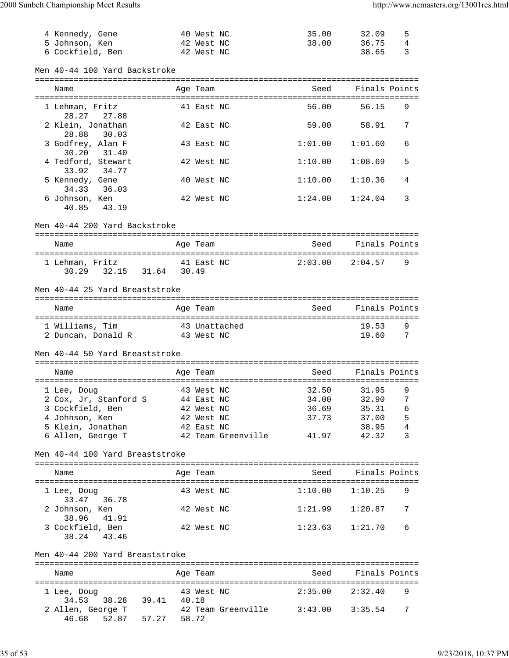| 4 Kennedy, Gene<br>5 Johnson, Ken<br>6 Cockfield, Ben<br>42 West NC           | 40 West NC<br>42 West NC |                                    | 35.00<br>38.00 | 32.09<br>36.75<br>38.65 | 5<br>4<br>3     |
|-------------------------------------------------------------------------------|--------------------------|------------------------------------|----------------|-------------------------|-----------------|
| Men 40-44 100 Yard Backstroke                                                 |                          |                                    |                |                         |                 |
| Name                                                                          | Age Team                 |                                    | Seed           | Finals Points           |                 |
| 1 Lehman, Fritz<br>28.27<br>27.88                                             | 41 East NC               |                                    | 56.00          | 56.15                   | 9               |
| 2 Klein, Jonathan<br>28.88<br>30.03                                           | 42 East NC               |                                    | 59.00          | 58.91                   | 7               |
| 3 Godfrey, Alan F<br>30.20 31.40                                              | 43 East NC               |                                    | 1:01.00        | 1:01.60                 | 6               |
| 4 Tedford, Stewart<br>33.92<br>34.77                                          | 42 West NC               |                                    | 1:10.00        | 1:08.69                 | 5               |
| 5 Kennedy, Gene<br>34.33<br>36.03                                             | 40 West NC               |                                    | 1:10.00        | 1:10.36                 | 4               |
| 6 Johnson, Ken<br>40.85<br>43.19                                              | 42 West NC               |                                    | 1:24.00        | 1:24.04                 | 3               |
| Men 40-44 200 Yard Backstroke                                                 |                          |                                    |                |                         |                 |
| Name                                                                          | Age Team                 |                                    | Seed           | Finals Points           |                 |
| 41 East NC<br>1 Lehman, Fritz<br>30.29 32.15 31.64 30.49                      |                          |                                    | 2:03.00        | 2:04.57                 | 9               |
| Men 40-44 25 Yard Breaststroke                                                |                          |                                    |                |                         |                 |
| Name                                                                          | Age Team                 |                                    | Seed           | Finals Points           |                 |
| 1 Williams, Tim<br>43 Unattached<br>2 Duncan, Donald R 43 West NC             |                          |                                    |                | 19.53<br>19.60          | 9<br>7          |
| Men 40-44 50 Yard Breaststroke                                                |                          |                                    |                |                         |                 |
| Name                                                                          | Age Team                 |                                    | Seed           | Finals Points           |                 |
| 1 Lee, Doug                                                                   | 43 West NC               |                                    | 32.50          | 31.95                   | 9               |
| 2 Cox, Jr, Stanford S                                                         |                          | 44 East NC                         | 34.00          | 32.90                   | $7\overline{ }$ |
| 3 Cockfield, Ben                                                              | 42 West NC               |                                    | 36.69          | 35.31                   | 6               |
| 4 Johnson, Ken                                                                | 42 West NC               |                                    | 37.73          | 37.00                   | 5               |
| 5 Klein, Jonathan                                                             | 42 East NC               |                                    |                | 38.95                   | 4               |
| 6 Allen, George T                                                             |                          | 42 Team Greenville                 | 41.97          | 42.32                   | 3               |
| Men 40-44 100 Yard Breaststroke                                               |                          |                                    |                |                         |                 |
| Name                                                                          | Age Team                 |                                    | Seed           | Finals Points           |                 |
| 1 Lee, Doug<br>33.47<br>36.78                                                 | 43 West NC               |                                    | 1:10.00        | 1:10.25                 | 9               |
| 2 Johnson, Ken<br>38.96<br>41.91                                              | 42 West NC               |                                    | 1:21.99        | 1:20.87                 | 7               |
| 3 Cockfield, Ben<br>38.24 43.46                                               | 42 West NC               |                                    | 1:23.63        | 1:21.70                 | 6               |
| Men 40-44 200 Yard Breaststroke                                               |                          |                                    |                |                         |                 |
| Name                                                                          | Age Team                 |                                    | Seed           | Finals Points           |                 |
|                                                                               |                          |                                    |                |                         |                 |
| 1 Lee, Doug                                                                   | 43 West NC               |                                    |                | $2:35.00$ $2:32.40$     | 9               |
| 38.28 39.41 40.18<br>34.53<br>2 Allen, George T<br>52.87 57.27 58.72<br>46.68 |                          | 42 Team Greenville         3:43.00 |                | 3:35.54                 | 7               |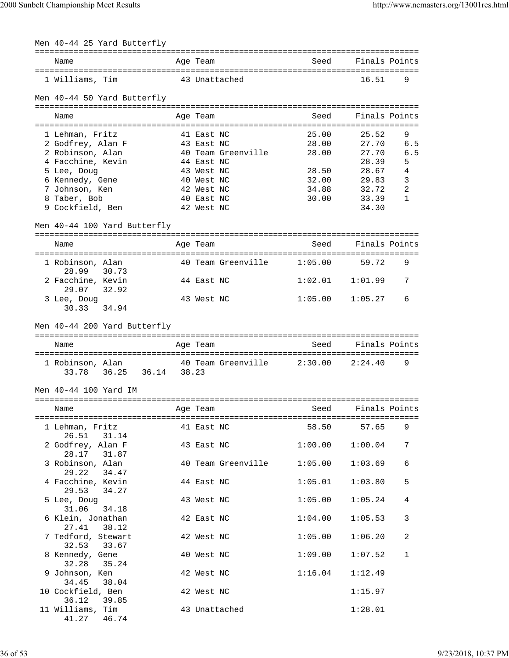| Men 40-44 25 Yard Butterfly                    |            |                            |                            |               |     |
|------------------------------------------------|------------|----------------------------|----------------------------|---------------|-----|
| Name                                           | Age Team   |                            | Seed                       | Finals Points |     |
| 1 Williams, Tim                                |            | 43 Unattached              |                            | 16.51         | 9   |
| Men 40-44 50 Yard Butterfly                    |            |                            |                            |               |     |
| Name                                           | Age Team   |                            | Seed                       | Finals Points |     |
| 1 Lehman, Fritz                                | 41 East NC |                            | 25.00                      | 25.52         | 9   |
| 2 Godfrey, Alan F                              | 43 East NC |                            | 28.00                      | 27.70         | 6.5 |
| 2 Robinson, Alan                               |            | 40 Team Greenville         | 28.00                      | 27.70         | 6.5 |
| 4 Facchine, Kevin                              | 44 East NC |                            |                            | 28.39         | 5   |
| 5 Lee, Doug                                    | 43 West NC |                            | 28.50                      | 28.67         | 4   |
| 6 Kennedy, Gene                                | 40 West NC |                            | 32.00                      | 29.83         | 3   |
| 7 Johnson, Ken                                 | 42 West NC |                            | 34.88                      | 32.72         | 2   |
| 8 Taber, Bob                                   | 40 East NC |                            | 30.00                      | 33.39         | 1   |
| 9 Cockfield, Ben                               | 42 West NC |                            |                            | 34.30         |     |
| Men 40-44 100 Yard Butterfly                   |            |                            |                            |               |     |
| Name                                           | Age Team   |                            | Seed                       | Finals Points |     |
| 1 Robinson, Alan                               |            | 40 Team Greenville 1:05.00 |                            | 59.72         | 9   |
| 30.73<br>28.99<br>2 Facchine, Kevin            | 44 East NC |                            | 1:02.01                    | 1:01.99       | 7   |
| 32.92<br>29.07<br>3 Lee, Doug                  | 43 West NC |                            | 1:05.00                    | 1:05.27       | 6   |
| 30.33<br>34.94                                 |            |                            |                            |               |     |
| Men 40-44 200 Yard Butterfly                   |            |                            |                            |               |     |
| Name                                           | Age Team   |                            | Seed                       | Finals Points |     |
| 1 Robinson, Alan<br>36.25 36.14 38.23          |            | 40 Team Greenville 2:30.00 |                            | 2:24.40       | 9   |
| 33.78                                          |            |                            |                            |               |     |
| Men 40-44 100 Yard IM                          |            |                            |                            |               |     |
| Name                                           | Age Team   |                            | Seed                       | Finals Points |     |
| 1 Lehman, Fritz 6 41 East NC<br>26.51<br>31.14 |            |                            | 58.50                      | 57.65         | 9   |
| 2 Godfrey, Alan F<br>28.17 31.87               | 43 East NC |                            | 1:00.00                    | 1:00.04       | 7   |
| 3 Robinson, Alan<br>29.22 34.47                |            |                            | 40 Team Greenville 1:05.00 | 1:03.69       | 6   |
| 4 Facchine, Kevin                              | 44 East NC |                            | 1:05.01                    | 1:03.80       | 5   |
| 29.53<br>34.27<br>5 Lee, Doug                  | 43 West NC |                            | 1:05.00                    | 1:05.24       | 4   |
| 31.06<br>34.18<br>6 Klein, Jonathan            | 42 East NC |                            | 1:04.00                    | 1:05.53       | 3   |
| 27.41<br>38.12<br>7 Tedford, Stewart           | 42 West NC |                            | 1:05.00                    | 1:06.20       | 2   |
| 32.53<br>33.67<br>8 Kennedy, Gene              | 40 West NC |                            | 1:09.00                    | 1:07.52       | 1   |
| 32.28<br>35.24<br>9 Johnson, Ken               | 42 West NC |                            | 1:16.04                    | 1:12.49       |     |
| 34.45<br>38.04<br>10 Cockfield, Ben            | 42 West NC |                            |                            | 1:15.97       |     |
| 36.12 39.85                                    |            |                            |                            |               |     |
| 11 Williams, Tim<br>41.27 46.74                |            | 43 Unattached              |                            | 1:28.01       |     |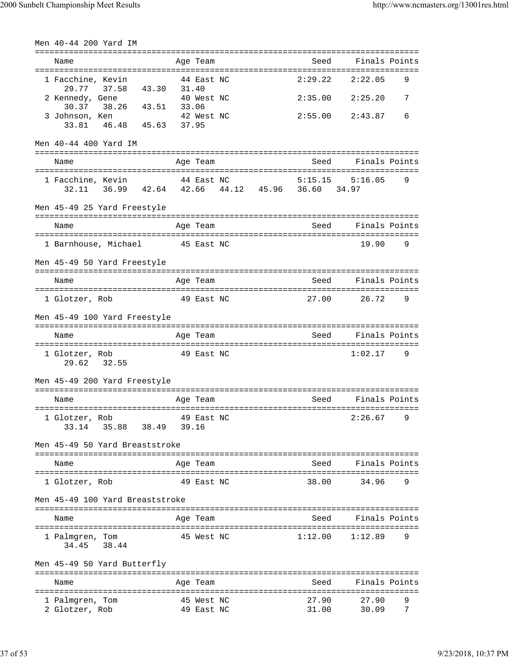| Men 40-44 200 Yard IM                                                              |             |                          |  |                |                                 |        |
|------------------------------------------------------------------------------------|-------------|--------------------------|--|----------------|---------------------------------|--------|
| Name                                                                               |             | Age Team                 |  | Seed           | Finals Points                   |        |
| 1 Facchine, Kevin<br>29.77<br>37.58                                                | 43.30 31.40 | 44 East NC               |  | 2:29.22        | 2:22.05                         | 9      |
| 2 Kennedy, Gene<br>38.26 43.51 33.06<br>30.37                                      |             | 40 West NC               |  | 2:35.00        | 2:25.20                         | 7      |
| 3 Johnson, Ken<br>33.81 46.48 45.63 37.95                                          |             | 42 West NC               |  | 2:55.00        | 2:43.87                         | 6      |
| Men 40-44 400 Yard IM                                                              |             |                          |  |                |                                 |        |
| Name                                                                               |             | Age Team                 |  | Seed           | Finals Points                   |        |
| 1 Facchine, Kevin 44 East NC<br>36.99 42.64 42.66 44.12 45.96 36.60 34.97<br>32.11 |             |                          |  |                | $5:15.15$ $5:16.05$             | 9      |
| Men 45-49 25 Yard Freestyle                                                        |             |                          |  |                |                                 |        |
| Name                                                                               |             | Age Team                 |  | Seed           | Finals Points                   |        |
| 1 Barnhouse, Michael 45 East NC                                                    |             |                          |  |                | 19.90                           | 9      |
| Men 45-49 50 Yard Freestyle                                                        |             |                          |  |                |                                 |        |
| Name                                                                               |             | Age Team                 |  | Seed           | Finals Points                   |        |
| 1 Glotzer, Rob                                                                     | 49 East NC  |                          |  | 27.00          | 26.72                           | 9      |
| Men 45-49 100 Yard Freestyle                                                       |             |                          |  |                |                                 |        |
| Name                                                                               |             | Age Team                 |  |                | Seed Finals Points              |        |
| 1 Glotzer, Rob<br>29.62 32.55                                                      |             | 49 East NC               |  |                | 1:02.17                         | 9      |
| Men 45-49 200 Yard Freestyle                                                       |             |                          |  |                |                                 |        |
| Name                                                                               |             | Age Team                 |  | Seed           | Finals Points                   |        |
| 1 Glotzer, Rob<br>35.88 38.49 39.16<br>33.14                                       |             | 49 East NC               |  |                | 2:26.67                         | 9      |
| Men 45-49 50 Yard Breaststroke                                                     |             |                          |  |                | ------------------------------- |        |
| Name                                                                               |             | Age Team                 |  | Seed           | Finals Points                   |        |
| 1 Glotzer, Rob                                                                     |             | 49 East NC               |  | 38.00          | 34.96                           | 9      |
| Men 45-49 100 Yard Breaststroke                                                    |             |                          |  |                |                                 |        |
| Name                                                                               |             | Age Team                 |  | Seed           | Finals Points                   |        |
| 1 Palmgren, Tom<br>38.44<br>34.45                                                  |             | 45 West NC               |  | 1:12.00        | 1:12.89                         | 9      |
| Men 45-49 50 Yard Butterfly                                                        |             | ---------                |  |                |                                 |        |
| Name<br>------------------------                                                   |             | Aqe Team                 |  | Seed           | Finals Points                   |        |
| 1 Palmgren, Tom<br>2 Glotzer, Rob                                                  |             | 45 West NC<br>49 East NC |  | 27.90<br>31.00 | 27.90<br>30.09                  | 9<br>7 |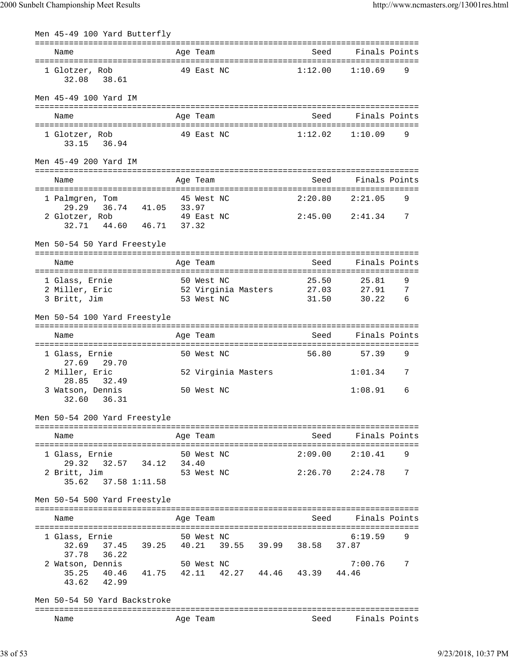| Men 45-49 100 Yard Butterfly                                                                            |       |            |                     |                                             |                         |               |
|---------------------------------------------------------------------------------------------------------|-------|------------|---------------------|---------------------------------------------|-------------------------|---------------|
| Name                                                                                                    |       | Age Team   |                     | Seed                                        |                         | Finals Points |
| 1 Glotzer, Rob<br>32.08<br>38.61                                                                        |       | 49 East NC |                     | 1:12.00                                     | 1:10.69                 | 9             |
| Men 45-49 100 Yard IM                                                                                   |       |            |                     |                                             |                         |               |
| Name                                                                                                    |       | Age Team   |                     | Seed                                        |                         | Finals Points |
| 1 Glotzer, Rob<br>33.15 36.94                                                                           |       | 49 East NC |                     | 1:12.02                                     | 1:10.09                 | 9             |
| Men 45-49 200 Yard IM                                                                                   |       |            |                     |                                             |                         |               |
| Name                                                                                                    |       | Age Team   |                     | Seed                                        |                         | Finals Points |
| 1 Palmgren, Tom<br>29.29 36.74 41.05 33.97                                                              |       | 45 West NC |                     | 2:20.80                                     | 2:21.05                 | 9             |
| 2 Glotzer, Rob<br>32.71  44.60  46.71  37.32                                                            |       | 49 East NC |                     | 2:45.00                                     | 2:41.34                 | 7             |
| Men 50-54 50 Yard Freestyle                                                                             |       |            |                     |                                             |                         |               |
| Name                                                                                                    |       | Age Team   |                     | Seed                                        |                         | Finals Points |
| 1 Glass, Ernie<br>50 West NC<br>2 Miller, Eric<br>3 Britt, Jim                                          |       | 53 West NC |                     | 25.50<br>52 Virginia Masters 27.03<br>31.50 | 25.81<br>27.91<br>30.22 | 9<br>7<br>6   |
| Men 50-54 100 Yard Freestyle                                                                            |       |            |                     |                                             |                         |               |
| Name                                                                                                    |       | Age Team   |                     | Seed                                        |                         | Finals Points |
| 1 Glass, Ernie                                                                                          |       | 50 West NC |                     | 56.80                                       | 57.39                   | 9             |
| 27.69 29.70<br>2 Miller, Eric                                                                           |       |            | 52 Virginia Masters |                                             | 1:01.34                 | 7             |
| 28.85<br>32.49<br>3 Watson, Dennis<br>32.60<br>36.31                                                    |       | 50 West NC |                     |                                             | 1:08.91                 | 6             |
| Men 50-54 200 Yard Freestyle                                                                            |       |            |                     |                                             |                         |               |
| Name                                                                                                    |       | Age Team   |                     | Seed                                        |                         | Finals Points |
| 1 Glass, Ernie                                                                                          |       | 50 West NC |                     | 2:09.00                                     | 2:10.41                 | 9             |
| 29.32<br>32.57 34.12<br>2 Britt, Jim<br>35.62 37.58 1:11.58                                             | 34.40 | 53 West NC |                     | 2:26.70                                     | 2:24.78                 | 7             |
| Men 50-54 500 Yard Freestyle                                                                            |       |            |                     |                                             |                         |               |
| Name                                                                                                    |       | Age Team   |                     | Seed                                        | Finals Points           |               |
| 1 Glass, Ernie<br>37.45 39.25<br>32.69                                                                  |       | 50 West NC | 40.21 39.55 39.99   | 38.58                                       | 6:19.59<br>37.87        | 9             |
| 37.78<br>36.22<br>2 Watson, Dennis<br>35.25 40.46 41.75 42.11 42.27 44.46 43.39 44.46<br>43.62<br>42.99 |       | 50 West NC |                     |                                             | 7:00.76                 | 7             |
| Men 50-54 50 Yard Backstroke                                                                            |       |            |                     |                                             |                         |               |
| Name                                                                                                    |       | Age Team   |                     | Seed                                        |                         | Finals Points |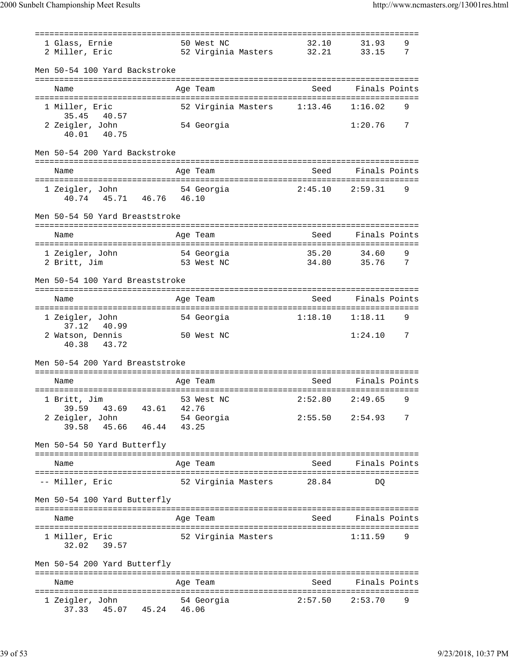2000 Sunbelt Championship Meet Results http://www.ncmasters.org/13001res.html

=============================================================================== 1 Glass, Ernie 50 West NC 32.10 31.93 9 2 Miller, Eric 52 Virginia Masters 32.21 33.15 7 Men 50-54 100 Yard Backstroke =============================================================================== Name Age Team Seed Finals Points =============================================================================== 1 Miller, Eric 52 Virginia Masters 1:13.46 1:16.02 9 35.45 40.57 2 Zeigler, John 54 Georgia 1:20.76 7 40.01 40.75 Men 50-54 200 Yard Backstroke =============================================================================== Name **Age Team** Age Team Seed Finals Points =============================================================================== 1 Zeigler, John 54 Georgia 2:45.10 2:59.31 9 40.74 45.71 46.76 46.10 Men 50-54 50 Yard Breaststroke =============================================================================== Name and Age Team Seed Finals Points =============================================================================== 1 Zeigler, John 54 Georgia 2 Britt, Jim 53 West NC 34.80 35.76 7 Men 50-54 100 Yard Breaststroke =============================================================================== Name Age Team Seed Finals Points Age Team Seed Finals Points =============================================================================== 1 Zeigler, John 54 Georgia 1:18.10 1:18.11 9 37.12 40.99 2 Watson, Dennis 50 West NC 1:24.10 7 40.38 43.72 Men 50-54 200 Yard Breaststroke =============================================================================== Name Team Age Team Seed Finals Points =============================================================================== 1 Britt, Jim 53 West NC 2:52.80 2:49.65 9 39.59 43.69 43.61 42.76 2 Zeigler, John 54 Georgia 2:55.50 2:54.93 7 39.58 45.66 46.44 43.25 Men 50-54 50 Yard Butterfly =============================================================================== Name Age Team Seed Finals Points =============================================================================== -- Miller, Eric 52 Virginia Masters 28.84 Men 50-54 100 Yard Butterfly =============================================================================== Name Age Team Seed Finals Points =============================================================================== 1 Miller, Eric 52 Virginia Masters 1:11.59 9 32.02 39.57 Men 50-54 200 Yard Butterfly =============================================================================== Name and Age Team Seed Finals Points =============================================================================== 1 Zeigler, John 54 Georgia 2:57.50 2:53.70 9 37.33 45.07 45.24 46.06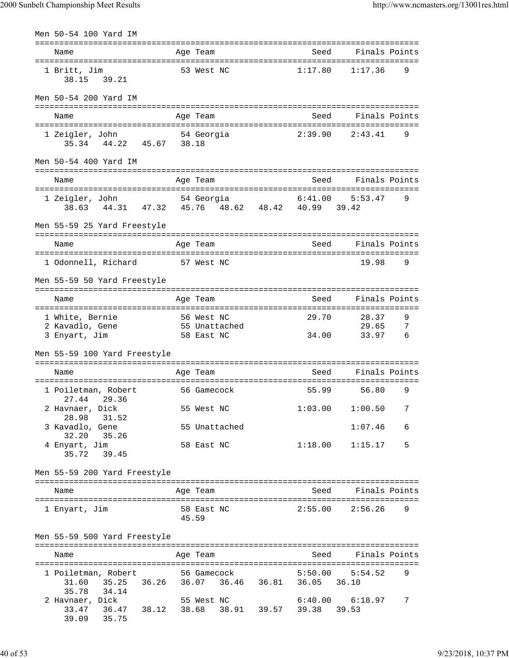| Men 50-54 100 Yard IM                                                                                    |                     |               |                       |                     |               |
|----------------------------------------------------------------------------------------------------------|---------------------|---------------|-----------------------|---------------------|---------------|
| Name                                                                                                     | Age Team            |               | -------------<br>Seed |                     | Finals Points |
| 1 Britt, Jim<br>38.15 39.21                                                                              | 53 West NC          |               | 1:17.80               | 1:17.36             | 9             |
| Men 50-54 200 Yard IM                                                                                    |                     |               |                       |                     |               |
| Name                                                                                                     | Age Team            |               | Seed                  |                     | Finals Points |
| 1 Zeigler, John<br>54 Georgia<br>35.34 44.22 45.67 38.18                                                 |                     |               | 2:39.90               | 2:43.41             | 9             |
| Men 50-54 400 Yard IM                                                                                    |                     |               |                       |                     |               |
| Name                                                                                                     | Age Team            |               | Seed                  |                     | Finals Points |
| 1 Zeigler, John<br>38.63 44.31 47.32 45.76 48.62 48.42 40.99 39.42                                       | 54 Georgia          |               | 6:41.00               | 5:53.47             | 9             |
| Men 55-59 25 Yard Freestyle                                                                              |                     |               |                       |                     |               |
| Name                                                                                                     | Age Team            |               | Seed                  |                     | Finals Points |
| 1 Odonnell, Richard                                                                                      | 57 West NC          |               |                       | 19.98               | 9             |
| Men 55-59 50 Yard Freestyle                                                                              |                     |               |                       |                     |               |
| Name                                                                                                     | Age Team            |               | Seed                  |                     | Finals Points |
| 1 White, Bernie<br>2 Kavadlo, Gene<br>55 Unattached                                                      | 56 West NC          |               | 29.70                 | 28.37<br>29.65      | 9<br>7        |
| 3 Enyart, Jim                                                                                            | 58 East NC          |               | 34.00                 | 33.97               | 6             |
| Men 55-59 100 Yard Freestyle                                                                             |                     |               |                       |                     |               |
| Name                                                                                                     | Age Team            |               | Seed                  |                     | Finals Points |
| 1 Poiletman, Robert<br>27.44<br>29.36                                                                    | 56 Gamecock         |               | 55.99                 | 56.80               | 9             |
| 2 Havnaer, Dick<br>28.98<br>31.52                                                                        | 55 West NC          |               | 1:03.00               | 1:00.50             | 7             |
| 3 Kavadlo, Gene<br>35.26<br>32.20                                                                        |                     | 55 Unattached |                       | 1:07.46             | 6             |
| 4 Enyart, Jim<br>35.72<br>39.45                                                                          | 58 East NC          |               | 1:18.00               | 1:15.17             | 5             |
| Men 55-59 200 Yard Freestyle                                                                             |                     |               |                       |                     |               |
| Name                                                                                                     | Age Team            |               | Seed                  | Finals Points       |               |
| 1 Enyart, Jim                                                                                            | 58 East NC<br>45.59 |               |                       | $2:55.00$ $2:56.26$ | 9             |
| Men 55-59 500 Yard Freestyle                                                                             |                     |               |                       |                     |               |
| Name                                                                                                     | Age Team            |               | Seed                  |                     | Finals Points |
| 1 Poiletman, Robert 56 Gamecock<br>31.60  35.25  36.26  36.07  36.46  36.81  36.05  36.10<br>35.78 34.14 |                     |               | 5:50.00               | 5:54.52             | 9             |
| 2 Havnaer, Dick<br>33.47 36.47 38.12 38.68 38.91 39.57 39.38 39.53<br>39.09<br>35.75                     | 55 West NC          |               |                       | $6:40.00$ $6:18.97$ | 7             |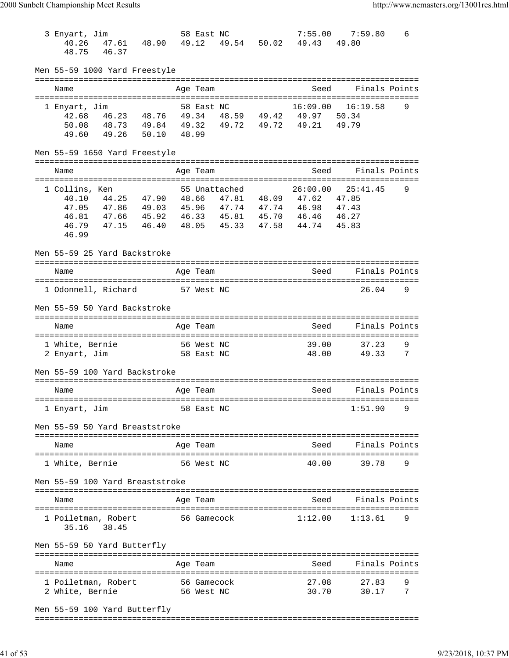3 Enyart, Jim 58 East NC 7:55.00 7:59.80 6 40.26 47.61 48.90 49.12 49.54 50.02 49.43 49.80 48.75 46.37 Men 55-59 1000 Yard Freestyle =============================================================================== Name Age Team Seed Finals Points =============================================================================== 1 Enyart, Jim 58 East NC 16:09.00 16:19.58 9 42.68 46.23 48.76 49.34 48.59 49.42 49.97 50.34 50.08 48.73 49.84 49.32 49.72 49.72 49.21 49.79 49.60 49.26 50.10 48.99 Men 55-59 1650 Yard Freestyle =============================================================================== Name and Age Team Seed Finals Points =============================================================================== 1 Collins, Ken 55 Unattached 26:00.00 25:41.45 9 40.10 44.25 47.90 48.66 47.81 48.09 47.62 47.85 47.05 47.86 49.03 45.96 47.74 47.74 46.98 47.43 46.81 47.66 45.92 46.33 45.81 45.70 46.46 46.27 46.79 47.15 46.40 48.05 45.33 47.58 44.74 45.83 46.99 Men 55-59 25 Yard Backstroke =============================================================================== Name and Age Team Seed Finals Points =============================================================================== 1 Odonnell, Richard 57 West NC 26.04 9 Men 55-59 50 Yard Backstroke =============================================================================== Name and Age Team Seed Finals Points =============================================================================== 1 White, Bernie 37.000 56 West NC 2 Enyart, Jim 58 East NC 48.00 49.33 7 Men 55-59 100 Yard Backstroke =============================================================================== Name Age Team Seed Finals Points =============================================================================== 1 Enyart, Jim 58 East NC 1:51.90 9 Men 55-59 50 Yard Breaststroke =============================================================================== Name and Age Team Seed Finals Points =============================================================================== 1 White, Bernie 66 West NC 40.00 39.78 Men 55-59 100 Yard Breaststroke =============================================================================== Name Age Team Seed Finals Points =============================================================================== 1 Poiletman, Robert 56 Gamecock 1:12.00 1:13.61 9 35.16 38.45 Men 55-59 50 Yard Butterfly =============================================================================== Name **Age Team** Age Team Seed Finals Points =============================================================================== 1 Poiletman, Robert 56 Gamecock 27.08 27.83<br>2 White, Bernie 56 West NC 30.70 30.17 2 White, Bernie 56 West NC 30.70 30.17 7 Men 55-59 100 Yard Butterfly

===============================================================================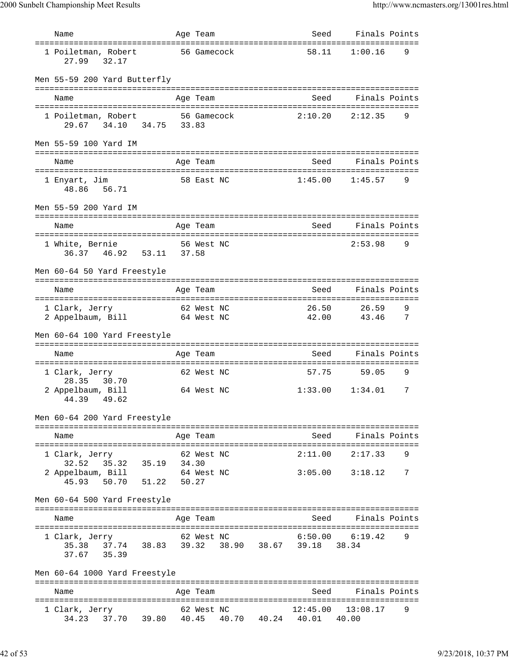| Name                                                                             |       | Age Team    |  | Seed    | Finals Points |   |
|----------------------------------------------------------------------------------|-------|-------------|--|---------|---------------|---|
| ======================================<br>1 Poiletman, Robert<br>27.99<br>32.17  |       | 56 Gamecock |  | 58.11   | 1:00.16       | 9 |
| Men 55-59 200 Yard Butterfly                                                     |       |             |  |         |               |   |
| Name                                                                             |       | Age Team    |  | Seed    | Finals Points |   |
| 1 Poiletman, Robert<br>34.10 34.75 33.83<br>29.67                                |       | 56 Gamecock |  | 2:10.20 | 2:12.35       | 9 |
| Men 55-59 100 Yard IM                                                            |       |             |  |         |               |   |
| Name                                                                             |       | Age Team    |  | Seed    | Finals Points |   |
| 1 Enyart, Jim<br>48.86<br>56.71                                                  |       | 58 East NC  |  | 1:45.00 | 1:45.57       | 9 |
| Men 55-59 200 Yard IM                                                            |       |             |  |         |               |   |
| Name                                                                             |       | Age Team    |  | Seed    | Finals Points |   |
| 1 White, Bernie<br>36.37 46.92 53.11                                             | 37.58 | 56 West NC  |  |         | 2:53.98       | 9 |
| Men 60-64 50 Yard Freestyle                                                      |       |             |  |         |               |   |
| Name                                                                             |       | Age Team    |  | Seed    | Finals Points |   |
| 1 Clark, Jerry                                                                   |       | 62 West NC  |  | 26.50   | 26.59         | 9 |
| 2 Appelbaum, Bill 64 West NC                                                     |       |             |  | 42.00   | 43.46         | 7 |
|                                                                                  |       |             |  |         |               |   |
| Men 60-64 100 Yard Freestyle                                                     |       |             |  |         |               |   |
| Name                                                                             |       | Age Team    |  | Seed    | Finals Points |   |
| 1 Clark, Jerry                                                                   |       | 62 West NC  |  | 57.75   | 59.05         | 9 |
| 28.35<br>30.70<br>2 Appelbaum, Bill<br>44.39 49.62                               |       | 64 West NC  |  | 1:33.00 | 1:34.01       | 7 |
| Men 60-64 200 Yard Freestyle                                                     |       |             |  |         |               |   |
| Name                                                                             |       | Age Team    |  | Seed    | Finals Points |   |
|                                                                                  |       |             |  |         |               | 9 |
| 1 Clark, Jerry<br>35.19 34.30<br>32.52<br>35.32                                  |       | 62 West NC  |  | 2:11.00 | 2:17.33       |   |
| 2 Appelbaum, Bill<br>45.93 50.70 51.22                                           | 50.27 | 64 West NC  |  | 3:05.00 | 3:18.12       | 7 |
| Men 60-64 500 Yard Freestyle                                                     |       |             |  |         |               |   |
| Name                                                                             |       | Age Team    |  | Seed    | Finals Points |   |
|                                                                                  |       |             |  |         |               |   |
| 1 Clark, Jerry<br>35.38 37.74 38.83 39.32 38.90 38.67 39.18 38.34<br>37.67 35.39 |       | 62 West NC  |  | 6:50.00 | 6:19.42       | 9 |
| Men 60-64 1000 Yard Freestyle                                                    |       |             |  |         |               |   |
| Name                                                                             |       | Age Team    |  | Seed    | Finals Points |   |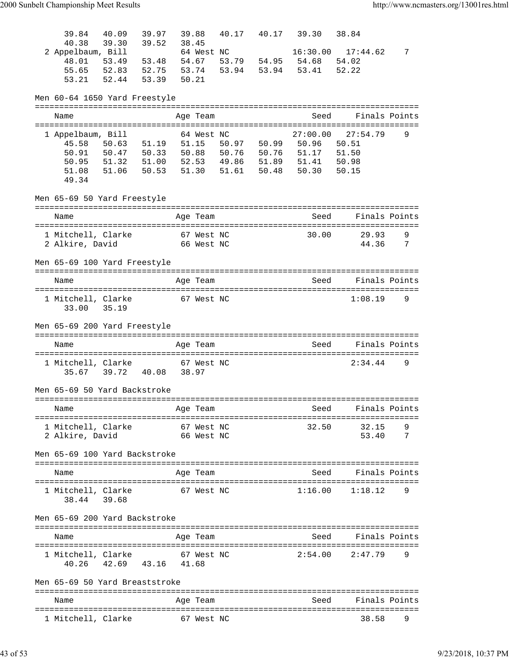| 39.84                          | 40.09       | 39.97             |       | 39.88      | 40.17 | 40.17 39.30 |                                                                                        | 38.84                 |               |
|--------------------------------|-------------|-------------------|-------|------------|-------|-------------|----------------------------------------------------------------------------------------|-----------------------|---------------|
| 40.38                          | 39.30 39.52 |                   | 38.45 |            |       |             |                                                                                        |                       |               |
| 2 Appelbaum, Bill              |             |                   |       | 64 West NC |       |             |                                                                                        | $16:30.00$ $17:44.62$ | 7             |
| 48.01                          |             |                   |       |            |       |             | 53.49 53.48 54.67 53.79 54.95 54.68 54.02                                              |                       |               |
|                                |             |                   |       |            |       |             | 55.65 52.83 52.75 53.74 53.94 53.94 53.41 52.22                                        |                       |               |
| 53.21                          | 52.44 53.39 |                   | 50.21 |            |       |             |                                                                                        |                       |               |
| Men 60-64 1650 Yard Freestyle  |             |                   |       |            |       |             |                                                                                        |                       |               |
|                                |             |                   |       |            |       |             |                                                                                        |                       |               |
| Name                           |             |                   |       | Age Team   |       |             | Seed                                                                                   |                       | Finals Points |
|                                |             |                   |       |            |       |             |                                                                                        |                       |               |
| 1 Appelbaum, Bill              |             |                   |       | 64 West NC |       |             |                                                                                        | $27:00.00$ $27:54.79$ | 9             |
| 45.58                          |             |                   |       |            |       |             | 50.63 51.19 51.15 50.97 50.99 50.96 50.51<br>50.47 50.33 50.88 50.76 50.76 51.17 51.50 |                       |               |
| 50.91                          |             |                   |       |            |       |             | 50.95 51.32 51.00 52.53 49.86 51.89 51.41 50.98                                        |                       |               |
|                                |             |                   |       |            |       |             | 51.08 51.06 50.53 51.30 51.61 50.48 50.30 50.15                                        |                       |               |
| 49.34                          |             |                   |       |            |       |             |                                                                                        |                       |               |
|                                |             |                   |       |            |       |             |                                                                                        |                       |               |
| Men 65-69 50 Yard Freestyle    |             |                   |       |            |       |             |                                                                                        |                       |               |
|                                |             |                   |       |            |       |             |                                                                                        |                       |               |
| Name                           |             |                   |       | Age Team   |       |             | Seed                                                                                   |                       | Finals Points |
| 1 Mitchell, Clarke 67 West NC  |             |                   |       |            |       |             | 30.00                                                                                  | 29.93                 | 9             |
| 2 Alkire, David                |             | 66 West NC        |       |            |       |             |                                                                                        | 44.36                 | 7             |
|                                |             |                   |       |            |       |             |                                                                                        |                       |               |
| Men 65-69 100 Yard Freestyle   |             |                   |       |            |       |             |                                                                                        |                       |               |
|                                |             |                   |       |            |       |             |                                                                                        |                       |               |
| Name                           |             |                   |       | Age Team   |       |             | Seed                                                                                   | Finals Points         |               |
| 1 Mitchell, Clarke 67 West NC  |             |                   |       |            |       |             |                                                                                        | 1:08.19               | 9             |
| 33.00                          | 35.19       |                   |       |            |       |             |                                                                                        |                       |               |
|                                |             |                   |       |            |       |             |                                                                                        |                       |               |
| Men 65-69 200 Yard Freestyle   |             |                   |       |            |       |             |                                                                                        |                       |               |
|                                |             |                   |       |            |       |             |                                                                                        |                       |               |
| Name                           |             |                   |       | Age Team   |       |             | Seed                                                                                   | Finals Points         |               |
| 1 Mitchell, Clarke             |             |                   |       | 67 West NC |       |             |                                                                                        | 2:34.44               | 9             |
| 35.67                          |             | 39.72 40.08 38.97 |       |            |       |             |                                                                                        |                       |               |
|                                |             |                   |       |            |       |             |                                                                                        |                       |               |
| Men 65-69 50 Yard Backstroke   |             |                   |       |            |       |             |                                                                                        |                       |               |
|                                |             |                   |       |            |       |             |                                                                                        |                       |               |
| Name                           |             |                   |       | Age Team   |       |             | Seed                                                                                   | Finals Points         |               |
|                                |             |                   |       |            |       |             |                                                                                        |                       |               |
| 1 Mitchell, Clarke             |             |                   |       | 67 West NC |       |             | 32.50                                                                                  | 32.15                 | 9             |
| 2 Alkire, David                |             |                   |       | 66 West NC |       |             |                                                                                        | 53.40                 | 7             |
| Men 65-69 100 Yard Backstroke  |             |                   |       |            |       |             |                                                                                        |                       |               |
|                                |             |                   |       |            |       |             |                                                                                        |                       |               |
| Name                           |             |                   |       | Age Team   |       |             | Seed                                                                                   | Finals Points         |               |
|                                |             |                   |       |            |       |             |                                                                                        |                       |               |
| 1 Mitchell, Clarke             |             |                   |       | 67 West NC |       |             | 1:16.00                                                                                | 1:18.12               | 9             |
| 38.44 39.68                    |             |                   |       |            |       |             |                                                                                        |                       |               |
| Men 65-69 200 Yard Backstroke  |             |                   |       |            |       |             |                                                                                        |                       |               |
|                                |             |                   |       |            |       |             |                                                                                        |                       |               |
| Name                           |             |                   |       | Age Team   |       |             |                                                                                        | Seed Finals Points    |               |
|                                |             |                   |       |            |       |             |                                                                                        |                       |               |
| 1 Mitchell, Clarke             |             | 67 West NC        |       |            |       |             | 2:54.00                                                                                | 2:47.79               | 9             |
| 40.26                          |             | 42.69 43.16 41.68 |       |            |       |             |                                                                                        |                       |               |
| Men 65-69 50 Yard Breaststroke |             |                   |       |            |       |             |                                                                                        |                       |               |
|                                |             |                   |       |            |       |             |                                                                                        |                       |               |
| Name                           |             |                   |       | Age Team   |       |             | Seed                                                                                   |                       | Finals Points |
|                                |             |                   |       |            |       |             |                                                                                        |                       |               |
| 1 Mitchell, Clarke             |             |                   |       | 67 West NC |       |             |                                                                                        | 38.58                 | 9             |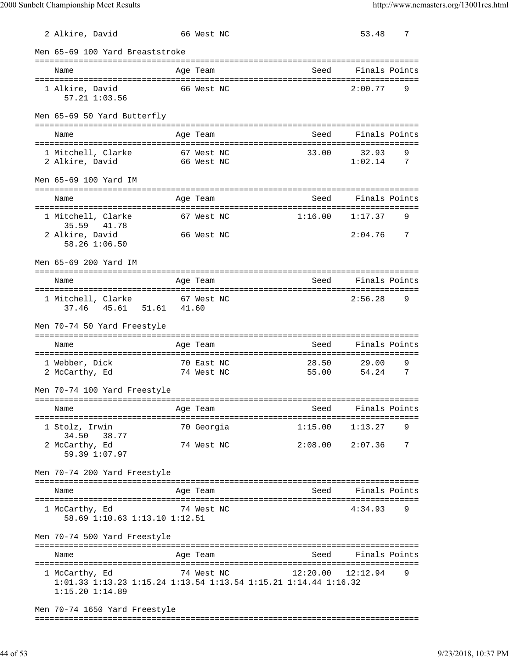| 2 Alkire, David                                                                                          |            | 66 West NC |            |                | 53.48                  | 7             |
|----------------------------------------------------------------------------------------------------------|------------|------------|------------|----------------|------------------------|---------------|
| Men 65-69 100 Yard Breaststroke                                                                          |            |            |            |                |                        |               |
| Name                                                                                                     |            | Age Team   |            | Seed           | Finals Points          |               |
| 1 Alkire, David<br>57.21 1:03.56                                                                         |            | 66 West NC |            |                | 2:00.77                | 9             |
| Men 65-69 50 Yard Butterfly                                                                              |            |            |            |                |                        |               |
| Name                                                                                                     |            | Age Team   |            | Seed           | Finals Points          |               |
| 1 Mitchell, Clarke<br>2 Alkire, David<br>66 West NC                                                      | 67 West NC |            |            |                | 33.00 32.93<br>1:02.14 | 9<br>7        |
| Men 65-69 100 Yard IM                                                                                    |            |            |            |                |                        |               |
| Name                                                                                                     |            | Age Team   |            | Seed           |                        | Finals Points |
| 1 Mitchell, Clarke<br>35.59 41.78                                                                        |            | 67 West NC |            | 1:16.00        | 1:17.37                | 9             |
| 2 Alkire, David<br>58.26 1:06.50                                                                         |            | 66 West NC |            |                | 2:04.76                | 7             |
| Men 65-69 200 Yard IM                                                                                    |            |            |            |                |                        |               |
| Name                                                                                                     |            | Age Team   |            | Seed           | Finals Points          |               |
| 1 Mitchell, Clarke 67 West NC<br>37.46  45.61  51.61  41.60                                              |            |            |            |                | 2:56.28                | 9             |
| Men 70-74 50 Yard Freestyle                                                                              |            |            |            |                |                        |               |
| Name                                                                                                     |            | Age Team   |            | Seed           | Finals Points          |               |
| 1 Webber, Dick<br>70 East NC<br>74 West NC<br>2 McCarthy, Ed                                             |            |            |            | 28.50<br>55.00 | 29.00<br>54.24         | 9<br>7        |
| Men 70-74 100 Yard Freestyle                                                                             |            |            |            |                |                        |               |
| Name                                                                                                     |            | Age Team   |            | Seed           | Finals Points          |               |
| ===============================<br>1 Stolz, Irwin<br>34.50<br>38.77                                      |            | 70 Georgia |            | 1:15.00        | 1:13.27                | 9             |
| 2 McCarthy, Ed<br>59.39 1:07.97                                                                          |            | 74 West NC |            |                | $2:08.00$ $2:07.36$    | 7             |
| Men 70-74 200 Yard Freestyle                                                                             |            |            |            |                |                        |               |
| Name                                                                                                     |            | Age Team   |            | Seed           | Finals Points          |               |
| 1 McCarthy, Ed<br>58.69 1:10.63 1:13.10 1:12.51                                                          |            | 74 West NC |            |                | 4:34.93                | 9             |
| Men 70-74 500 Yard Freestyle                                                                             |            |            |            |                |                        |               |
| Name                                                                                                     |            | Age Team   |            | Seed           |                        | Finals Points |
| 1 McCarthy, Ed<br>1:01.33 1:13.23 1:15.24 1:13.54 1:13.54 1:15.21 1:14.44 1:16.32<br>$1:15.20$ $1:14.89$ |            |            | 74 West NC |                | $12:20.00$ $12:12.94$  | 9             |
| Men 70-74 1650 Yard Freestyle                                                                            |            |            |            |                |                        |               |
|                                                                                                          |            |            |            |                |                        |               |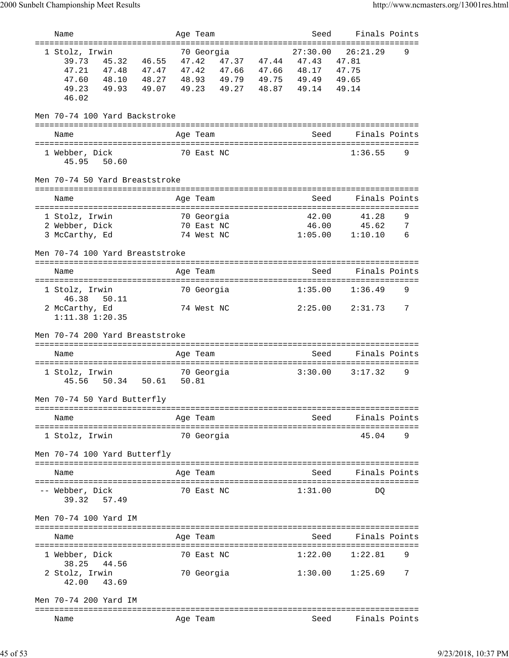| Name                            |       | Age Team                         | Seed              | Finals Points       |   |
|---------------------------------|-------|----------------------------------|-------------------|---------------------|---|
| =============================== |       |                                  |                   |                     |   |
| 1 Stolz, Irwin                  |       | 70 Georgia                       | 27:30.00          | 26:21.29            | 9 |
| 45.32 46.55<br>39.73            |       | 47.37 47.44<br>47.42             | 47.43             | 47.81               |   |
| 47.21<br>47.48 47.47            |       | 47.42<br>47.66 47.66 48.17 47.75 |                   |                     |   |
| 47.60<br>48.10 48.27            |       | 48.93 49.79                      | 49.75 49.49 49.65 |                     |   |
| 49.23<br>49.93<br>49.07         | 49.23 | 49.27                            | 48.87 49.14       | 49.14               |   |
| 46.02                           |       |                                  |                   |                     |   |
| Men 70-74 100 Yard Backstroke   |       |                                  |                   |                     |   |
| Name                            |       | Age Team                         | Seed              | Finals Points       |   |
| 1 Webber, Dick                  |       | 70 East NC                       |                   | 1:36.55             | 9 |
| 45.95<br>50.60                  |       |                                  |                   |                     |   |
| Men 70-74 50 Yard Breaststroke  |       |                                  |                   |                     |   |
| Name                            |       | Age Team                         | Seed              | Finals Points       |   |
|                                 |       |                                  |                   |                     |   |
| 1 Stolz, Irwin                  |       | 70 Georgia                       | 42.00             | 41.28               | 9 |
| 2 Webber, Dick                  |       | 70 East NC                       | 46.00             | 45.62               | 7 |
| 3 McCarthy, Ed                  |       | 74 West NC                       | 1:05.00           | 1:10.10             | 6 |
|                                 |       |                                  |                   |                     |   |
| Men 70-74 100 Yard Breaststroke |       |                                  |                   |                     |   |
| Name                            |       | Age Team                         | Seed              | Finals Points       |   |
| 1 Stolz, Irwin                  |       | 70 Georgia                       | 1:35.00           | 1:36.49             | 9 |
| 46.38<br>50.11                  |       |                                  |                   |                     |   |
| 2 McCarthy, Ed                  |       | 74 West NC                       | 2:25.00           | 2:31.73             | 7 |
| $1:11.38$ $1:20.35$             |       |                                  |                   |                     |   |
|                                 |       |                                  |                   |                     |   |
| Men 70-74 200 Yard Breaststroke |       |                                  |                   |                     |   |
|                                 |       |                                  |                   |                     |   |
| Name                            |       | Age Team                         | Seed              | Finals Points       |   |
|                                 |       |                                  |                   |                     |   |
| 1 Stolz, Irwin                  |       | 70 Georgia                       | 3:30.00           | 3:17.32             | 9 |
| 50.34 50.61<br>45.56            | 50.81 |                                  |                   |                     |   |
| Men 70-74 50 Yard Butterfly     |       |                                  |                   |                     |   |
|                                 |       |                                  |                   |                     |   |
| Name                            |       | Age Team                         | Seed              | Finals Points       |   |
| 1 Stolz, Irwin                  |       | 70 Georgia                       |                   | 45.04               | 9 |
| Men 70-74 100 Yard Butterfly    |       |                                  |                   |                     |   |
| Name                            |       | Age Team                         | Seed              | Finals Points       |   |
|                                 |       |                                  |                   |                     |   |
| -- Webber, Dick                 |       | 70 East NC                       | 1:31.00           | DO                  |   |
| 39.32 57.49                     |       |                                  |                   |                     |   |
|                                 |       |                                  |                   |                     |   |
| Men 70-74 100 Yard IM           |       |                                  |                   |                     |   |
|                                 |       |                                  |                   |                     |   |
| Name                            |       | Age Team                         | Seed              | Finals Points       |   |
|                                 |       |                                  |                   |                     |   |
| 1 Webber, Dick                  |       | 70 East NC                       | 1:22.00           | 1:22.81             | 9 |
| 38.25<br>44.56                  |       |                                  |                   |                     |   |
| 2 Stolz, Irwin                  |       | 70 Georgia                       |                   | $1:30.00$ $1:25.69$ | 7 |
| 42.00 43.69                     |       |                                  |                   |                     |   |
| Men 70-74 200 Yard IM           |       |                                  |                   |                     |   |
| Name                            |       | Age Team                         | Seed              | Finals Points       |   |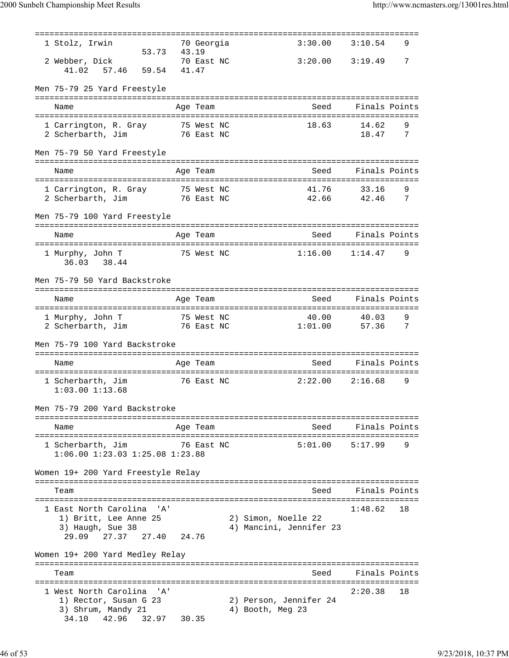| 1 Stolz, Irwin<br>53.73                              |       | 70 Georgia<br>43.19 | 3:30.00                                        | 3:10.54       | 9  |
|------------------------------------------------------|-------|---------------------|------------------------------------------------|---------------|----|
| 2 Webber, Dick<br>57.46 59.54<br>41.02               |       | 70 East NC<br>41.47 | 3:20.00                                        | 3:19.49       | 7  |
| Men 75-79 25 Yard Freestyle                          |       |                     |                                                |               |    |
| Name                                                 |       | Age Team            | Seed                                           | Finals Points |    |
|                                                      |       | 75 West NC          | 18.63                                          | 14.62         | 9  |
| 1 Carrington, R. Gray<br>2 Scherbarth, Jim           |       | 76 East NC          |                                                | 18.47         | 7  |
| Men 75-79 50 Yard Freestyle                          |       |                     |                                                |               |    |
| Name                                                 |       | Age Team            | Seed                                           | Finals Points |    |
|                                                      |       |                     |                                                |               |    |
| 1 Carrington, R. Gray                                |       | 75 West NC          | 41.76                                          | 33.16         | 9  |
| 2 Scherbarth, Jim                                    |       | 76 East NC          | 42.66                                          | 42.46         | 7  |
| Men 75-79 100 Yard Freestyle                         |       |                     |                                                |               |    |
| Name                                                 |       | Age Team            | Seed                                           | Finals Points |    |
| 1 Murphy, John T<br>38.44<br>36.03                   |       | 75 West NC          | 1:16.00                                        | 1:14.47       | 9  |
| Men 75-79 50 Yard Backstroke                         |       |                     |                                                |               |    |
| Name                                                 |       | Age Team            | Seed                                           | Finals Points |    |
| 1 Murphy, John T                                     |       | 75 West NC          | 40.00                                          | 40.03         | 9  |
| 2 Scherbarth, Jim<br>76 East NC                      |       |                     | 1:01.00                                        | 57.36         | 7  |
| Men 75-79 100 Yard Backstroke                        |       |                     |                                                |               |    |
| Name                                                 |       | Age Team            | Seed                                           | Finals Points |    |
|                                                      |       |                     |                                                |               |    |
| 1 Scherbarth, Jim<br>$1:03.00$ $1:13.68$             |       | 76 East NC          | 2:22.00                                        | 2:16.68       | 9  |
| Men 75-79 200 Yard Backstroke                        |       |                     |                                                |               |    |
| Name                                                 |       | Age Team            | Seed                                           | Finals Points |    |
|                                                      |       |                     |                                                |               |    |
| 1 Scherbarth, Jim<br>1:06.00 1:23.03 1:25.08 1:23.88 |       | 76 East NC          | 5:01.00                                        | 5:17.99       | 9  |
| Women 19+ 200 Yard Freestyle Relay                   |       |                     |                                                |               |    |
| Team                                                 |       |                     | Seed                                           | Finals Points |    |
|                                                      |       |                     |                                                |               |    |
| 1 East North Carolina 'A'                            |       |                     |                                                | 1:48.62       | 18 |
| 1) Britt, Lee Anne 25<br>3) Haugh, Sue 38            |       |                     | 2) Simon, Noelle 22<br>4) Mancini, Jennifer 23 |               |    |
| 27.37<br>29.09<br>27.40                              |       | 24.76               |                                                |               |    |
| Women 19+ 200 Yard Medley Relay                      |       |                     |                                                |               |    |
| Team                                                 |       |                     | Seed                                           | Finals Points |    |
|                                                      |       |                     |                                                |               |    |
| 1 West North Carolina<br>י ב <i>ו</i>                |       |                     |                                                | 2:20.38       | 18 |
| 1) Rector, Susan G 23                                |       |                     | 2) Person, Jennifer 24                         |               |    |
| 3) Shrum, Mandy 21<br>42.96 32.97<br>34.10           | 30.35 |                     | 4) Booth, Meg 23                               |               |    |
|                                                      |       |                     |                                                |               |    |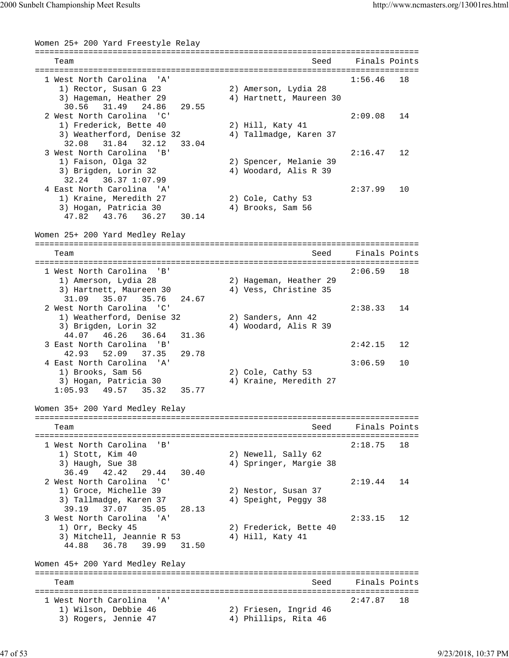Women 25+ 200 Yard Freestyle Relay =============================================================================== Team Seed Finals Points =============================================================================== 1 West North Carolina 'A' 1:56.46 18 1) Rector, Susan G 23 2) Amerson, Lydia 28 3) Hageman, Heather 29 4) Hartnett, Maureen 30 30.56 31.49 24.86 29.55 2 West North Carolina 'C' 2:09.08 14<br>
2) Hill, Katy 41 2:09.08 14 1) Frederick, Bette 40 2) Hill, Katy 41 3) Weatherford, Denise 32 4) Tallmadge, Karen 37 32.08 31.84 32.12 33.04 3 West North Carolina 'B' 2:16.47 12 2) Spencer, Melanie 39 3) Brigden, Lorin 32 4) Woodard, Alis R 39 32.24 36.37 1:07.99 4 East North Carolina 'A' 2:37.99 10 1) Kraine, Meredith 27  $2)$  Cole, Cathy 53 3) Hogan, Patricia 30 4) Brooks, Sam 56 47.82 43.76 36.27 30.14 Women 25+ 200 Yard Medley Relay =============================================================================== Team Seed Finals Points =============================================================================== 1 West North Carolina 'B' 2:06.59 18 1) Amerson, Lydia 28 2) Hageman, Heather 29 3) Hartnett, Maureen 30 4) Vess, Christine 35 31.09 35.07 35.76 24.67 2 West North Carolina 'C' 2:38.33 14 1) Weatherford, Denise 32 2) Sanders, Ann 42 3) Brigden, Lorin 32 4) Woodard, Alis R 39 44.07 46.26 36.64 31.36 3 East North Carolina 'B' 2:42.15 12 42.93 52.09 37.35 29.78 4 East North Carolina 'A' 3:06.59 10 1) Brooks, Sam 56 2) Cole, Cathy 53 3) Hogan, Patricia 30 4) Kraine, Meredith 27 1:05.93 49.57 35.32 35.77 Women 35+ 200 Yard Medley Relay =============================================================================== Team Seed Finals Points =============================================================================== 1 West North Carolina 'B' 2:18.75 18<br>1) Stott, Kim 40 2) Newell, Sally 62 1) Stott, Kim 40 2) Newell, Sally 62 3) Haugh, Sue 38 4) Springer, Margie 38 36.49 42.42 29.44 30.40 2 West North Carolina 'C' 2:19.44 14 1) Groce, Michelle 39 2) Nestor, Susan 37 3) Tallmadge, Karen 37 4) Speight, Peggy 38 39.19 37.07 35.05 28.13 3 West North Carolina 'A' 2:33.15 12 1) Orr, Becky 45 2) Frederick, Bette 40 3) Mitchell, Jeannie R 53 (4) Hill, Katy 41 44.88 36.78 39.99 31.50 Women 45+ 200 Yard Medley Relay =============================================================================== Team Team Seed Finals Points =============================================================================== 1 West North Carolina 'A' 2:47.87 18 1) Wilson, Debbie 46 2) Friesen, Ingrid 46 3) Rogers, Jennie 47 (4) Phillips, Rita 46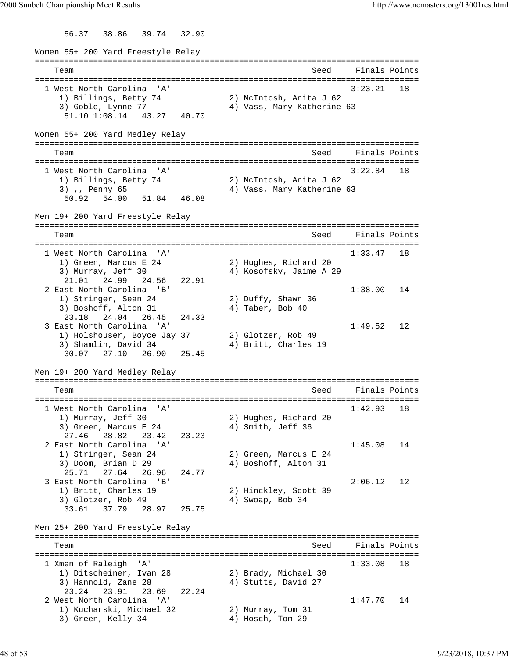56.37 38.86 39.74 32.90 Women 55+ 200 Yard Freestyle Relay =============================================================================== Team Seed Finals Points =============================================================================== 1 West North Carolina 'A' 3:23.21 18 1) Billings, Betty 74 2) McIntosh, Anita J 62 3) Goble, Lynne 77 4) Vass, Mary Katherine 63 51.10 1:08.14 43.27 40.70 Women 55+ 200 Yard Medley Relay =============================================================================== Team Seed Finals Points =============================================================================== 1 West North Carolina 'A' 3:22.84 18<br>1) Billings, Betty 74 2) McIntosh, Anita J 62 1) Billings, Betty 74 3) ,, Penny 65 4) Vass, Mary Katherine 63 50.92 54.00 51.84 46.08 Men 19+ 200 Yard Freestyle Relay =============================================================================== Team Seed Finals Points =============================================================================== 1 West North Carolina 'A' 1.33.47 18<br>1) Green, Marcus E 24 2) Hughes, Richard 20 1) Green, Marcus E 24 2) Hughes, Richard 20 3) Murray, Jeff 30 4) Kosofsky, Jaime A 29 21.01 24.99 24.56 22.91 2 East North Carolina 'B' 1:38.00 14 1) Stringer, Sean 24 2) Duffy, Shawn 36 3) Boshoff, Alton 31 4) Taber, Bob 40 23.18 24.04 26.45 24.33 3 East North Carolina 'A' 1:49.52 12 1) Holshouser, Boyce Jay 37 2) Glotzer, Rob 49<br>3) Shamlin, David 34 4) Britt, Charles 19 3) Shamlin, David 34 30.07 27.10 26.90 25.45 Men 19+ 200 Yard Medley Relay =============================================================================== Team Seed Finals Points =============================================================================== 1 West North Carolina 'A' 1:42.93 18 1) Murray, Jeff 30 2) Hughes, Richard 20 3) Green, Marcus E 24 4) Smith, Jeff 36 27.46 28.82 23.42 23.23 2 East North Carolina 'A' 1:45.08 14<br>1) Stringer, Sean 24 2) Green, Marcus E 24 1) Stringer, Sean 24 2) Green, Marcus E 24 3) Doom, Brian D 29 4) Boshoff, Alton 31 25.71 27.64 26.96 24.77 3 East North Carolina 'B' 2:06.12 12 1) Britt, Charles 19 2) Hinckley, Scott 39 3) Glotzer, Rob 49 4) Swoap, Bob 34 33.61 37.79 28.97 25.75 Men 25+ 200 Yard Freestyle Relay =============================================================================== Team Seed Finals Points =============================================================================== 1 Xmen of Raleigh 'A' 1:33.08 18 1) Ditscheiner, Ivan 28 2) Brady, Michael 30 3) Hannold, Zane 28 4) Stutts, David 27 23.24 23.91 23.69 22.24 2 West North Carolina 'A' 1:47.70 14 1) Kucharski, Michael 32 2) Murray, Tom 31 3) Green, Kelly 34 4) Hosch, Tom 29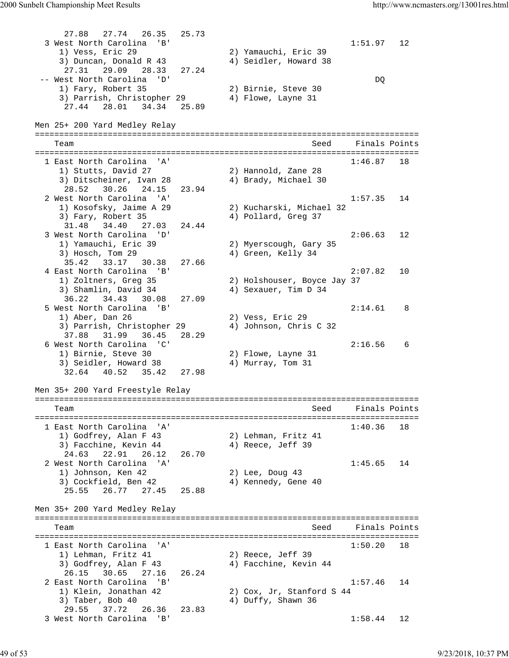```
 27.88 27.74 26.35 25.73
 3 West North Carolina 'B' 1:51.97 12
 1) Vess, Eric 29 2) Yamauchi, Eric 39
 3) Duncan, Donald R 43 4) Seidler, Howard 38
 27.31 29.09 28.33 27.24
 -- West North Carolina 'D' DQ
 1) Fary, Robert 35 2) Birnie, Steve 30
3) Parrish, Christopher 29 (4) Flowe, Layne 31
 27.44 28.01 34.34 25.89
Men 25+ 200 Yard Medley Relay
===============================================================================
  Team Team Seed Finals Points
===============================================================================
 1 East North Carolina 'A' 1:46.87 18
 1) Stutts, David 27 2) Hannold, Zane 28
3) Ditscheiner, Ivan 28 (4) Brady, Michael 30
    28.52 30.26 24.15 23.94
 2 West North Carolina 'A' 1:57.35 14<br>1) Kosofsky, Jaime A 29 2) Kucharski, Michael 32
 1) Kosofsky, Jaime A 29 2) Kucharski, Michael 32
3) Fary, Robert 35 4) Pollard, Greg 37
 31.48 34.40 27.03 24.44
  3 West North Carolina 'D' 2:06.63 12
 1) Yamauchi, Eric 39 2) Myerscough, Gary 35
3) Hosch, Tom 29 4) Green, Kelly 34
    35.42 33.17 30.38 27.66
  4 East North Carolina 'B' 2:07.82 10
 1) Zoltners, Greg 35 2) Holshouser, Boyce Jay 37
3) Shamlin, David 34 (4) Sexauer, Tim D 34
 36.22 34.43 30.08 27.09
  5 West North Carolina 'B' 2:14.61 8
 1) Aber, Dan 26 2) Vess, Eric 29
 3) Parrish, Christopher 29 4) Johnson, Chris C 32
    37.88 31.99 36.45 28.29
 6 West North Carolina 'C' 2:16.56 6
 1) Birnie, Steve 30 2) Flowe, Layne 31
3) Seidler, Howard 38 4) Murray, Tom 31
     32.64 40.52 35.42 27.98
Men 35+ 200 Yard Freestyle Relay
===============================================================================
  Team Seed Finals Points
===============================================================================
  1 East North Carolina 'A' 1:40.36 18
 1) Godfrey, Alan F 43 2) Lehman, Fritz 41
3) Facchine, Kevin 44 \hskip 4cm 4) Reece, Jeff 39
 24.63 22.91 26.12 26.70
  2 West North Carolina 'A' 1:45.65 14
 1) Johnson, Ken 42 2) Lee, Doug 43
3) Cockfield, Ben 42 4) Kennedy, Gene 40
     25.55 26.77 27.45 25.88
Men 35+ 200 Yard Medley Relay
===============================================================================
  Team Seed Finals Points
===============================================================================
  1 East North Carolina 'A' 1:50.20 18
1) Lehman, Fritz 41 (2) Reece, Jeff 39
3) Godfrey, Alan F 43 4) Facchine, Kevin 44
 26.15 30.65 27.16 26.24
  2 East North Carolina 'B' 1:57.46 14
                     2) \cos, Jr, Stanford S 44
   1) Klein, Jonathan 42 (2) Cox, Jr, Stanfor<br>3) Taber, Bob 40 (4) Duffy, Shawn 36
    29.55 37.72 26.36 23.83
  3 West North Carolina 'B' 1:58.44 12
```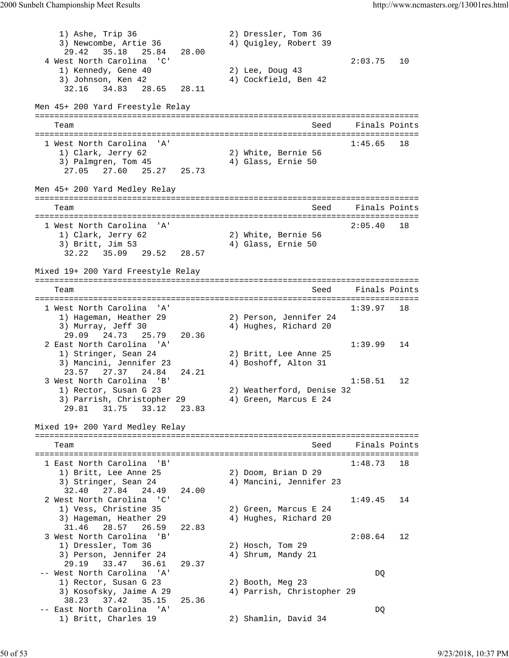1) Ashe, Trip 36 2) Dressler, Tom 36 3) Newcombe, Artie 36 4) Quigley, Robert 39 29.42 35.18 25.84 28.00 4 West North Carolina 'C' 2:03.75 10 1) Kennedy, Gene 40 2) Lee, Doug 43 3) Johnson, Ken 42 4) Cockfield, Ben 42 32.16 34.83 28.65 28.11 Men 45+ 200 Yard Freestyle Relay =============================================================================== Seed Finals Points =============================================================================== 1 West North Carolina 'A' 1:45.65 18 1) Clark, Jerry 62 2) White, Bernie 56 3) Palmgren, Tom 45 4) Glass, Ernie 50 27.05 27.60 25.27 25.73 Men 45+ 200 Yard Medley Relay =============================================================================== Team Seed Finals Points =============================================================================== 1 West North Carolina 'A' 2:05.40 18 1) Clark, Jerry 62 2) White, Bernie 56 3) Britt, Jim 53 4) Glass, Ernie 50 32.22 35.09 29.52 28.57 Mixed 19+ 200 Yard Freestyle Relay =============================================================================== Team Seed Finals Points =============================================================================== 1 West North Carolina 'A' 1:39.97 18 1) Hageman, Heather 29 2) Person, Jennifer 24 3) Murray, Jeff 30 4) Hughes, Richard 20 29.09 24.73 25.79 20.36 2 East North Carolina 'A' 1:39.99 14 1) Stringer, Sean 24 2) Britt, Lee Anne 25 3) Mancini, Jennifer 23 (4) Boshoff, Alton 31 23.57 27.37 24.84 24.21 3 West North Carolina 'B' 1:58.51 12<br>12 13 Nector, Susan G 23 21 21 Neatherford, Denise 32 1) Rector, Susan G 23 2) Weatherford, Denise 32 3) Parrish, Christopher 29 4) Green, Marcus E 24 29.81 31.75 33.12 23.83 Mixed 19+ 200 Yard Medley Relay =============================================================================== Team Seed Finals Points =============================================================================== 1 East North Carolina 'B' 1:48.73 18<br>1) Britt, Lee Anne 25 2) Doom, Brian D 29 1) Britt, Lee Anne 25 2) Doom, Brian D 29 3) Stringer, Sean 24 4) Mancini, Jennifer 23 32.40 27.84 24.49 24.00 2 West North Carolina 'C' 1:49.45 14<br>1) Vess, Christine 35 29 2) Green, Marcus E 24 1) Vess, Christine 35 3) Hageman, Heather 29 4) Hughes, Richard 20 31.46 28.57 26.59 22.83 3 West North Carolina 'B' 2:08.64 12 1) Dressler, Tom 36 2) Hosch, Tom 29 3) Person, Jennifer 24 4) Shrum, Mandy 21 29.19 33.47 36.61 29.37 -- West North Carolina 'A' DQ 1) Rector, Susan G 23 2) Booth, Meg 23 3) Kosofsky, Jaime A 29 4) Parrish, Christopher 29 38.23 37.42 35.15 25.36 -- East North Carolina 'A' DQ 1) Britt, Charles 19 2) Shamlin, David 34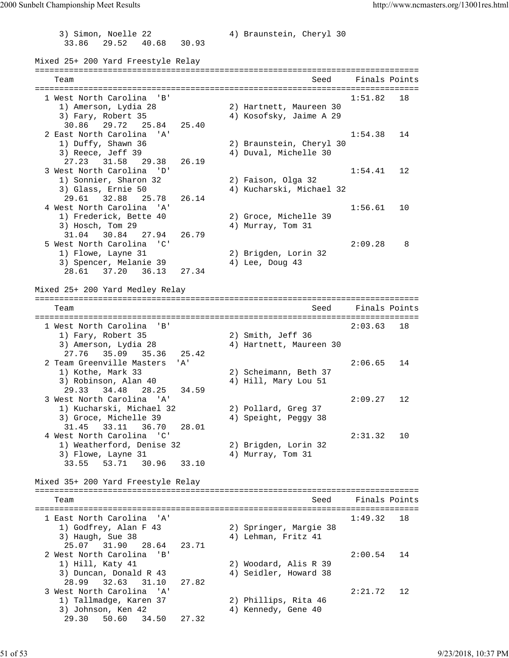3) Simon, Noelle 22 4) Braunstein, Cheryl 30 33.86 29.52 40.68 30.93 Mixed 25+ 200 Yard Freestyle Relay =============================================================================== Team Seed Finals Points =============================================================================== 1 West North Carolina 'B' 1:51.82 18 1) Amerson, Lydia 28 2) Hartnett, Maureen 30 3) Fary, Robert 35 4) Kosofsky, Jaime A 29 30.86 29.72 25.84 25.40 2 East North Carolina 'A' 1:54.38 14 1) Duffy, Shawn 36 2) Braunstein, Cheryl 30 3) Reece, Jeff 39 4) Duval, Michelle 30 27.23 31.58 29.38 26.19 3 West North Carolina 'D' 1:54.41 12 1) Sonnier, Sharon 32 2) Faison, Olga 32 1) Sonnier, Sharon 32 (2) Faison, Olga 32<br>3) Glass, Ernie 50 (4) Kucharski, Michael 32 29.61 32.88 25.78 26.14<br>4 West North Carolina 'A' 4 West North Carolina 'A' 1:56.61 10 1) Frederick, Bette 40 2) Groce, Michelle 39 3) Hosch, Tom 29 4) Murray, Tom 31 31.04 30.84 27.94 26.79 5 West North Carolina 'C' 31 (2:09.28 8)<br>19 Flowe, Layne 31 (2) Brigden, Lorin 32 1) Flowe, Layne 31 2) Brigden, Lorin 32 3) Spencer, Melanie 39 (4) Lee, Doug 43 28.61 37.20 36.13 27.34 Mixed 25+ 200 Yard Medley Relay =============================================================================== Team Seed Finals Points =============================================================================== 1 West North Carolina 'B' 2:03.63 18 1) Fary, Robert 35 2) Smith, Jeff 36 3) Amerson, Lydia 28 4) Hartnett, Maureen 30 27.76 35.09 35.36 25.42 2 Team Greenville Masters 'A' 2:06.65 14<br>1) Kothe, Mark 33 2) Scheimann, Beth 37<br>2) Pehinson Alan 40 4) Hill, Mary Lou 51 1) Kothe, Mark 33<br>3) Robinson, Alan 40 3) Robinson, Alan 40  $\hskip1cm$  4) Hill, Mary Lou 51 29.33 34.48 28.25 34.59 3 West North Carolina 'A' 2:09.27 12 1) Kucharski, Michael 32 2) Pollard, Greg 37 3) Groce, Michelle 39 4) Speight, Peggy 38 31.45 33.11 36.70 28.01<br>4 West North Carolina 'C' 4 West North Carolina 'C' 2:31.32 10 1) Weatherford, Denise 32 2) Brigden, Lorin 32 3) Flowe, Layne 31 4) Murray, Tom 31 33.55 53.71 30.96 33.10 Mixed 35+ 200 Yard Freestyle Relay =============================================================================== Team Seed Finals Points =============================================================================== 1 East North Carolina 'A' 1:49.32 18 1) Godfrey, Alan F 43 2) Springer, Margie 38 3) Haugh, Sue 38 4) Lehman, Fritz 41 25.07 31.90 28.64 23.71 2 West North Carolina 'B' 2:00.54 14 1) Hill, Katy 41 3) Duncan, Donald R 43 4) Seidler, Howard 38 28.99 32.63 31.10 27.82 3 West North Carolina 'A' 2:21.72 12 1) Tallmadge, Karen 37 2) Phillips, Rita 46 3) Johnson, Ken 42  $\hskip1cm 4$ ) Kennedy, Gene 40 29.30 50.60 34.50 27.32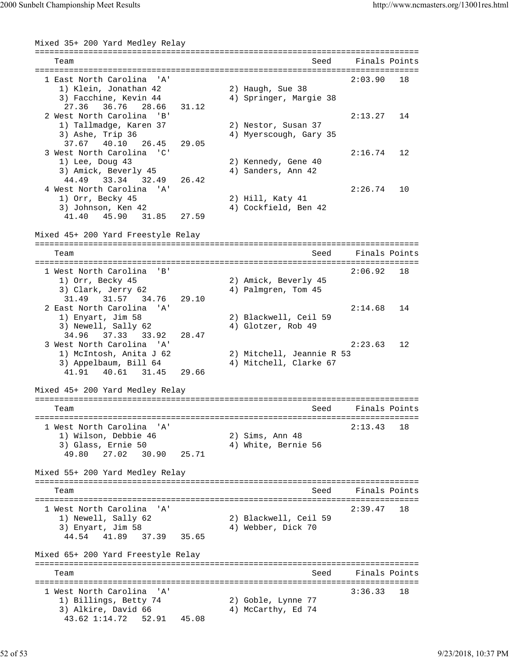Mixed 35+ 200 Yard Medley Relay =============================================================================== Team Seed Finals Points =============================================================================== 1 East North Carolina 'A' 2:03.90 18 1) Klein, Jonathan 42 2) Haugh, Sue 38 3) Facchine, Kevin 44 4) Springer, Margie 38 27.36 36.76 28.66 31.12 2 West North Carolina 'B' 2:13.27 14 1) Tallmadge, Karen 37 2) Nestor, Susan 37 3) Ashe, Trip 36 4) Myerscough, Gary 35 37.67 40.10 26.45 29.05 3 West North Carolina 'C' 2:16.74 12 1) Lee, Doug 43 2) Kennedy, Gene 40 3) Amick, Beverly 45 4) Sanders, Ann 42 44.49 33.34 32.49 26.42 4 West North Carolina 'A' 2:26.74 10 1) Orr, Becky 45 2) Hill, Katy 41 3) Johnson, Ken 42 4) Cockfield, Ben 42 41.40 45.90 31.85 27.59 Mixed 45+ 200 Yard Freestyle Relay =============================================================================== Team Seed Finals Points =============================================================================== 1 West North Carolina 'B' 2:06.92 18<br>
1) Orr, Becky 45<br>
2) Amick, Beverly 45 1) Orr, Becky 45 2) Amick, Beverly 45 3) Clark, Jerry 62 (4) Palmgren, Tom 45 31.49 31.57 34.76 29.10 2 East North Carolina 'A' 2:14.68 14 1) Enyart, Jim 58 2) Blackwell, Ceil 59 3) Newell, Sally 62 4) Glotzer, Rob 49 34.96 37.33 33.92 28.47 3 West North Carolina 'A' 2:23.63 12 1) McIntosh, Anita J 62 2) Mitchell, Jeannie R 53 3) Appelbaum, Bill 64 4) Mitchell, Clarke 67 41.91 40.61 31.45 29.66 Mixed 45+ 200 Yard Medley Relay =============================================================================== Team Seed Finals Points =============================================================================== 1 West North Carolina 'A' 2:13.43 18 1) Wilson, Debbie 46 2) Sims, Ann 48 3) Glass, Ernie 50 (4) White, Bernie 56 49.80 27.02 30.90 25.71 Mixed 55+ 200 Yard Medley Relay =============================================================================== Team Seed Finals Points =============================================================================== 1 West North Carolina 'A' 1) Newell, Sally 62 2) Blackwell, Ceil 59 3) Enyart, Jim 58 4) Webber, Dick 70 44.54 41.89 37.39 35.65 Mixed 65+ 200 Yard Freestyle Relay =============================================================================== Team Seed Finals Points =============================================================================== 1 West North Carolina 'A' 3:36.33 18 1) Billings, Betty 74 2) Goble, Lynne 77 3) Alkire, David 66 4) McCarthy, Ed 74 43.62 1:14.72 52.91 45.08